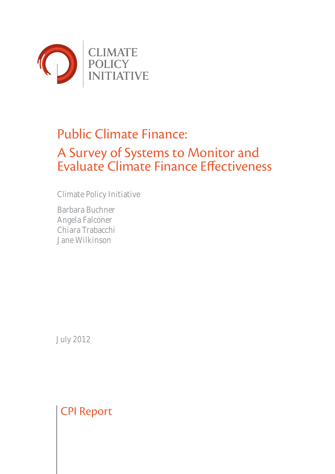

# Public Climate Finance: A Survey of Systems to Monitor and Evaluate Climate Finance Effectiveness

Climate Policy Initiative

Barbara Buchner Angela Falconer Chiara Trabacchi Jane Wilkinson

July 2012

CPI Report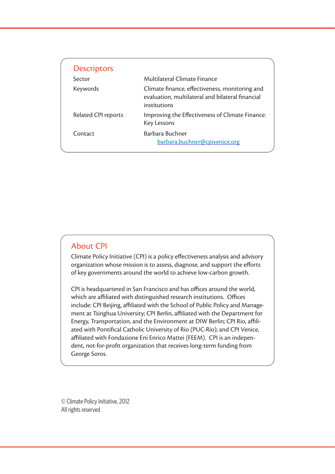| <b>Descriptors</b>  |                                                                                                                    |
|---------------------|--------------------------------------------------------------------------------------------------------------------|
| Sector              | Multilateral Climate Finance                                                                                       |
| Keywords            | Climate finance, effectiveness, monitoring and<br>evaluation, multilateral and bilateral financial<br>institutions |
| Related CPI reports | Improving the Effectiveness of Climate Finance:<br>Key Lessons                                                     |
| Contact             | Barbara Buchner<br>barbara.buchner@cpivenice.org                                                                   |

#### About CPI

Climate Policy Initiative (CPI) is a policy effectiveness analysis and advisory organization whose mission is to assess, diagnose, and support the efforts of key governments around the world to achieve low-carbon growth.

CPI is headquartered in San Francisco and has offices around the world, which are affiliated with distinguished research institutions. Offices include: CPI Beijing, affiliated with the School of Public Policy and Management at Tsinghua University; CPI Berlin, affiliated with the Department for Energy, Transportation, and the Environment at DIW Berlin; CPI Rio, affiliated with Pontifical Catholic University of Rio (PUC-Rio); and CPI Venice, affiliated with Fondazione Eni Enrico Mattei (FEEM). CPI is an independent, not-for-profit organization that receives long-term funding from George Soros.

© Climate Policy Initiative, 2012 All rights reserved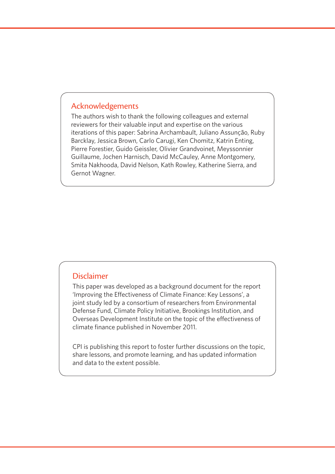## Acknowledgements

The authors wish to thank the following colleagues and external reviewers for their valuable input and expertise on the various iterations of this paper: Sabrina Archambault, Juliano Assunção, Ruby Barcklay, Jessica Brown, Carlo Carugi, Ken Chomitz, Katrin Enting, Pierre Forestier, Guido Geissler, Olivier Grandvoinet, Meyssonnier Guillaume, Jochen Harnisch, David McCauley, Anne Montgomery, Smita Nakhooda, David Nelson, Kath Rowley, Katherine Sierra, and Gernot Wagner.

#### Disclaimer

This paper was developed as a background document for the report 'Improving the Effectiveness of Climate Finance: Key Lessons', a joint study led by a consortium of researchers from Environmental Defense Fund, Climate Policy Initiative, Brookings Institution, and Overseas Development Institute on the topic of the effectiveness of climate finance published in November 2011.

CPI is publishing this report to foster further discussions on the topic, share lessons, and promote learning, and has updated information and data to the extent possible.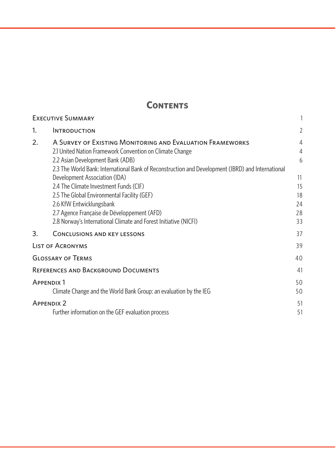## **Contents**

|    | <b>EXECUTIVE SUMMARY</b>                                                                          |    |
|----|---------------------------------------------------------------------------------------------------|----|
| 1. | <b>INTRODUCTION</b>                                                                               | 2  |
| 2. | A SURVEY OF EXISTING MONITORING AND EVALUATION FRAMEWORKS                                         | 4  |
|    | 2.1 United Nation Framework Convention on Climate Change                                          | 4  |
|    | 2.2 Asian Development Bank (ADB)                                                                  | 6  |
|    | 2.3 The World Bank: International Bank of Reconstruction and Development (IBRD) and International |    |
|    | Development Association (IDA)                                                                     | 11 |
|    | 2.4 The Climate Investment Funds (CIF)                                                            | 15 |
|    | 2.5 The Global Environmental Facility (GEF)                                                       | 18 |
|    | 2.6 KfW Entwicklungsbank                                                                          | 24 |
|    | 2.7 Agence Française de Développement (AFD)                                                       | 28 |
|    | 2.8 Norway's International Climate and Forest Initiative (NICFI)                                  | 33 |
| 3. | <b>CONCLUSIONS AND KEY LESSONS</b>                                                                | 37 |
|    | <b>LIST OF ACRONYMS</b>                                                                           | 39 |
|    | <b>GLOSSARY OF TERMS</b>                                                                          | 40 |
|    | <b>REFERENCES AND BACKGROUND DOCUMENTS</b>                                                        | 41 |
|    | <b>APPENDIX 1</b>                                                                                 | 50 |
|    | Climate Change and the World Bank Group: an evaluation by the IEG                                 | 50 |
|    | <b>APPENDIX 2</b>                                                                                 | 51 |
|    | Further information on the GEF evaluation process                                                 | 51 |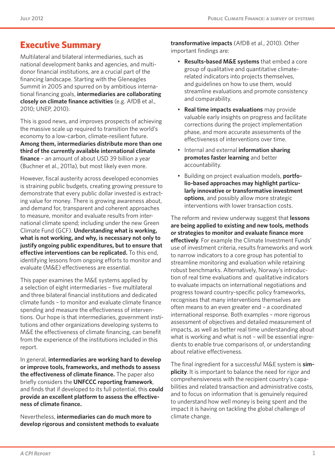## **Executive Summary**

Multilateral and bilateral intermediaries, such as national development banks and agencies, and multidonor financial institutions, are a crucial part of the financing landscape. Starting with the Gleneagles Summit in 2005 and spurred on by ambitious international financing goals, **intermediaries are collaborating closely on climate finance activities** (e.g. AfDB et al., 2010; UNEP, 2010).

This is good news, and improves prospects of achieving the massive scale up required to transition the world's economy to a low-carbon, climate-resilient future. **Among them, intermediaries distribute more than one third of the currently available international climate finance** – an amount of about USD 39 billion a year (Buchner et al., 2011a), but most likely even more.

However, fiscal austerity across developed economies is straining public budgets, creating growing pressure to demonstrate that every public dollar invested is extracting value for money. There is growing awareness about, and demand for, transparent and coherent approaches to measure, monitor and evaluate results from international climate spend; including under the new Green Climate Fund (GCF). **Understanding what is working, what is not working, and why, is necessary not only to justify ongoing public expenditures, but to ensure that effective interventions can be replicated.** To this end, identifying lessons from ongoing efforts to monitor and evaluate (M&E) effectiveness are essential.

This paper examines the M&E systems applied by a selection of eight intermediaries – five multilateral and three bilateral financial institutions and dedicated climate funds – to monitor and evaluate climate finance spending and measure the effectiveness of interventions. Our hope is that intermediaries, government institutions and other organizations developing systems to M&E the effectiveness of climate financing, can benefit from the experience of the institutions included in this report.

In general, **intermediaries are working hard to develop or improve tools, frameworks, and methods to assess the effectiveness of climate finance.** The paper also briefly considers the **UNFCCC reporting framework**, and finds that if developed to its full potential, this **could provide an excellent platform to assess the effectiveness of climate finance.**

Nevertheless, **intermediaries can do much more to develop rigorous and consistent methods to evaluate**  **transformative impacts** (AfDB et al., 2010). Other important findings are:

- **Results-based M&E systems** that embed a core group of qualitative and quantitative climaterelated indicators into projects themselves, and guidelines on how to use them, would streamline evaluations and promote consistency and comparability.
- **Real time impacts evaluations** may provide valuable early insights on progress and facilitate corrections during the project implementation phase, and more accurate assessments of the effectiveness of interventions over time.
- • Internal and external **information sharing promotes faster learning** and better accountability.
- Building on project evaluation models, **portfolio-based approaches may highlight particularly innovative or transformative investment options**, and possibly allow more strategic interventions with lower transaction costs.

The reform and review underway suggest that **lessons are being applied to existing and new tools, methods or strategies to monitor and evaluate finance more effectively**. For example the Climate Investment Funds' use of investment criteria, results frameworks and work to narrow indicators to a core group has potential to streamline monitoring and evaluation while retaining robust benchmarks. Alternatively, Norway's introduction of real time evaluations and qualitative indicators to evaluate impacts on international negotiations and progress toward country-specific policy frameworks, recognises that many interventions themselves are often means to an even greater end – a coordinated international response. Both examples – more rigorous assessment of objectives and detailed measurement of impacts, as well as better real time understanding about what is working and what is not – will be essential ingredients to enable true comparisons of, or understanding about relative effectiveness.

The final ingredient for a successful M&E system is **simplicity**. It is important to balance the need for rigor and comprehensiveness with the recipient country's capabilities and related transaction and administrative costs, and to focus on information that is genuinely required to understand how well money is being spent and the impact it is having on tackling the global challenge of climate change.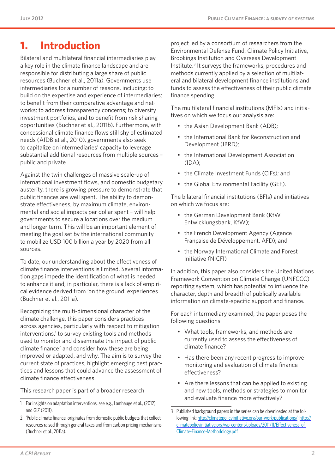## **1. Introduction**

Bilateral and multilateral financial intermediaries play a key role in the climate finance landscape and are responsible for distributing a large share of public resources (Buchner et al., 2011a). Governments use intermediaries for a number of reasons, including: to build on the expertise and experience of intermediaries; to benefit from their comparative advantage and networks; to address transparency concerns; to diversify investment portfolios, and to benefit from risk sharing opportunities (Buchner et al., 2011b). Furthermore, with concessional climate finance flows still shy of estimated needs (AfDB et al., 2010), governments also seek to capitalize on intermediaries' capacity to leverage substantial additional resources from multiple sources – public and private.

Against the twin challenges of massive scale-up of international investment flows, and domestic budgetary austerity, there is growing pressure to demonstrate that public finances are well spent. The ability to demonstrate effectiveness, by maximum climate, environmental and social impacts per dollar spent – will help governments to secure allocations over the medium and longer term. This will be an important element of meeting the goal set by the international community to mobilize USD 100 billion a year by 2020 from all sources.

To date, our understanding about the effectiveness of climate finance interventions is limited. Several information gaps impede the identification of what is needed to enhance it and, in particular, there is a lack of empirical evidence derived from 'on the ground' experiences (Buchner et al., 2011a).

Recognizing the multi-dimensional character of the climate challenge, this paper considers practices across agencies, particularly with respect to mitigation interventions,<sup>1</sup> to survey existing tools and methods used to monitor and disseminate the impact of public climate finance<sup>2</sup> and consider how these are being improved or adapted, and why. The aim is to survey the current state of practices, highlight emerging best practices and lessons that could advance the assessment of climate finance effectiveness.

This research paper is part of a broader research

project led by a consortium of researchers from the Environmental Defense Fund, Climate Policy Initiative, Brookings Institution and Overseas Development Institute.<sup>3</sup> It surveys the frameworks, procedures and methods currently applied by a selection of multilateral and bilateral development finance institutions and funds to assess the effectiveness of their public climate finance spending.

The multilateral financial institutions (MFIs) and initiatives on which we focus our analysis are:

- the Asian Development Bank (ADB);
- the International Bank for Reconstruction and Development (IBRD);
- the International Development Association  $(IDA)$ ;
- the Climate Investment Funds (CIFs); and
- the Global Environmental Facility (GEF).

The bilateral financial institutions (BFIs) and initiatives on which we focus are:

- the German Development Bank (KfW) Entwicklungsbank, KfW);
- the French Development Agency (Agence Française de Développement, AFD); and
- the Norway International Climate and Forest Initiative (NICFI)

In addition, this paper also considers the United Nations Framework Convention on Climate Change (UNFCCC) reporting system, which has potential to influence the character, depth and breadth of publically available information on climate-specific support and finance.

For each intermediary examined, the paper poses the following questions:

- • What tools, frameworks, and methods are currently used to assess the effectiveness of climate finance?
- Has there been any recent progress to improve monitoring and evaluation of climate finance effectiveness?
- Are there lessons that can be applied to existing and new tools, methods or strategies to monitor and evaluate finance more effectively?

<sup>1</sup> For insights on adaptation interventions, see e.g., Lamhauge et al., (2012) and GIZ (2011).

<sup>2</sup> 'Public climate finance' originates from domestic public budgets that collect resources raised through general taxes and from carbon pricing mechanisms (Buchner et al., 2011a).

<sup>3</sup> Published background papers in the series can be downloaded at the following link: [http://climatepolicyinitiative.org/our-work/publications/;](http://climatepolicyinitiative.org/our-work/publications/) [http://](http://climatepolicyinitiative.org/wp-content/uploads/2011/11/Effectiveness-of-Climate-Finance-Methodology.pdf) [climatepolicyinitiative.org/wp-content/uploads/2011/11/Effectiveness-of-](http://climatepolicyinitiative.org/wp-content/uploads/2011/11/Effectiveness-of-Climate-Finance-Methodology.pdf)[Climate-Finance-Methodology.pdf](http://climatepolicyinitiative.org/wp-content/uploads/2011/11/Effectiveness-of-Climate-Finance-Methodology.pdf).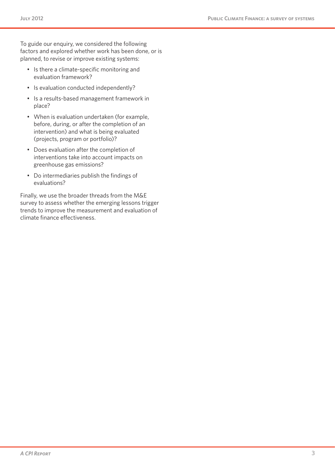To guide our enquiry, we considered the following factors and explored whether work has been done, or is planned, to revise or improve existing systems:

- • Is there a climate-specific monitoring and evaluation framework?
- Is evaluation conducted independently?
- • Is a results-based management framework in place?
- When is evaluation undertaken (for example, before, during, or after the completion of an intervention) and what is being evaluated (projects, program or portfolio)?
- • Does evaluation after the completion of interventions take into account impacts on greenhouse gas emissions?
- • Do intermediaries publish the findings of evaluations?

Finally, we use the broader threads from the M&E survey to assess whether the emerging lessons trigger trends to improve the measurement and evaluation of climate finance effectiveness.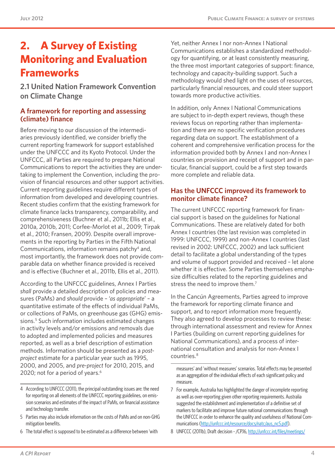# **2. A Survey of Existing Monitoring and Evaluation Frameworks**

**2.1 United Nation Framework Convention on Climate Change** 

#### **A framework for reporting and assessing (climate) finance**

Before moving to our discussion of the intermediaries previously identified, we consider briefly the current reporting framework for support established under the UNFCCC and its Kyoto Protocol. Under the UNFCCC, all Parties are required to prepare National Communications to report the activities they are undertaking to implement the Convention, including the provision of financial resources and other support activities. Current reporting guidelines require different types of information from developed and developing countries. Recent studies confirm that the existing framework for climate finance lacks transparency, comparability, and comprehensiveness (Buchner et al., 2011b; Ellis et al., 2010a, 2010b, 2011; Corfee-Morlot et al., 2009; Tirpak et al., 2010; Fransen, 2009). Despite overall improvements in the reporting by Parties in the Fifth National Communications, information remains patchy4 and, most importantly, the framework does not provide comparable data on whether finance provided is received and is effective (Buchner et al., 2011b, Ellis et al., 2011).

According to the UNFCCC guidelines, Annex I Parties *shall* provide a detailed description of policies and measures (PaMs) and *should* provide – '*as appropriate*' – a quantitative estimate of the effects of individual PaMs, or collections of PaMs, on greenhouse gas (GHG) emissions.<sup>5</sup> Such information includes estimated changes in activity levels and/or emissions and removals due to adopted and implemented policies and measures reported, as well as a brief description of estimation methods. Information should be presented as a *postproject* estimate for a particular year such as 1995, 2000, and 2005, and *pre-project* for 2010, 2015, and 2020; not for a period of years.<sup>6</sup>

6 The total effect is supposed to be estimated as a difference between 'with

Yet, neither Annex I nor non-Annex I National Communications establishes a standardized methodology for quantifying, or at least consistently measuring, the three most important categories of support: finance, technology and capacity-building support. Such a methodology would shed light on the uses of resources, particularly financial resources, and could steer support towards more productive activities.

In addition, only Annex I National Communications are subject to in-depth expert reviews, though these reviews focus on reporting rather than implementation and there are no specific verification procedures regarding data on support. The establishment of a coherent and comprehensive verification process for the information provided both by Annex I and non-Annex I countries on provision and receipt of support and in particular, financial support, could be a first step towards more complete and reliable data.

#### **Has the UNFCCC improved its framework to monitor climate finance?**

The current UNFCCC reporting framework for financial support is based on the guidelines for National Communications. These are relatively dated for both Annex I countries (the last revision was completed in 1999: UNFCCC, 1999) and non-Annex I countries (last revised in 2002: UNFCCC, 2002) and lack sufficient detail to facilitate a global understanding of the types and volume of support provided and received – let alone whether it is effective. Some Parties themselves emphasize difficulties related to the reporting guidelines and stress the need to improve them.<sup>7</sup>

In the Cancún Agreements, Parties agreed to improve the framework for reporting climate finance and support, and to report information more frequently. They also agreed to develop processes to review these: through international assessment and review for Annex I Parties (building on current reporting guidelines for National Communications), and a process of international consultation and analysis for non-Annex I countries.8

<sup>4</sup> According to UNFCCC (2011), the principal outstanding issues are: the need for reporting on all elements of the UNFCCC reporting guidelines, on emission scenarios and estimates of the impact of PaMs, on financial assistance and technology transfer.

<sup>5</sup> Parties may also include information on the costs of PaMs and on non-GHG mitigation benefits.

measures' and 'without measures' scenarios. Total effects may be presented as an aggregation of the individual effects of each significant policy and measure.

<sup>7</sup> For example, Australia has highlighted the danger of incomplete reporting as well as over-reporting given other reporting requirements. Australia suggested the establishment and implementation of a definitive set of markers to facilitate and improve future national communications through the UNFCCC in order to enhance the quality and usefulness of National Com-munications [\(http://unfccc.int/resource/docs/natc/aus\\_nc5.pdf\)](http://unfccc.int/resource/docs/natc/aus_nc5.pdf).

<sup>8</sup> UNFCCC (2011b), Draft decision - /CP.16, [http://unfccc.int/files/meetings/](http://unfccc.int/files/meetings/cop_16/application/pdf/cop16_lca.pdf)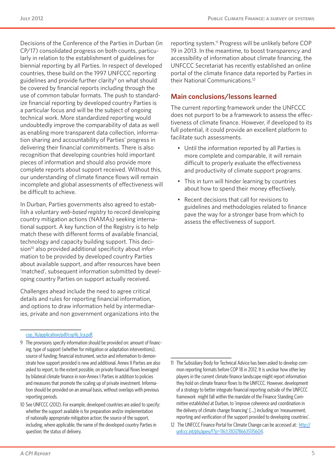Decisions of the Conference of the Parties in Durban (in CP/17) consolidated progress on both counts, particularly in relation to the establishment of guidelines for biennial reporting by all Parties. In respect of developed countries, these build on the 1997 UNFCCC reporting guidelines and provide further clarity<sup>9</sup> on what should be covered by financial reports including through the use of common tabular formats. The push to standardize financial reporting by developed country Parties is a particular focus and will be the subject of ongoing technical work. More standardized reporting would undoubtedly improve the comparability of data as well as enabling more transparent data collection, information sharing and accountability of Parties' progress in delivering their financial commitments. There is also recognition that developing countries hold important pieces of information and should also provide more complete reports about support received. Without this, our understanding of climate finance flows will remain incomplete and global assessments of effectiveness will be difficult to achieve.

In Durban, Parties governments also agreed to establish a voluntary *web-based registry* to record developing country mitigation actions (NAMAs) seeking international support. A key function of the Registry is to help match these with different forms of available financial, technology and capacity building support. This decision<sup>10</sup> also provided additional specificity about information to be provided by developed country Parties about available support, and after resources have been 'matched', subsequent information submitted by developing country Parties on support actually received.

Challenges ahead include the need to agree critical details and rules for reporting financial information, and options to draw information held by intermediaries, private and non government organizations into the

#### [cop\\_16/application/pdf/cop16\\_lca.pdf.](http://unfccc.int/files/meetings/cop_16/application/pdf/cop16_lca.pdf)

9 The provisions specify information should be provided on: amount of financing, type of support (whether for mitigation or adaptation interventions), source of funding; financial instrument, sector and information to demonstrate how support provided is new and additional. Annex II Parties are also asked to report, to the extent possible, on private financial flows leveraged by bilateral climate finance in non-Annex I Parties in addition to policies and measures that promote the scaling up of private investment. Information should be provided on an annual basis, without overlaps with previous reporting periods.

10 See UNFCCC (2012). For example, developed countries are asked to specify: whether the support available is for preparation and/or implementation of nationally appropriate mitigation action; the source of the support, including, where applicable, the name of the developed country Parties in question; the status of delivery.

reporting system.<sup>11</sup> Progress will be unlikely before COP 19 in 2013. In the meantime, to boost transparency and accessibility of information about climate financing, the UNFCCC Secretariat has recently established an online portal of the climate finance data reported by Parties in their National Communications.12

#### **Main conclusions/lessons learned**

The current reporting framework under the UNFCCC does not purport to be a framework to assess the effectiveness of climate finance. However, if developed to its full potential, it could provide an excellent platform to facilitate such assessments.

- • Until the information reported by all Parties is more complete and comparable, it will remain difficult to properly evaluate the effectiveness and productivity of climate support programs.
- This in turn will hinder learning by countries about how to spend their money effectively.
- • Recent decisions that call for revisions to guidelines and methodologies related to finance pave the way for a stronger base from which to assess the effectiveness of support.

<sup>11</sup> The Subsidiary Body for Technical Advice has been asked to develop common reporting formats before COP 18 in 2012. It is unclear how other key players in the current climate finance landscape might report information they hold on climate finance flows to the UNFCCC. However, development of a strategy to better integrate financial reporting outside of the UNFCCC framework might fall within the mandate of the Finance Standing Committee established at Durban, to 'improve coherence and coordination in the delivery of climate change financing' […] including on 'measurement, reporting and verification of the support provided to developing countries'.

<sup>12</sup> The UNFCCC Finance Portal for Climate Change can be accessed at: [http://](http://unfccc.int/pls/apex/f?p=116:1:3103786635115604) [unfccc.int/pls/apex/f?p=116:1:3103786635115604](http://unfccc.int/pls/apex/f?p=116:1:3103786635115604).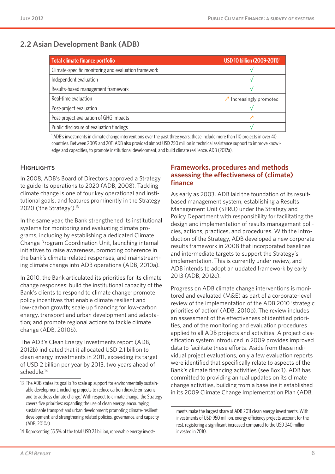## **2.2 Asian Development Bank (ADB)**

| Total climate finance portfolio                      | USD 10 billion (2009-2011) <sup>1</sup> |
|------------------------------------------------------|-----------------------------------------|
| Climate-specific monitoring and evaluation framework |                                         |
| Independent evaluation                               |                                         |
| Results-based management framework                   |                                         |
| Real-time evaluation                                 | $\lambda$ Increasingly promoted         |
| Post-project evaluation                              |                                         |
| Post-project evaluation of GHG impacts               |                                         |
| Public disclosure of evaluation findings             |                                         |

1 ADB's investments in climate change interventions over the past three years; these include more than 110 projects in over 40 countries. Between 2009 and 2011 ADB also provided almost USD 250 million in technical assistance support to improve knowledge and capacities, to promote institutional development, and build climate resilience. ADB (2012a).

#### **HIGHLIGHTS**

In 2008, ADB's Board of Directors approved a Strategy to guide its operations to 2020 (ADB, 2008). Tackling climate change is one of four key operational and institutional goals, and features prominently in the Strategy 2020 ('the Strategy'). $13$ 

In the same year, the Bank strengthened its institutional systems for monitoring and evaluating climate programs, including by establishing a dedicated Climate Change Program Coordination Unit, launching internal initiatives to raise awareness, promoting coherence in the bank's climate-related responses, and mainstreaming climate change into ADB operations (ADB, 2010a).

In 2010, the Bank articulated its priorities for its climate change responses: build the institutional capacity of the Bank's clients to respond to climate change; promote policy incentives that enable climate resilient and low-carbon growth; scale up financing for low-carbon energy, transport and urban development and adaptation; and promote regional actions to tackle climate change (ADB, 2010b).

The ADB's Clean Energy Investments report (ADB, 2012b) indicated that it allocated USD 2.1 billion to clean energy investments in 2011, exceeding its target of USD 2 billion per year by 2013, two years ahead of schedule.<sup>14</sup>

#### **Frameworks, procedures and methods assessing the effectiveness of (climate) finance**

As early as 2003, ADB laid the foundation of its resultbased management system, establishing a Results Management Unit (SPRU) under the Strategy and Policy Department with responsibility for facilitating the design and implementation of results management policies, actions, practices, and procedures. With the introduction of the Strategy, ADB developed a new corporate results framework in 2008 that incorporated baselines and intermediate targets to support the Strategy's implementation. This is currently under review, and ADB intends to adopt an updated framework by early 2013 (ADB, 2012c).

Progress on ADB climate change interventions is monitored and evaluated (M&E) as part of a corporate-level review of the implementation of the ADB 2010 'strategic priorities of action' (ADB, 2010b). The review includes an assessment of the effectiveness of identified priorities, and of the monitoring and evaluation procedures applied to all ADB projects and activities. A project classification system introduced in 2009 provides improved data to facilitate these efforts. Aside from these individual project evaluations, only a few evaluation reports were identified that specifically relate to aspects of the Bank's climate financing activities (see Box 1). ADB has committed to providing annual updates on its climate change activities, building from a baseline it established in its 2009 Climate Change Implementation Plan (ADB,

<sup>13</sup> The ADB states its goal is 'to scale up support for environmentally sustainable development, including projects to reduce carbon dioxide emissions and to address climate change.' With respect to climate change, the Strategy covers five priorities: expanding the use of clean energy, encouraging sustainable transport and urban development; promoting climate-resilient development; and strengthening related policies, governance, and capacity (ADB, 2010a).

<sup>14</sup> Representing 55.5% of the total USD 2.1 billion, renewable energy invest-

ments make the largest share of ADB 2011 clean energy investments. With investments of USD 950 million, energy efficiency projects account for the rest, registering a significant increased compared to the USD 340 million invested in 2010.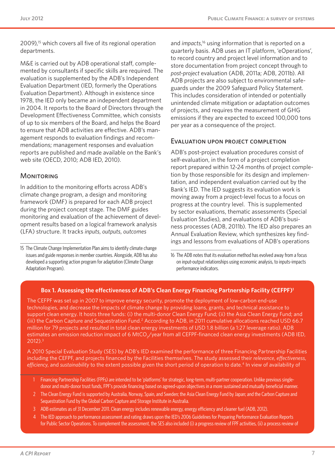2009),<sup>15</sup> which covers all five of its regional operation departments.

M&E is carried out by ADB operational staff, complemented by consultants if specific skills are required. The evaluation is supplemented by the ADB's Independent Evaluation Department (IED, formerly the Operations Evaluation Department). Although in existence since 1978, the IED only became an independent department in 2004. It reports to the Board of Directors through the Development Effectiveness Committee, which consists of up to six members of the Board, and helps the Board to ensure that ADB activities are effective. ADB's management responds to evaluation findings and recommendations; management responses and evaluation reports are published and made available on the Bank's web site (OECD, 2010; ADB IED, 2010).

#### **MONITORING**

In addition to the monitoring efforts across ADB's climate change program, a design and monitoring framework (DMF) is prepared for each ADB project during the project concept stage. The DMF guides monitoring and evaluation of the achievement of development results based on a logical framework analysis (LFA) structure. It tracks *inputs*, *outputs*, *outcomes*

and *impacts*, 16 using information that is reported on a quarterly basis. ADB uses an IT platform, 'eOperations', to record country and project level information and to store documentation from project concept through to *post-project* evaluation (ADB, 2011a; ADB, 2011b). All ADB projects are also subject to environmental safeguards under the 2009 Safeguard Policy Statement. This includes consideration of intended or potentially unintended climate mitigation or adaptation outcomes of projects, and requires the measurement of GHG emissions if they are expected to exceed 100,000 tons per year as a consequence of the project.

#### Evaluation upon project completion

ADB's post-project evaluation procedures consist of self-evaluation, in the form of a project completion report prepared within 12-24 months of project completion by those responsible for its design and implementation, and independent evaluation carried out by the Bank's IED. The IED suggests its evaluation work is moving away from a project-level focus to a focus on progress at the country level. This is supplemented by sector evaluations, thematic assessments (Special Evaluation Studies), and evaluations of ADB's business processes (ADB, 2011b). The IED also prepares an Annual Evaluation Review, which synthesizes key findings and lessons from evaluations of ADB's operations

#### **Box 1. Assessing the effectiveness of ADB's Clean Energy Financing Partnership Facility (CEFPF)1**

The CEFPF was set up in 2007 to improve energy security, promote the deployment of low-carbon end-use technologies, and decrease the impacts of climate change by providing loans, grants, and technical assistance to support clean energy. It hosts three funds: (i) the multi-donor Clean Energy Fund; (ii) the Asia Clean Energy Fund; and (iii) the Carbon Capture and Sequestration Fund.<sup>2</sup> According to ADB, in 2011 cumulative allocations reached USD 66.7 million for 79 projects and resulted in total clean energy investments of USD 1.8 billion (a 1:27 leverage ratio). ADB estimates an emission reduction impact of 6 MtCO<sub>2</sub>/year from all CEFPF-financed clean energy investments (ADB IED, 2012).3

A 2010 Special Evaluation Study (SES) by ADB's IED examined the performance of three Financing Partnership Facilities including the CEFPF, and projects financed by the Facilities themselves. The study assessed their *relevance*, *effectiveness*, *efficiency*, and *sustainability* to the extent possible given the short period of operation to date.4 In view of availability of

- 1 Financing Partnership Facilities (FPFs) are intended to be 'platforms' for strategic, long-term, multi-partner cooperation. Unlike previous singledonor and multi-donor trust funds, FPF's provide financing based on agreed-upon objectives in a more sustained and mutually beneficial manner.
- 2 The Clean Energy Fund is supported by Australia, Norway, Spain, and Sweden; the Asia Clean Energy Fund by Japan; and the Carbon Capture and Sequestration Fund by the Global Carbon Capture and Storage Institute in Australia.
- 3 ADB estimates as of 31 December 2011. Clean energy includes renewable energy, energy efficiency and cleaner fuel (ADB, 2012).
- 4 The IED approach to performance assessment and rating draws upon the IED's 2006 Guidelines for Preparing Performance Evaluation Reports for Public Sector Operations. To complement the assessment, the SES also included (i) a progress review of FPF activities, (ii) a process review of

<sup>15</sup> The Climate Change Implementation Plan aims to identify climate change issues and guide responses in member countries. Alongside, ADB has also developed a supporting action program for adaptation (Climate Change Adaptation Program).

<sup>16</sup> The ADB notes that its evaluation method has evolved away from a focus on input-output relationships using economic analysis, to inputs-impacts performance indicators.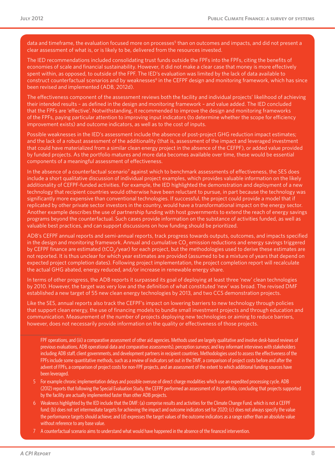data and timeframe, the evaluation focused more on processes<sup>5</sup> than on outcomes and impacts, and did not present a clear assessment of what is, or is likely to be, delivered from the resources invested.

The IED recommendations included consolidating trust funds outside the FPFs into the FPFs, citing the benefits of economies of scale and financial sustainability. However, it did not make a clear case that money is more effectively spent within, as opposed, to outside of the FPF. The IED's evaluation was limited by the lack of data available to construct counterfactual scenarios and by weaknesses<sup>6</sup> in the CEFPF design and monitoring framework, which has since been revised and implemented (ADB, 2012d).

The effectiveness component of the assessment reviews both the facility and individual projects' likelihood of achieving their intended results – as defined in the design and monitoring framework – and value added. The IED concluded that the FPFs are 'effective'. Notwithstanding, it recommended to improve the design and monitoring frameworks of the FPFs, paying particular attention to improving input indicators (to determine whether the scope for efficiency improvement exists) and outcome indicators, as well as to the cost of inputs.

Possible weaknesses in the IED's assessment include the absence of post-project GHG reduction impact estimates; and the lack of a robust assessment of the additionality (that is, assessment of the impact and leveraged investment that could have materialized from a similar clean energy project in the absence of the CEFPF), or added value provided by funded projects. As the portfolio matures and more data becomes available over time, these would be essential components of a meaningful assessment of effectiveness.

In the absence of a counterfactual scenario<sup>7</sup> against which to benchmark assessments of effectiveness, the SES does include a short qualitative discussion of individual project examples, which provides valuable information on the likely additionality of CEFPF-funded activities. For example, the IED highlighted the demonstration and deployment of a new technology that recipient countries would otherwise have been reluctant to pursue, in part because the technology was significantly more expensive than conventional technologies. If successful, the project could provide a model that if replicated by other private sector investors in the country, would have a transformational impact on the energy sector. Another example describes the use of partnership funding with host governments to extend the reach of energy savings programs beyond the counterfactual. Such cases provide information on the substance of activities funded, as well as valuable best practices, and can support discussions on how funding should be prioritized.

ADB's CEFPF annual reports and semi-annual reports, track progress towards outputs, outcomes, and impacts specified in the design and monitoring framework. Annual and cumulative CO $_2$  emission reductions and energy savings triggered by CEFPF finance are estimated (tCO<sub>2</sub>/year) for each project, but the methodologies used to derive these estimates are not reported. It is thus unclear for which year estimates are provided (assumed to be a mixture of years that depend on expected project completion dates). Following project implementation, the project completion report will recalculate the actual GHG abated, energy reduced, and/or increase in renewable energy share.

In terms of other progress, the ADB reports it surpassed its goal of deploying at least three 'new' clean technologies by 2010. However, the target was very low and the definition of what constituted 'new' was broad. The revised DMF established a new target of 55 new clean energy technologies by 2013, and two CCS demonstration projects.

Like the SES, annual reports also track the CEFPF's impact on lowering barriers to new technology through policies that support clean energy, the use of financing models to bundle small investment projects and through education and communication. Measurement of the number of projects deploying new technologies or aiming to reduce barriers, however, does not necessarily provide information on the quality or effectiveness of those projects.

FPF operations, and (iii) a comparative assessment of other aid agencies. Methods used are largely qualitative and involve desk-based reviews of previous evaluations, ADB operational data and comparative assessments), perception surveys; and key informant interviews with stakeholders including ADB staff, client governments, and development partners in recipient countries. Methodologies used to assess the effectiveness of the FPFs include some quantitative methods, such as a review of indicators set out in the DMF, a comparison of project costs before and after the advent of FPFs, a comparison of project costs for non-FPF projects, and an assessment of the extent to which additional funding sources have been leveraged.

- 5 For example chronic implementation delays and possible overuse of direct charge modalities which use an expedited processing cycle. ADB (2012) reports that following the Special Evaluation Study, the CEFPF performed an assessment of its portfolio, concluding that projects supported by the facility are actually implemented faster than other ADB projects.
- 6 Weakness highlighted by the IED include that the DMF: (a) comprise results and activities for the Climate Change Fund, which is not a CEFPF fund; (b) does not set intermediate targets for achieving the impact and outcome indicators set for 2020; (c) does not always specify the value the performance targets should achieve; and (d) expresses the target values of the outcome indicators as a range rather than an absolute value without reference to any base value.
- 7 A counterfactual scenario aims to understand what would have happened in the absence of the financed intervention.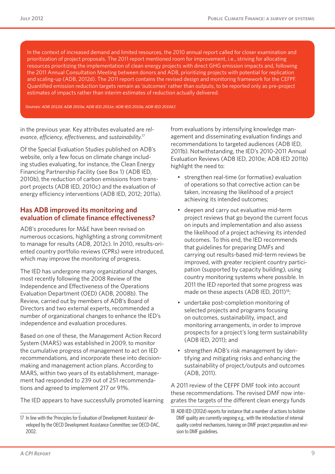In the context of increased demand and limited resources, the 2010 annual report called for closer examination and prioritization of project proposals. The 2011 report mentioned room for improvement, i.e., striving for allocating resources prioritizing the implementation of clean energy projects with direct GHG emission impacts and, following the 2011 Annual Consultation Meeting between donors and ADB, prioritizing projects with potential for replication and scaling-up (ADB, 2012d). The 2011 report contains the revised design and monitoring framework for the CEFPF. Quantified emission reduction targets remain as 'outcomes' rather than outputs, to be reported only as pre-project estimates of impacts rather than interim estimates of reduction actually delivered.

*Sources: ADB 2012d; ADB 2010a; ADB IED 2011e; ADB IED 2010a; ADB IED 2010d,f.*

in the previous year. Key attributes evaluated are *relevance*, *efficiency*, *effectiveness*, and *sustainability*. 17

Of the Special Evaluation Studies published on ADB's website, only a few focus on climate change including studies evaluating, for instance, the Clean Energy Financing Partnership Facility (see Box 1) (ADB IED, 2010b), the reduction of carbon emissions from transport projects (ADB IED, 2010c) and the evaluation of energy efficiency interventions (ADB IED, 2012; 2011a).

#### **Has ADB improved its monitoring and evaluation of climate finance effectiveness?**

ADB's procedures for M&E have been revised on numerous occasions, highlighting a strong commitment to manage for results (ADB, 2012c). In 2010, results-oriented country portfolio reviews (CPRs) were introduced, which may improve the monitoring of progress.

The IED has undergone many organizational changes, most recently following the 2008 [Review of the](http://www.adb.org/Documents/Policies/OED-Review/R297-08.pdf)  [Independence and Effectiveness of the Operations](http://www.adb.org/Documents/Policies/OED-Review/R297-08.pdf)  [Evaluation Department](http://www.adb.org/Documents/Policies/OED-Review/R297-08.pdf) (OED) (ADB, 2008b). The Review, carried out by members of ADB's Board of Directors and two external experts, recommended a number of organizational changes to enhance the IED's independence and evaluation procedures.

Based on one of these, the Management Action Record System (MARS) was established in 2009, to monitor the cumulative progress of management to act on IED recommendations, and incorporate these into decisionmaking and management action plans. According to MARS, within two years of its establishment, management had responded to 239 out of 251 recommendations and agreed to implement 217 or 91%.

The IED appears to have successfully promoted learning

from evaluations by intensifying knowledge management and disseminating evaluation findings and recommendations to targeted audiences (ADB IED, 2011b). Notwithstanding, the IED's 2010-2011 Annual Evaluation Reviews (ADB IED, 2010e; ADB IED 2011b) highlight the need to:

- strengthen real-time (or formative) evaluation of operations so that corrective action can be taken, increasing the likelihood of a project achieving its intended outcomes;
- deepen and carry out evaluative mid-term project reviews that go beyond the current focus on inputs and implementation and also assess the likelihood of a project achieving its intended outcomes. To this end, the IED recommends that guidelines for preparing DMFs and carrying out results-based mid-term reviews be improved, with greater recipient country participation (supported by capacity building), using country monitoring systems where possible. In 2011 the IED reported that some progress was made on these aspects (ADB IED, 2011)<sup>18</sup>;
- undertake post-completion monitoring of selected projects and programs focusing on outcomes, sustainability, impact, and monitoring arrangements, in order to improve prospects for a project's long term sustainability (ADB IED, 2011); and
- strengthen ADB's risk management by identifying and mitigating risks and enhancing the sustainability of project/outputs and outcomes (ADB, 2011).

A 2011 review of the CEFPF DMF took into account these recommendations. The revised DMF now integrates the targets of the different clean energy funds

<sup>17</sup> In line with the 'Principles for Evaluation of Development Assistance' developed by the OECD Development Assistance Committee; see OECD-DAC, 2002.

<sup>18</sup> ADB IED (2012d) reports for instance that a number of actions to bolster DMF quality are currently ongoing e.g., with the introduction of internal quality control mechanisms, training on DMF project preparation and revision to DMF guidelines.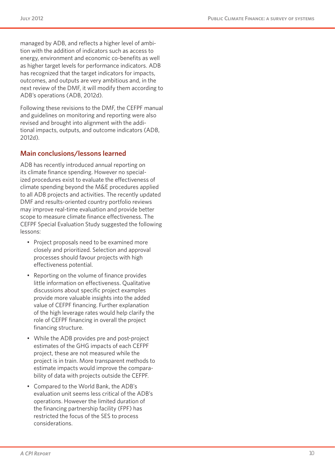managed by ADB, and reflects a higher level of ambition with the addition of indicators such as access to energy, environment and economic co-benefits as well as higher target levels for performance indicators. ADB has recognized that the target indicators for impacts, outcomes, and outputs are very ambitious and, in the next review of the DMF, it will modify them according to ADB's operations (ADB, 2012d).

Following these revisions to the DMF, the CEFPF manual and guidelines on monitoring and reporting were also revised and brought into alignment with the additional impacts, outputs, and outcome indicators (ADB, 2012d).

#### **Main conclusions/lessons learned**

ADB has recently introduced annual reporting on its climate finance spending. However no specialized procedures exist to evaluate the effectiveness of climate spending beyond the M&E procedures applied to all ADB projects and activities. The recently updated DMF and results-oriented country portfolio reviews may improve real-time evaluation and provide better scope to measure climate finance effectiveness. The CEFPF Special Evaluation Study suggested the following lessons:

- Project proposals need to be examined more closely and prioritized. Selection and approval processes should favour projects with high effectiveness potential.
- • Reporting on the volume of finance provides little information on effectiveness. Qualitative discussions about specific project examples provide more valuable insights into the added value of CEFPF financing. Further explanation of the high leverage rates would help clarify the role of CEFPF financing in overall the project financing structure.
- While the ADB provides pre and post-project estimates of the GHG impacts of each CEFPF project, these are not measured while the project is in train. More transparent methods to estimate impacts would improve the comparability of data with projects outside the CEFPF.
- • Compared to the World Bank, the ADB's evaluation unit seems less critical of the ADB's operations. However the limited duration of the financing partnership facility (FPF) has restricted the focus of the SES to process considerations.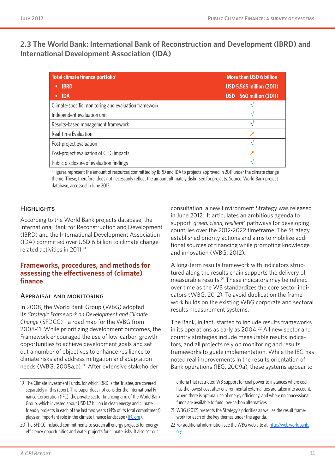**2.3 The World Bank: International Bank of Reconstruction and Development (IBRD) and International Development Association (IDA)** 

| Total climate finance portfolio <sup>1</sup>         | More than USD 6 billion         |  |
|------------------------------------------------------|---------------------------------|--|
| <b>IBRD</b>                                          | <b>USD 5,565 million (2011)</b> |  |
| <b>IDA</b><br>$\bullet$                              | <b>USD</b> 560 million (2011)   |  |
| Climate-specific monitoring and evaluation framework |                                 |  |
| Independent evaluation unit                          |                                 |  |
| Results-based management framework                   | ٦                               |  |
| Real-time Evaluation                                 |                                 |  |
| Post-project evaluation                              | ٦                               |  |
| Post-project evaluation of GHG impacts               |                                 |  |
| Public disclosure of evaluation findings             |                                 |  |

1 Figures represent the amount of resources committed by IBRD and IDA to projects approved in 2011 under the climate change theme. These, therefore, does not necessarily reflect the amount ultimately disbursed for projects. Source: World Bank project database, accessed in June 2012.

#### **HIGHI IGHTS**

According to the World Bank projects database, the International Bank for Reconstruction and Development (IBRD) and the International Development Association (IDA) committed over USD 6 billion to climate changerelated activities in 2011.19

#### **Frameworks, procedures, and methods for assessing the effectiveness of (climate) finance**

#### Appraisal and monitoring

In 2008, the World Bank Group (WBG) adopted its *Strategic Framework on Development and Climate Change* (SFDCC) - a road map for the WBG from 2008-11. While prioritizing development outcomes, the Framework encouraged the use of low-carbon growth opportunities to achieve development goals and set out a number of objectives to enhance resilience to climate risks and address mitigation and adaptation needs (WBG, 2008a,b).20 After extensive stakeholder

consultation, a new Environment Strategy was released in June 2012. It articulates an ambitious agenda to support '*green, clean, resilient*' pathways for developing countries over the 2012-2022 timeframe. The Strategy established priority actions and aims to mobilize additional sources of financing while promoting knowledge and innovation (WBG, 2012).

A long-term results framework with indicators structured along the results chain supports the delivery of measurable results.21 These indicators may be refined over time as the WB standardizes the core sector indicators (WBG, 2012). To avoid duplication the framework builds on the existing WBG corporate and sectoral results measurement systems.

The Bank, in fact, started to include results frameworks in its operations as early as  $2004.<sup>22</sup>$  All new sector and country strategies include measurable results indicators, and all projects rely on monitoring and results frameworks to guide implementation. While the IEG has noted real improvements in the results orientation of Bank operations (IEG, 2009a), these systems appear to

<sup>19</sup> The Climate Investment Funds, for which IBRD is the Trustee, are covered separately in this report. This paper does not consider the International Finance Corporation (IFC), the private sector financing arm of the World Bank Group, which invested about USD 1.7 billion in clean energy and climate friendly projects in each of the last two years (14% of its total commitment), plays an important role in the climate finance landscape [\(IFC.org](IFC.org)).

<sup>20</sup> The SFDCC included commitments to screen all energy projects for energy efficiency opportunities and water projects for climate risks. It also set out

criteria that restricted WB support for coal power to instances where coal has the lowest cost after environmental externalities are taken into account, where there is optimal use of energy efficiency, and where no concessional funds are available to fund low-carbon alternatives.

<sup>21</sup> WBG (2012) presents the Strategy's priorities as well as the result framework for each of the key themes under the agenda.

<sup>22</sup> For additional information see the WBG web site at: [http://web.worldbank.](http://web.worldbank.org) [org](http://web.worldbank.org)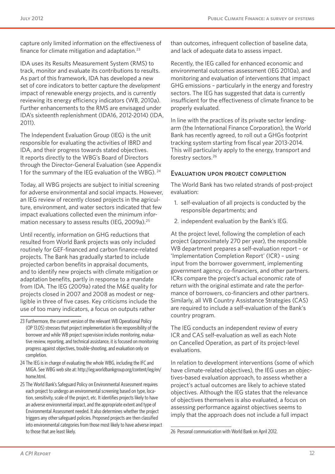capture only limited information on the effectiveness of finance for climate mitigation and adaptation.23

IDA uses its Results Measurement System (RMS) to track, monitor and evaluate its contributions to results. As part of this framework, IDA has developed a new set of core indicators to better capture the *development* impact of renewable energy projects, and is currently reviewing its energy efficiency indicators (WB, 2010a). Further enhancements to the RMS are envisaged under IDA's sixteenth replenishment (IDA16, 2012-2014) (IDA, 2011).

The Independent Evaluation Group (IEG) is the unit responsible for evaluating the activities of IBRD and IDA, and their progress towards stated objectives. It reports directly to the WBG's Board of Directors through the Director-General Evaluation (see Appendix 1 for the summary of the IEG evaluation of the WBG). <sup>24</sup>

Today, all WBG projects are subject to initial screening for adverse environmental and social impacts. However, an IEG review of recently closed projects in the agriculture, environment, and water sectors indicated that few impact evaluations collected even the minimum information necessary to assess results (IEG, 2009a).25

Until recently, information on GHG reductions that resulted from World Bank projects was only included routinely for GEF-financed and carbon finance-related projects. The Bank has gradually started to include projected carbon benefits in appraisal documents, and to identify new projects with climate mitigation or adaptation benefits, partly in response to a mandate from IDA. The IEG (2009a) rated the M&E quality for projects closed in 2007 and 2008 as modest or negligible in three of five cases. Key criticisms include the use of too many indicators, a focus on outputs rather

- 24 The IEG is in charge of evaluating the whole WBG, including the IFC and MIGA. See WBG web site at: [http://ieg.worldbankgroup.org/content/ieg/en/](http://ieg.worldbankgroup.org/content/ieg/en/home.html) [home.html](http://ieg.worldbankgroup.org/content/ieg/en/home.html).
- 25 The World Bank's Safeguard Policy on Environmental Assessment requires each project to undergo an environmental screening based on type, location, sensitivity, scale of the project, etc. It identifies projects likely to have an adverse environmental impact, and the appropriate extent and type of Environmental Assessment needed. It also determines whether the project triggers any other safeguard policies. Proposed projects are then classified into environmental categories from those most likely to have adverse impact to those that are least likely.

than outcomes, infrequent collection of baseline data, and lack of adequate data to assess impact.

Recently, the IEG called for enhanced economic and environmental outcomes assessment (IEG 2010a), and monitoring and evaluation of interventions that impact GHG emissions – particularly in the energy and forestry sectors. The IEG has suggested that data is currently insufficient for the effectiveness of climate finance to be properly evaluated.

In line with the practices of its private sector lendingarm (the International Finance Corporation), the World Bank has recently agreed, to roll out a GHGs footprint tracking system starting from fiscal year 2013-2014. This will particularly apply to the energy, transport and forestry sectors.26

#### Evaluation upon project completion

The World Bank has two related strands of post-project evaluation:

- 1. self-evaluation of all projects is conducted by the responsible departments; and
- 2. independent evaluation by the Bank's IEG.

At the project level, following the completion of each project (approximately 270 per year), the responsible WB department prepares a self-evaluation report – or 'Implementation Completion Report' (ICR) – using input from the borrower government, implementing government agency, co-financiers, and other partners. ICRs compare the project's actual economic rate of return with the original estimate and rate the performance of borrowers, co-financiers and other partners. Similarly, all WB Country Assistance Strategies (CAS) are required to include a self-evaluation of the Bank's country program.

The IEG conducts an independent review of every ICR and CAS self-evaluation as well as each Note on Cancelled Operation, as part of its project-level evaluations.

In relation to development interventions (some of which have climate-related objectives), the IEG uses an objectives-based evaluation approach, to assess whether a project's actual outcomes are likely to achieve stated objectives. Although the IEG states that the relevance of objectives themselves is also evaluated, a focus on assessing performance against objectives seems to imply that the approach does not include a full impact

<sup>23</sup> Furthermore, the current version of the relevant WB Operational Policy (OP 13.05) stresses that project implementation is the responsibility of the borrower and while WB project supervision includes monitoring, evaluative review, reporting, and technical assistance, it is focused on monitoring progress against objectives, trouble-shooting, and evaluation only on completion.

<sup>26</sup> Personal communication with World Bank on April 2012.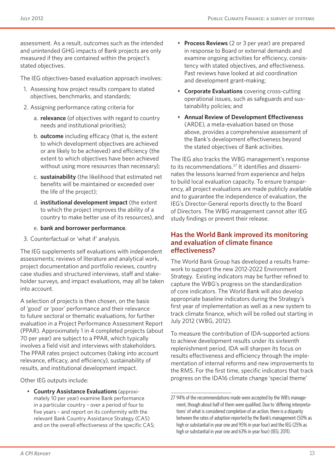assessment. As a result, outcomes such as the intended and unintended GHG impacts of Bank projects are only measured if they are contained within the project's stated objectives.

The IEG objectives-based evaluation approach involves:

- 1. Assessing how project results compare to stated objectives, benchmarks, and standards;
- 2. Assigning performance rating criteria for
	- a. **relevance** (of objectives with regard to country needs and institutional priorities);
	- b. **outcome** including efficacy (that is, the extent to which development objectives are achieved or are likely to be achieved) and efficiency (the extent to which objectives have been achieved without using more resources than necessary);
	- c. **sustainability** (the likelihood that estimated net benefits will be maintained or exceeded over the life of the project);
	- d. **institutional development impact** (the extent to which the project improves the ability of a country to make better use of its resources), and

#### e. **bank and borrower performance**.

3. Counterfactual or 'what if' analysis.

The IEG supplements self evaluations with independent assessments; reviews of literature and analytical work, project documentation and portfolio reviews, country case studies and structured interviews, staff and stakeholder surveys, and impact evaluations, may all be taken into account.

A selection of projects is then chosen, on the basis of 'good' or 'poor' performance and their relevance to future sectoral or thematic evaluations, for further evaluation in a Project Performance Assessment Report (PPAR). Approximately 1 in 4 completed projects (about 70 per year) are subject to a PPAR, which typically involves a field visit and interviews with stakeholders. The PPAR rates project outcomes (taking into account relevance, efficacy, and efficiency), sustainability of results, and institutional development impact.

Other IEG outputs include:

• **Country Assistance Evaluations** (approximately 10 per year) examine Bank performance in a particular country – over a period of four to five years – and report on its conformity with the relevant Bank Country Assistance Strategy (CAS) and on the overall effectiveness of the specific CAS;

- **Process Reviews** (2 or 3 per year) are prepared in response to Board or external demands and examine ongoing activities for efficiency, consistency with stated objectives, and effectiveness. Past reviews have looked at aid coordination and development grant-making;
- • **Corporate Evaluations** covering cross-cutting operational issues, such as safeguards and sustainability policies; and
- • **Annual Review of Development Effectiveness** (ARDE), a meta-evaluation based on those above, provides a comprehensive assessment of the Bank's development effectiveness beyond the stated objectives of Bank activities.

The IEG also tracks the WBG management's response to its recommendations.<sup>27</sup> It identifies and disseminates the lessons learned from experience and helps to build local evaluation capacity. To ensure transparency, all project evaluations are made publicly available and to guarantee the independence of evaluation, the IEG's Director-General reports directly to the Board of Directors. The WBG management cannot alter IEG study findings or prevent their release.

#### **Has the World Bank improved its monitoring and evaluation of climate finance effectiveness?**

The World Bank Group has developed a results framework to support the new 2012-2022 Environment Strategy. Existing indicators may be further refined to capture the WBG's progress on the standardization of core indicators. The World Bank will also develop appropriate baseline indicators during the Strategy's first year of implementation as well as a new system to track climate finance, which will be rolled out starting in July 2012 (WBG, 2012).

To measure the contribution of IDA-supported actions to achieve development results under its sixteenth replenishment period, IDA will sharpen its focus on results effectiveness and efficiency through the implementation of internal reforms and new improvements to the RMS. For the first time, specific indicators that track progress on the IDA16 climate change 'special theme'

<sup>27</sup> 94% of the recommendations made were accepted by the WB's management, though about half of them were qualified. Due to 'differing interpretations' of what is considered completion of an action, there is a disparity between the rates of adoption reported by the Bank's management (50% as high or substantial in year one and 95% in year four) and the IEG (25% as high or substantial in year one and 63% in year four) (IEG; 2011).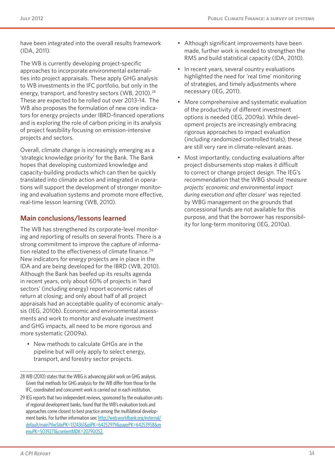have been integrated into the overall results framework (IDA, 2011).

The WB is currently developing project-specific approaches to incorporate environmental externalities into project appraisals. These apply GHG analysis to WB investments in the IFC portfolio, but only in the energy, transport, and forestry sectors (WB, 2010).<sup>28</sup> These are expected to be rolled out over 2013-14. The WB also proposes the formulation of new core indicators for energy projects under IBRD-financed operations and is exploring the role of carbon pricing in its analysis of project feasibility focusing on emission-intensive projects and sectors.

Overall, climate change is increasingly emerging as a 'strategic knowledge priority' for the Bank. The Bank hopes that developing customized knowledge and capacity-building products which can then be quickly translated into climate action and integrated in operations will support the development of stronger monitoring and evaluation systems and promote more effective, real-time lesson learning (WB, 2010).

#### **Main conclusions/lessons learned**

The WB has strengthened its corporate-level monitoring and reporting of results on several fronts. There is a strong commitment to improve the capture of information related to the effectiveness of climate finance.<sup>29</sup> New indicators for energy projects are in place in the IDA and are being developed for the IBRD (WB, 2010). Although the Bank has beefed up its results agenda in recent years, only about 60% of projects in 'hard sectors' (including energy) report economic rates of return at closing; and only about half of all project appraisals had an acceptable quality of economic analysis (IEG, 2010b). Economic and environmental assessments and work to monitor and evaluate investment and GHG impacts, all need to be more rigorous and more systematic (2009a).

• New methods to calculate GHGs are in the pipeline but will only apply to select energy, transport, and forestry sector projects.

- Although significant improvements have been made, further work is needed to strengthen the RMS and build statistical capacity (IDA, 2010).
- In recent years, several country evaluations highlighted the need for 'real time' monitoring of strategies, and timely adjustments where necessary (IEG, 2011).
- More comprehensive and systematic evaluation of the productivity of different investment options is needed (IEG, 2009a). While development projects are increasingly embracing rigorous approaches to impact evaluation (including randomized controlled trials), these are still very rare in climate-relevant areas.
- Most importantly, conducting evaluations after project disbursements stop makes it difficult to correct or change project design. The IEG's recommendation that the WBG should '*measure projects' economic and environmental impact during execution and after closure*' was rejected by WBG management on the grounds that concessional funds are not available for this purpose, and that the borrower has responsibility for long-term monitoring (IEG, 2010a).

<sup>28</sup> WB (2010) states that the WBG is advancing pilot work on GHG analysis. Given that methods for GHG analysis for the WB differ from those for the IFC, coordinated and concurrent work is carried out in each institution.

<sup>29</sup> IEG reports that two independent reviews, sponsored by the evaluation units of regional development banks, found that the WB's evaluation tools and approaches come closest to best practice among the multilateral development banks. For further information see: [http://web.worldbank.org/external/](http://web.worldbank.org/external/default/main?theSitePK=1324361&piPK=64252979&pagePK=64253958&menuPK=5039271&contentMDK=20790052) [default/main?theSitePK=1324361&piPK=64252979&pagePK=64253958&m](http://web.worldbank.org/external/default/main?theSitePK=1324361&piPK=64252979&pagePK=64253958&menuPK=5039271&contentMDK=20790052) [enuPK=5039271&contentMDK=20790052](http://web.worldbank.org/external/default/main?theSitePK=1324361&piPK=64252979&pagePK=64253958&menuPK=5039271&contentMDK=20790052).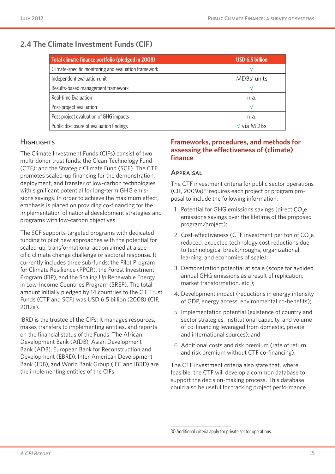## **2.4 The Climate Investment Funds (CIF)**

| Total climate finance portfolio (pledged in 2008)    | <b>USD 6.5 billion</b>              |
|------------------------------------------------------|-------------------------------------|
| Climate-specific monitoring and evaluation framework |                                     |
| Independent evaluation unit                          | MDBs' units                         |
| Results-based management framework                   |                                     |
| Real-time Evaluation                                 | n.a.                                |
| Post-project evaluation                              | 17                                  |
| Post project evaluation of GHG impacts               | n.a.                                |
| Public disclosure of evaluation findings             | $\sqrt{\mathsf{via} \mathsf{MDBs}}$ |

#### **HIGHLIGHTS**

The Climate Investment Funds (CIFs) consist of two multi-donor trust funds: the Clean Technology Fund (CTF); and the Strategic Climate Fund (SCF). The CTF promotes scaled-up financing for the demonstration, deployment, and transfer of low-carbon technologies with significant potential for long-term GHG emissions savings. In order to achieve the maximum effect, emphasis is placed on providing co-financing for the implementation of national development strategies and programs with low-carbon objectives.

The SCF supports targeted programs with dedicated funding to pilot new approaches with the potential for scaled-up, transformational action aimed at a specific climate change challenge or sectoral response. It currently includes three sub-funds: the Pilot Program for Climate Resilience (PPCR), the Forest Investment Program (FIP), and the Scaling Up Renewable Energy in Low-Income Countries Program (SREP). The total amount initially pledged by 14 countries to the CIF Trust Funds (CTF and SCF) was USD 6.5 billion (2008) (CIF, 2012a).

IBRD is the trustee of the CIFs; it manages resources, makes transfers to implementing entities, and reports on the financial status of the Funds. The African Development Bank (AfDB), Asian Development Bank (ADB), European Bank for Reconstruction and Development (EBRD), Inter-American Development Bank (IDB), and World Bank Group (IFC and IBRD) are the implementing entities of the CIFs.

#### **Frameworks, procedures, and methods for assessing the effectiveness of (climate) finance**

#### Appraisal

The CTF investment criteria for public sector operations (CIF, 2009a)30 requires each project or program proposal to include the following information:

- 1. Potential for GHG emissions savings (direct CO<sub>2</sub>e emissions savings over the lifetime of the proposed program/project);
- 2. Cost-effectiveness (CTF investment per ton of CO<sub>2</sub>e reduced, expected technology cost reductions due to technological breakthroughs, organizational learning, and economies of scale);
- 3. Demonstration potential at scale (scope for avoided annual GHG emissions as a result of replication, market transformation, etc.);
- 4. Development impact (reductions in energy intensity of GDP, energy access, environmental co-benefits);
- 5. Implementation potential (existence of country and sector strategies, institutional capacity, and volume of co-financing leveraged from domestic, private and international sources); and
- 6. Additional costs and risk premium (rate of return and risk premium without CTF co-financing).

The CTF investment criteria also state that, where feasible, the CTF will develop a common database to support the decision-making process. This database could also be useful for tracking project performance.

<sup>30</sup> Additional criteria apply for private sector operations.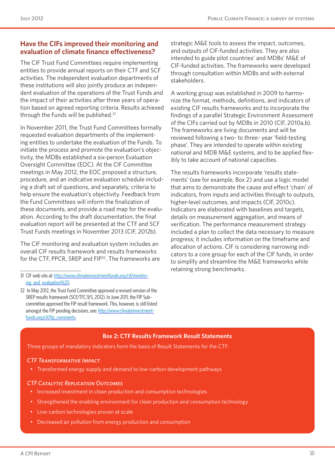#### **Have the CIFs improved their monitoring and evaluation of climate finance effectiveness?**

The CIF Trust Fund Committees require implementing entities to provide annual reports on their CTF and SCF activities. The independent evaluation departments of these institutions will also jointly produce an independent evaluation of the operations of the Trust Funds and the impact of their activities after three years of operation based on agreed reporting criteria. Results achieved through the Funds will be published.31

In November 2011, the Trust Fund Committees formally requested evaluation departments of the implementing entities to undertake the evaluation of the Funds. To initiate the process and promote the evaluation's objectivity, the MDBs established a six-person Evaluation Oversight Committee (EOC). At the CIF Committee meetings in May 2012, the EOC proposed a structure, procedure, and an indicative evaluation schedule including a draft set of questions, and separately, criteria to help ensure the evaluation's objectivity. Feedback from the Fund Committees will inform the finalization of these documents, and provide a road map for the evaluation. According to the draft documentation, the final evaluation report will be presented at the CTF and SCF Trust Funds meetings in November 2013 (CIF, 2012b).

The CIF monitoring and evaluation system includes an overall CIF results framework and results frameworks for the CTF, PPCR, SREP and FIP32. The frameworks are strategic M&E tools to assess the impact, outcomes, and outputs of CIF-funded activities. They are also intended to guide pilot countries' and MDBs' M&E of CIF-funded activities. The frameworks were developed through consultation within MDBs and with external stakeholders.

A working group was established in 2009 to harmonize the format, methods, definitions, and indicators of existing CIF results frameworks and to incorporate the findings of a parallel Strategic Environment Assessment of the CIFs carried out by MDBs in 2010 (CIF, 2010a,b). The frameworks are living documents and will be reviewed following a two- to three- year 'field-testing phase'. They are intended to operate within existing national and MDB M&E systems, and to be applied flexibly to take account of national capacities.

The results frameworks incorporate 'results statements' (see for example, Box 2) and use a logic model that aims to demonstrate the cause and effect 'chain' of indicators, from inputs and activities through to outputs, higher-level outcomes, and impacts (CIF, 2010c). Indicators are elaborated with baselines and targets, details on measurement aggregation, and means of verification. The performance measurement strategy included a plan to collect the data necessary to measure progress; it includes information on the timeframe and allocation of actions. CIF is considering narrowing indicators to a core group for each of the CIF funds, in order to simplify and streamline the M&E frameworks while retaining strong benchmarks.

#### **Box 2: CTF Results Framework Result Statements**

Three groups of mandatory indicators form the basis of Result Statements for the CTF:

#### *CTF Transformative Impact*

• Transformed energy supply and demand to low-carbon development pathways

#### *CTF Catalytic Replication Outcomes*

- Increased investment in clean production and consumption technologies
- • Strengthened the enabling environment for clean production and consumption technology
- Low-carbon technologies proven at scale
- Decreased air pollution from energy production and consumption

<sup>31</sup> CIF web site at: [http://www.climateinvestmentfunds.org/cif/monitor](http://www.climateinvestmentfunds.org/cif/monitoring_and_evaluation%20)ing and evaluation%20.

<sup>32</sup> In May 2012, the Trust Fund Committee approved a revised version of the SREP results framework (SCF/TFC.9/5, 2012). In June 2011, the FIP Subcommittee approved the FIP result framework. This, however, is still listed amongst the FIP pending decisions, see: [http://www.climateinvestment](http://www.climateinvestmentfunds.org/cif/fip_comments)[funds.org/cif/fip\\_comments](http://www.climateinvestmentfunds.org/cif/fip_comments).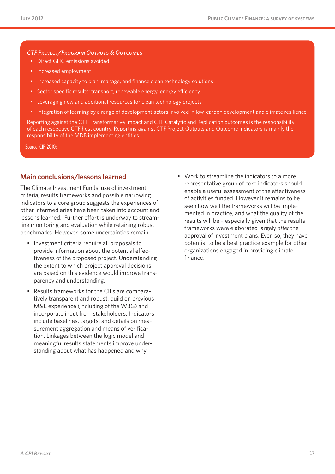#### *CTF Project/Program Outputs & Outcomes*

- Direct GHG emissions avoided
- • Increased employment
- Increased capacity to plan, manage, and finance clean technology solutions
- Sector specific results: transport, renewable energy, energy efficiency
- Leveraging new and additional resources for clean technology projects
- • Integration of learning by a range of development actors involved in low-carbon development and climate resilience

Reporting against the CTF Transformative Impact and CTF Catalytic and Replication outcomes is the responsibility of each respective CTF host country. Reporting against CTF Project Outputs and Outcome Indicators is mainly the responsibility of the MDB implementing entities.

Source: CIF, 2010c.

#### **Main conclusions/lessons learned**

The Climate Investment Funds' use of investment criteria, results frameworks and possible narrowing indicators to a core group suggests the experiences of other intermediaries have been taken into account and lessons learned. Further effort is underway to streamline monitoring and evaluation while retaining robust benchmarks. However, some uncertainties remain:

- • Investment criteria require all proposals to provide information about the potential effectiveness of the proposed project. Understanding the extent to which project approval decisions are based on this evidence would improve transparency and understanding.
- • Results frameworks for the CIFs are comparatively transparent and robust, build on previous M&E experience (including of the WBG) and incorporate input from stakeholders. Indicators include baselines, targets, and details on measurement aggregation and means of verification. Linkages between the logic model and meaningful results statements improve understanding about what has happened and why.
- • Work to streamline the indicators to a more representative group of core indicators should enable a useful assessment of the effectiveness of activities funded. However it remains to be seen how well the frameworks will be implemented in practice, and what the quality of the results will be – especially given that the results frameworks were elaborated largely *after* the approval of investment plans. Even so, they have potential to be a best practice example for other organizations engaged in providing climate finance.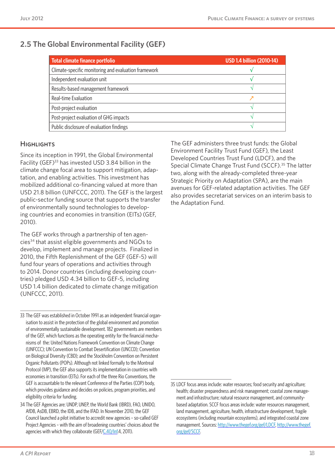## **2.5 The Global Environmental Facility (GEF)**

| Total climate finance portfolio                      | <b>USD 1.4 billion (2010-14)</b> |
|------------------------------------------------------|----------------------------------|
| Climate-specific monitoring and evaluation framework |                                  |
| Independent evaluation unit                          |                                  |
| Results-based management framework                   |                                  |
| Real-time Evaluation                                 |                                  |
| Post-project evaluation                              |                                  |
| Post-project evaluation of GHG impacts               |                                  |
| Public disclosure of evaluation findings             |                                  |

#### **HIGHLIGHTS**

Since its inception in 1991, the Global Environmental Facility (GEF)33 has invested USD 3.84 billion in the climate change focal area to support mitigation, adaptation, and enabling activities. This investment has mobilized additional co-financing valued at more than USD 21.8 billion (UNFCCC, 2011). The GEF is the largest public-sector funding source that supports the transfer of environmentally sound technologies to developing countries and economies in transition (EITs)(GEF, 2010).

The GEF works through a partnership of ten agencies34 that assist eligible governments and NGOs to develop, implement and manage projects. Finalized in 2010, the Fifth Replenishment of the GEF (GEF-5) will fund four years of operations and activities through to 2014. Donor countries (including developing countries) pledged USD 4.34 billion to GEF-5, including USD 1.4 billion dedicated to climate change mitigation (UNFCCC, 2011).

The GEF administers three trust funds: the Global Environment Facility Trust Fund (GEF), the Least Developed Countries Trust Fund (LDCF), and the Special Climate Change Trust Fund (SCCF).<sup>35</sup> The latter two, along with the already-completed three-year Strategic Priority on Adaptation (SPA), are the main avenues for GEF-related adaptation activities. The GEF also provides secretariat services on an interim basis to the Adaptation Fund.

<sup>33</sup> The GEF was established in October 1991 as an independent financial organisation to assist in the protection of the global environment and promotion of environmentally sustainable development. 182 governments are members of the GEF, which functions as the operating entity for the financial mechanisms of the: United Nations Framework Convention on Climate Change (UNFCCC); UN Convention to Combat Desertification (UNCCD); Convention on Biological Diversity (CBD); and the Stockholm Convention on Persistent Organic Pollutants (POPs). Although not linked formally to the Montreal Protocol (MP), the GEF also supports its implementation in countries with economies in transition (EITs). For each of the three Rio Conventions, the GEF is accountable to the relevant Conference of the Parties (COP) body, which provides guidance and decides on policies, program priorities, and eligibility criteria for funding.

<sup>34</sup> The GEF Agencies are: UNDP, UNEP, the World Bank (IBRD), FAO, UNIDO, AfDB, AsDB, EBRD, the IDB, and the IFAD. In November 2010, the GEF Council launched a pilot initiative to accredit new agencies – so-called GEF Project Agencies – with the aim of broadening countries' choices about the agencies with which they collaborate (GEF[/C.40/Inf](C.40/Inf).4, 2011).

<sup>35</sup> LDCF focus areas include: water resources; food security and agriculture; health; disaster preparedness and risk management; coastal zone management and infrastructure; natural resource management, and communitybased adaptation. SCCF focus areas include: water resources management, land management, agriculture, health, infrastructure development, fragile ecosystems (including mountain ecosystems), and integrated coastal zone management. Sources:<http://www.thegef.org/gef/LDCF>, [http://www.thegef.](http://www.thegef.org/gef/SCCF) [org/gef/SCCF.](http://www.thegef.org/gef/SCCF)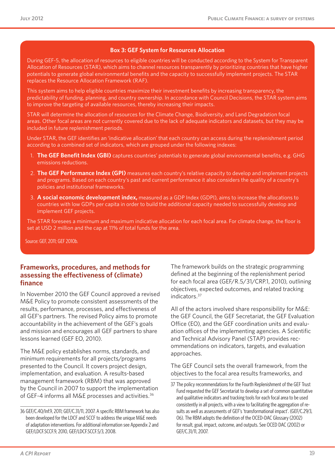#### **Box 3: GEF System for Resources Allocation**

During GEF-5, the allocation of resources to eligible countries will be conducted according to the System for Transparent Allocation of Resources (STAR), which aims to channel resources transparently by prioritizing countries that have higher potentials to generate global environmental benefits and the capacity to successfully implement projects. The STAR replaces the Resource Allocation Framework (RAF).

This system aims to help eligible countries maximize their investment benefits by increasing transparency, the predictability of funding, planning, and country ownership. In accordance with Council Decisions, the STAR system aims to improve the targeting of available resources, thereby increasing their impacts.

STAR will determine the allocation of resources for the Climate Change, Biodiversity, and Land Degradation focal areas. Other focal areas are not currently covered due to the lack of adequate indicators and datasets, but they may be included in future replenishment periods.

Under STAR, the GEF identifies an 'indicative allocation' that each country can access during the replenishment period according to a combined set of indicators, which are grouped under the following indexes:

- 1. **The GEF Benefit Index (GBI)** captures countries' potentials to generate global environmental benefits, e.g. GHG emissions reductions.
- 2. **The GEF Performance Index (GPI)** measures each country's relative capacity to develop and implement projects and programs. Based on each country's past and current performance it also considers the quality of a country's policies and institutional frameworks.
- 3. **A social economic development index,** measured as a GDP Index (GDPI), aims to increase the allocations to countries with low GDPs per capita in order to build the additional capacity needed to successfully develop and implement GEF projects.

The STAR foresees a minimum and maximum indicative allocation for each focal area. For climate change, the floor is set at USD 2 million and the cap at 11% of total funds for the area.

Source: GEF, 2011; GEF 2010b.

#### **Frameworks, procedures, and methods for assessing the effectiveness of (climate) finance**

In November 2010 the GEF Council approved a revised M&E Policy to promote consistent assessments of the results, performance, processes, and effectiveness of all GEF's partners. The revised Policy aims to promote accountability in the achievement of the GEF's goals and mission and encourages all GEF partners to share lessons learned (GEF EO, 2010).

The M&E policy establishes norms, standards, and minimum requirements for all projects/programs presented to the Council. It covers project design, implementation, and evaluation. A results-based management framework (RBM) that was approved by the Council in 2007 to support the implementation of GEF-4 informs all M&E processes and activities.<sup>36</sup>

The framework builds on the strategic programming defined at the beginning of the replenishment period for each focal area (GEF[/R.5/31/CRP](R.5/31/CRP).1, 2010), outlining objectives, expected outcomes, and related tracking indicators.37

All of the actors involved share responsibility for M&E: the GEF Council, the GEF Secretariat, the GEF Evaluation Office (EO), and the GEF coordination units and evaluation offices of the implementing agencies. A Scientific and Technical Advisory Panel (STAP) provides recommendations on indicators, targets, and evaluation approaches.

The GEF Council sets the overall framework, from the objectives to the focal area results frameworks, and

<sup>36</sup> GEF[/C.40/Inf](C.40/Inf).9, 2011; GEF/C.31/11, 2007. A specific RBM framework has also been developed for the LDCF and SCCF to address the unique M&E needs of adaptation interventions. For additional information see Appendix 2 and GEF[/LDCF.SCCF.](LDCF.SCCF)9, 2010, GEF[/LDCF.SCCF.](LDCF.SCCF)5/3, 2008.

<sup>37</sup> The policy recommendations for the Fourth Replenishment of the GEF Trust Fund requested the GEF Secretariat to develop a set of common quantitative and qualitative indicators and tracking tools for each focal area to be used consistently in all projects, with a view to facilitating the aggregation of results as well as assessments of GEF's 'transformational impact'. (GEF/C.29/3, 06). The RBM adopts the definition of the OCED-DAC Glossary (2002) for result, goal, impact, outcome, and outputs. See OCED DAC (2002) or GEF/C.31/11, 2007.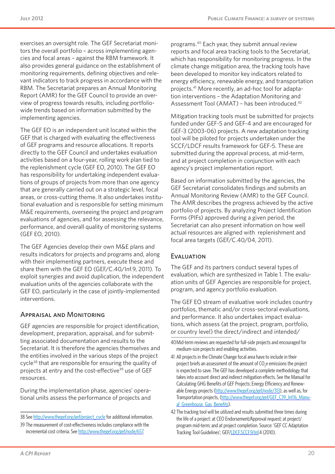exercises an oversight role. The GEF Secretariat monitors the overall portfolio – across implementing agencies and focal areas – against the RBM framework. It also provides general guidance on the establishment of monitoring requirements, defining objectives and relevant indicators to track progress in accordance with the RBM. The Secretariat prepares an Annual Monitoring Report (AMR) for the GEF Council to provide an overview of progress towards results, including portfoliowide trends based on information submitted by the implementing agencies.

The GEF EO is an independent unit located within the GEF that is charged with evaluating the effectiveness of GEF programs and resource allocations. It reports directly to the GEF Council and undertakes evaluation activities based on a four-year, rolling work plan tied to the replenishment cycle (GEF EO, 2010). The GEF EO has responsibility for undertaking independent evaluations of groups of projects from more than one agency that are generally carried out on a strategic level, focal areas, or cross-cutting theme. It also undertakes institutional evaluation and is responsible for setting minimum M&E requirements, overseeing the project and program evaluations of agencies, and for assessing the relevance, performance, and overall quality of monitoring systems (GEF EO, 2010).

The GEF Agencies develop their own M&E plans and results indicators for projects and programs and, along with their implementing partners, execute these and share them with the GEF EO (GEF[/C.40/Inf](C.40/Inf).9, 2011). To exploit synergies and avoid duplication, the independent evaluation units of the agencies collaborate with the GEF EO, particularly in the case of jointly-implemented interventions.

#### Appraisal and Monitoring

GEF agencies are responsible for project identification, development, preparation, appraisal, and for submitting associated documentation and results to the Secretariat. It is therefore the agencies themselves and the entities involved in the various steps of the project cycle38 that are responsible for ensuring the quality of projects at entry and the cost-effective<sup>39</sup> use of GEF resources.

During the implementation phase, agencies' operational units assess the performance of projects and programs.40 Each year, they submit annual review reports and focal area tracking tools to the Secretariat, which has responsibility for monitoring progress. In the climate change mitigation area, the tracking tools have been developed to monitor key indicators related to energy efficiency, renewable energy, and transportation projects.41 More recently, an ad-hoc tool for adaptation interventions – the Adaptation Monitoring and Assessment Tool (AMAT) – has been introduced.42

Mitigation tracking tools must be submitted for projects funded under GEF-5 and GEF-4 and are encouraged for GEF-3 (2003-06) projects. A new adaptation tracking tool will be piloted for projects undertaken under the SCCF/LDCF results framework for GEF-5. These are submitted during the approval process, at mid-term, and at project completion in conjunction with each agency's project implementation report.

Based on information submitted by the agencies, the GEF Secretariat consolidates findings and submits an Annual Monitoring Review (AMR) to the GEF Council. The AMR describes the progress achieved by the active portfolio of projects. By analyzing Project Identification Forms (PIFs) approved during a given period, the Secretariat can also present information on how well actual resources are aligned with replenishment and focal area targets (GEF/C.40/04, 2011).

#### **EVALUATION**

The GEF and its partners conduct several types of evaluation, which are synthesized in Table 1. The evaluation units of GEF Agencies are responsible for project, program, and agency portfolio evaluation.

The GEF EO stream of evaluative work includes country portfolios, thematic and/or cross-sectoral evaluations, and performance. It also undertakes impact evaluations, which assess (at the project, program, portfolio, or country level) the direct/indirect and intended/

- 41 All projects in the Climate Change focal area have to include in their project briefs an assessment of the amount of  $CO<sub>2</sub>$ e emissions the project is expected to save. The GEF has developed a complete methodology that takes into account direct and indirect mitigation effects. See the Manual for Calculating GHG Benefits of GEF Projects: Energy Efficiency and Renewable Energy projects ([http://www.thegef.org/gef/node/313\)](http://www.thegef.org/gef/node/313), as well as, for Transportation projects, [\(http://www.thegef.org/gef/GEF\\_C39\\_Inf.16\\_Manu](http://www.thegef.org/gef/GEF_C39_Inf.16_Manual_Greenhouse_Gas_Benefits)al Greenhouse Gas Benefits).
- 42 The tracking tool will be utilized and results submitted three times during the life of a project: at CEO Endorsement/Approval request; at project/ program mid-term; and at project completion. Source: 'GEF CC Adaptation Tracking Tool Guidelines'; GEF[/LDCF.SCCF.9/Inf.](LDCF.SCCF.9/Inf)4 (2010).

<sup>38</sup> See [http://www.thegef.org/gef/project\\_cycle](http://www.thegef.org/gef/project_cycle) for additional information.

<sup>39</sup> The measurement of cost-effectiveness includes compliance with the incremental cost criteria. See [http://www.thegef.org/gef/node/657.](http://www.thegef.org/gef/node/657)

<sup>40</sup>Mid-term reviews are requested for full-side projects and encouraged for medium-size projects and enabling activities.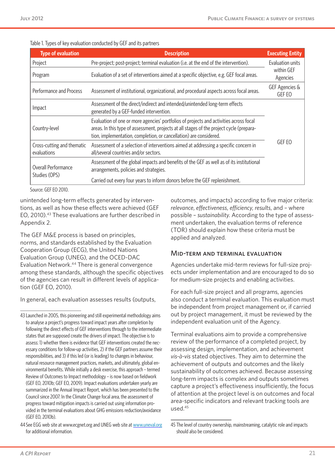|  | Table 1. Types of key evaluation conducted by GEF and its partners |
|--|--------------------------------------------------------------------|
|--|--------------------------------------------------------------------|

| <b>Type of evaluation</b>                                                                                                                                                  | <b>Description</b>                                                                                                                                                                                                                                       | <b>Executing Entity</b>  |
|----------------------------------------------------------------------------------------------------------------------------------------------------------------------------|----------------------------------------------------------------------------------------------------------------------------------------------------------------------------------------------------------------------------------------------------------|--------------------------|
| Project                                                                                                                                                                    | Pre-project; post-project; terminal evaluation (i.e. at the end of the intervention).                                                                                                                                                                    | Evaluation units         |
| Program                                                                                                                                                                    | Evaluation of a set of interventions aimed at a specific objective, e.g. GEF focal areas.                                                                                                                                                                | within GEF<br>Agencies   |
| Performance and Process                                                                                                                                                    | Assessment of institutional, organizational, and procedural aspects across focal areas.                                                                                                                                                                  | GEF Agencies &<br>GEF EO |
| Impact                                                                                                                                                                     | Assessment of the direct/indirect and intended/unintended long-term effects<br>generated by a GEF-funded intervention.                                                                                                                                   |                          |
| Country-level                                                                                                                                                              | Evaluation of one or more agencies' portfolios of projects and activities across focal<br>areas. In this type of assessment, projects at all stages of the project cycle (prepara-<br>tion, implementation, completion, or cancellation) are considered. |                          |
| Assessment of a selection of interventions aimed at addressing a specific concern in<br>Cross-cutting and thematic<br>evaluations<br>all/several countries and/or sectors. |                                                                                                                                                                                                                                                          | <b>GEF EO</b>            |
| Overall Performance                                                                                                                                                        | Assessment of the global impacts and benefits of the GEF as well as of its institutional<br>arrangements, policies and strategies.                                                                                                                       |                          |
| Studies (OPS)                                                                                                                                                              | Carried out every four years to inform donors before the GEF replenishment.                                                                                                                                                                              |                          |

Source: GEF EO 2010.

unintended long-term effects generated by interventions, as well as how these effects were achieved (GEF EO, 2010).43 These evaluations are further described in Appendix 2.

The GEF M&E process is based on principles, norms, and standards established by the Evaluation Cooperation Group (ECG), the United Nations Evaluation Group (UNEG), and the OCED-DAC Evaluation Network.44 There is general convergence among these standards, although the specific objectives of the agencies can result in different levels of application (GEF EO, 2010).

In general, each evaluation assesses results (outputs,

outcomes, and impacts) according to five major criteria: *relevance*, *effectiveness*, *efficiency*, *results*, and – where possible – *sustainability*. According to the type of assessment undertaken, the evaluation terms of reference (TOR) should explain how these criteria must be applied and analyzed.

#### Mid-term and terminal evaluation

Agencies undertake mid-term reviews for full-size projects under implementation and are encouraged to do so for medium-size projects and enabling activities.

For each full-size project and all programs, agencies also conduct a terminal evaluation. This evaluation must be independent from project management or, if carried out by project management, it must be reviewed by the independent evaluation unit of the Agency.

Terminal evaluations aim to provide a comprehensive review of the performance of a completed project, by assessing design, implementation, and achievement *vis-à-vis* stated objectives. They aim to determine the achievement of outputs and outcomes and the likely sustainability of outcomes achieved. Because assessing long-term impacts is complex and outputs sometimes capture a project's effectiveness insufficiently, the focus of attention at the project level is on outcomes and focal area-specific indicators and relevant tracking tools are used.45

<sup>43</sup>Launched in 2005, this pioneering and still experimental methodology aims to analyse a project's progress toward impact years after completion by following the direct effects of GEF interventions through to the intermediate states that are supposed create the drivers of impact. The objective is to assess: 1) whether there is evidence that GEF interventions created the necessary conditions for follow-up activities, 2) if the GEF partners assume their responsibilities, and 3) if this led (or is leading) to changes in behaviour, natural resource management practices, markets, and ultimately, global environmental benefits. While initially a desk exercise, this approach – termed Review of Outcomes to Impact methodology – is now based on fieldwork (GEF EO, 2010b; GEF EO, 2009). Impact evaluations undertaken yearly are summarized in the Annual Impact Report, which has been presented to the Council since 2007. In the Climate Change focal area, the assessment of progress toward mitigation impacts is carried out using information provided in the terminal evaluations about GHG emissions reduction/avoidance (GEF EO, 2010b).

<sup>44</sup> See EGG web site at [www.ecgnet.org](http://www.ecgnet.org) and UNEG web site at <www.uneval.org> for additional information.

<sup>45</sup> The level of country ownership, mainstreaming, catalytic role and impacts should also be considered.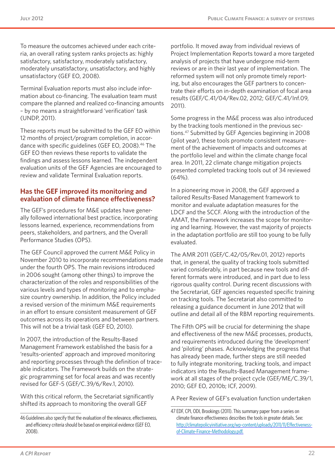To measure the outcomes achieved under each criteria, an overall rating system ranks projects as: highly satisfactory, satisfactory, moderately satisfactory, moderately unsatisfactory, unsatisfactory, and highly unsatisfactory (GEF EO, 2008).

Terminal Evaluation reports must also include information about co-financing. The evaluation team must compare the planned and realized co-financing amounts – by no means a straightforward 'verification' task (UNDP, 2011).

These reports must be submitted to the GEF EO within 12 months of project/program completion, in accordance with specific guidelines (GEF EO, 2008).46 The GEF EO then reviews these reports to validate the findings and assess lessons learned. The independent evaluation units of the GEF Agencies are encouraged to review and validate Terminal Evaluation reports.

#### **Has the GEF improved its monitoring and evaluation of climate finance effectiveness?**

The GEF's procedures for M&E updates have generally followed international best practice, incorporating lessons learned, experience, recommendations from peers, stakeholders, and partners, and the Overall Performance Studies (OPS).

The GEF Council approved the current M&E Policy in November 2010 to incorporate recommendations made under the fourth OPS. The main revisions introduced in 2006 sought (among other things) to improve the characterization of the roles and responsibilities of the various levels and types of monitoring and to emphasize country ownership. In addition, the Policy included a revised version of the minimum M&E requirements in an effort to ensure consistent measurement of GEF outcomes across its operations and between partners. This will not be a trivial task (GEF EO, 2010).

In 2007, the introduction of the Results-Based Management Framework established the basis for a 'results-oriented' approach and improved monitoring and reporting processes through the definition of traceable indicators. The Framework builds on the strategic programming set for focal areas and was recently revised for GEF-5 (GEF[/C.39/6/Rev](C.39/6/Rev).1, 2010).

With this critical reform, the Secretariat significantly shifted its approach to monitoring the overall GEF

portfolio. It moved away from individual reviews of Project Implementation Reports toward a more targeted analysis of projects that have undergone mid-term reviews or are in their last year of implementation. The reformed system will not only promote timely reporting, but also encourages the GEF partners to concentrate their efforts on in-depth examination of focal area results (GEF[/C.41/04/Rev](C.41/04/Rev).02, 2012; GEF[/C.41/Inf](C.41/Inf).09, 2011).

Some progress in the M&E process was also introduced by the tracking tools mentioned in the previous sections.47 Submitted by GEF Agencies beginning in 2008 (pilot year), these tools promote consistent measurement of the achievement of impacts and outcomes at the portfolio level and within the climate change focal area. In 2011, 22 climate change mitigation projects presented completed tracking tools out of 34 reviewed (64%).

In a pioneering move in 2008, the GEF approved a tailored Results-Based Management framework to monitor and evaluate adaptation measures for the LDCF and the SCCF. Along with the introduction of the AMAT, the Framework increases the scope for monitoring and learning. However, the vast majority of projects in the adaptation portfolio are still too young to be fully evaluated.

The AMR 2011 (GEF[/C.42/05/Rev.](C.42/05/Rev)01, 2012) reports that, in general, the quality of tracking tools submitted varied considerably, in part because new tools and different formats were introduced, and in part due to less rigorous quality control. During recent discussions with the Secretariat, GEF agencies requested specific training on tracking tools. The Secretariat also committed to releasing a guidance document in June 2012 that will outline and detail all of the RBM reporting requirements.

The Fifth OPS will be crucial for determining the shape and effectiveness of the new M&E processes, products, and requirements introduced during the 'development' and 'piloting' phases. Acknowledging the progress that has already been made, further steps are still needed to fully integrate monitoring, tracking tools, and impact indicators into the Results-Based Management framework at all stages of the project cycle (GEF/ME/C.39/1, 2010; GEF EO, 2010b; ICF, 2009).

A Peer Review of GEF's evaluation function undertaken

<sup>46</sup> Guidelines also specify that the evaluation of the relevance, effectiveness, and efficiency criteria should be based on empirical evidence (GEF EO, 2008).

<sup>47</sup>EDF, CPI, ODI, Brookings (2011). This summary paper from a series on climate finance effectiveness describes the tools in greater details. See: [http://climatepolicyinitiative.org/wp-content/uploads/2011/11/Effectiveness](http://climatepolicyinitiative.org/wp-content/uploads/2011/11/Effectiveness-of-Climate-Finance-Methodology.pdf)[of-Climate-Finance-Methodology.pdf.](http://climatepolicyinitiative.org/wp-content/uploads/2011/11/Effectiveness-of-Climate-Finance-Methodology.pdf)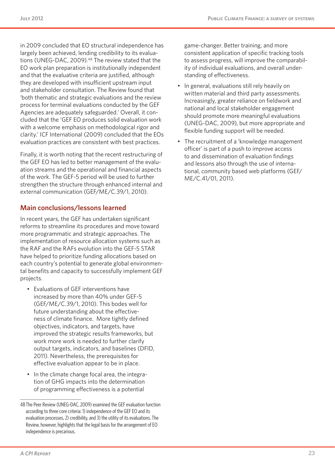in 2009 concluded that EO structural independence has largely been achieved, lending credibility to its evaluations (UNEG-DAC, 2009).<sup>48</sup> The review stated that the EO work plan preparation is institutionally independent and that the evaluative criteria are justified, although they are developed with insufficient upstream input and stakeholder consultation. The Review found that 'both thematic and strategic evaluations and the review process for terminal evaluations conducted by the GEF Agencies are adequately safeguarded.' Overall, it concluded that the 'GEF EO produces solid evaluation work with a welcome emphasis on methodological rigor and clarity.' ICF International (2009) concluded that the EOs evaluation practices are consistent with best practices.

Finally, it is worth noting that the recent restructuring of the GEF EO has led to better management of the evaluation streams and the operational and financial aspects of the work. The GEF-5 period will be used to further strengthen the structure through enhanced internal and external communication (GEF/ME/C.39/1, 2010).

#### **Main conclusions/lessons learned**

In recent years, the GEF has undertaken significant reforms to streamline its procedures and move toward more programmatic and strategic approaches. The implementation of resource allocation systems such as the RAF and the RAFs evolution into the GEF-5 STAR have helped to prioritize funding allocations based on each country's potential to generate global environmental benefits and capacity to successfully implement GEF projects.

- • Evaluations of GEF interventions have increased by more than 40% under GEF-5 (GEF/ME/C.39/1, 2010). This bodes well for future understanding about the effectiveness of climate finance. More tightly defined objectives, indicators, and targets, have improved the strategic results frameworks, but work more work is needed to further clarify output targets, indicators, and baselines (DFID, 2011). Nevertheless, the prerequisites for effective evaluation appear to be in place.
- In the climate change focal area, the integration of GHG impacts into the determination of programming effectiveness is a potential

game-changer. Better training, and more consistent application of specific tracking tools to assess progress, will improve the comparability of individual evaluations, and overall understanding of effectiveness.

- In general, evaluations still rely heavily on written material and third party assessments. Increasingly, greater reliance on fieldwork and national and local stakeholder engagement should promote more meaningful evaluations (UNEG-DAC, 2009), but more appropriate and flexible funding support will be needed.
- The recruitment of a 'knowledge management officer' is part of a push to improve access to and dissemination of evaluation findings and lessons also through the use of international, community based web platforms (GEF/ ME/C.41/01, 2011).

<sup>48</sup> The Peer Review (UNEG-DAC, 2009) examined the GEF evaluation function according to three core criteria: 1) independence of the GEF EO and its evaluation processes, 2) credibility, and 3) the utility of its evaluations. The Review, however, highlights that the legal basis for the arrangement of EO independence is precarious.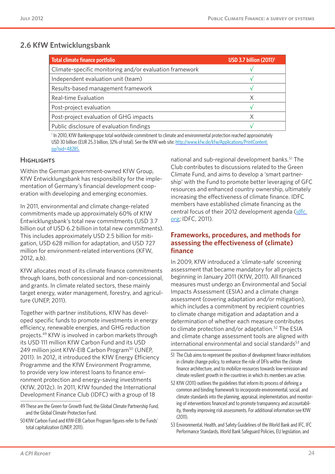## **2.6 KfW Entwicklungsbank**

| <b>Total climate finance portfolio</b>                  | <b>USD 3.7 billion (2011)<sup>1</sup></b> |
|---------------------------------------------------------|-------------------------------------------|
| Climate-specific monitoring and/or evaluation framework |                                           |
| Independent evaluation unit (team)                      |                                           |
| Results-based management framework                      |                                           |
| Real-time Evaluation                                    | X                                         |
| Post-project evaluation                                 |                                           |
| Post-project evaluation of GHG impacts                  | Χ                                         |
| Public disclosure of evaluation findings                |                                           |

<sup>1</sup> In 2010, KfW Bankengruppe total worldwide commitment to climate and environmental protection reached approximately USD 30 billion (EUR 25.3 billion, 32% of total). See the KfW web site: [http://www.kfw.de/kfw/Applications/PrintContent.](http://www.kfw.de/kfw/Applications/PrintContent.jsp?oid=48285.) [jsp?oid=48285.](http://www.kfw.de/kfw/Applications/PrintContent.jsp?oid=48285.)

#### **HIGHLIGHTS**

Within the German government-owned KfW Group, KfW Entwicklungsbank has responsibility for the implementation of Germany's financial development cooperation with developing and emerging economies.

In 2011, environmental and climate change-related commitments made up approximately 60% of KfW Entwicklungsbank's total new commitments (USD 3.7 billion out of USD 6.2 billion in total new commitments). This includes approximately USD 2.5 billion for mitigation, USD 628 million for adaptation, and USD 727 million for environment-related interventions (KFW, 2012, a,b).

KfW allocates most of its climate finance commitments through loans, both concessional and non-concessional, and grants. In climate related sectors, these mainly target energy, water management, forestry, and agriculture (UNEP, 2011).

Together with partner institutions, KfW has developed specific funds to promote investments in energy efficiency, renewable energies, and GHG reduction projects.49 KfW is involved in carbon markets through its USD 111 million KfW Carbon Fund and its USD 249 million joint KfW-EIB Carbon Program<sup>50</sup> (UNEP, 2011). In 2012, it introduced the KfW Energy Efficiency Programme and the KfW Environment Programme, to provide very low interest loans to finance environment protection and energy-saving investments (KfW, 2012c). In 2011, KfW founded the International Development Finance Club (IDFC) with a group of 18

50 KfW Carbon Fund and KfW-EIB Carbon Program figures refer to the Funds' total capitalization (UNEP, 2011).

national and sub-regional development banks.51 The Club contributes to discussions related to the Green Climate Fund, and aims to develop a 'smart partnership' with the Fund to promote better leveraging of GFC resources and enhanced country ownership, ultimately increasing the effectiveness of climate finance. IDFC members have established climate financing as the central focus of their 2012 development agenda ([idfc.](idfc.org) [org;](idfc.org) IDFC, 2011).

#### **Frameworks, procedures, and methods for assessing the effectiveness of (climate) finance**

In 2009, KfW introduced a 'climate-safe' screening assessment that became mandatory for all projects beginning in January 2011 (KfW, 2011). All financed measures must undergo an Environmental and Social Impacts Assessment (ESIA) and a climate change assessment (covering adaptation and/or mitigation), which includes a commitment by recipient countries to climate change mitigation and adaptation and a determination of whether each measure contributes to climate protection and/or adaptation.<sup>52</sup> The ESIA and climate change assessment tools are aligned with international environmental and social standards<sup>53</sup> and

<sup>49</sup> These are the Green for Growth Fund, the Global Climate Partnership Fund, and the Global Climate Protection Fund.

<sup>51</sup> The Club aims to represent the position of development finance institutions in climate change policy, to enhance the role of DFIs within the climate finance architecture, and to mobilize resources towards low-emission and climate resilient growth in the countries in which its members are active.

<sup>52</sup> KfW (2011) outlines the guidelines that inform its process of defining a common and binding framework to incorporate environmental, social, and climate standards into the planning, appraisal, implementation, and monitoring of interventions financed and to promote transparency and accountability, thereby improving risk assessments. For additional information see KfW (2011).

<sup>53</sup> Environmental, Health, and Safety Guidelines of the World Bank and IFC, IFC Performance Standards, World Bank Safeguard Policies, EU legislation, and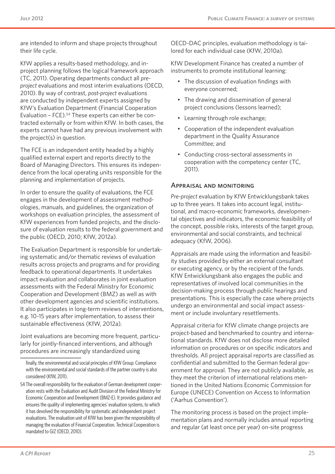are intended to inform and shape projects throughout their life cycle.

KfW applies a results-based methodology, and inproject planning follows the logical framework approach (TC, 2011). Operating departments conduct all *preproject* evaluations and most interim evaluations (OECD, 2010). By way of contrast, *post-project* evaluations are conducted by independent experts assigned by KfW's Evaluation Department (Financial Cooperation Evaluation - FCE).<sup>54</sup> These experts can either be contracted externally or from within KfW. In both cases, the experts cannot have had any previous involvement with the project(s) in question.

The FCE is an independent entity headed by a highly qualified external expert and reports directly to the Board of Managing Directors. This ensures its independence from the local operating units responsible for the planning and implementation of projects.

In order to ensure the quality of evaluations, the FCE engages in the development of assessment methodologies, manuals, and guidelines, the organization of workshops on evaluation principles, the assessment of KfW experiences from funded projects, and the disclosure of evaluation results to the federal government and the public (OECD, 2010; KfW, 2012a).

The Evaluation Department is responsible for undertaking systematic and/or thematic reviews of evaluation results across projects and programs and for providing feedback to operational departments. It undertakes impact evaluation and collaborates in joint evaluation assessments with the Federal Ministry for Economic Cooperation and Development (BMZ) as well as with other development agencies and scientific institutions. It also participates in long-term reviews of interventions, e.g. 10-15 years after implementation, to assess their sustainable effectiveness (KfW, 2012a).

Joint evaluations are becoming more frequent, particularly for jointly-financed interventions, and although procedures are increasingly standardized using

OECD-DAC principles, evaluation methodology is tailored for each individual case (KfW, 2010a).

KfW Development Finance has created a number of instruments to promote institutional learning:

- The discussion of evaluation findings with everyone concerned;
- The drawing and dissemination of general project conclusions (lessons learned);
- • Learning through role exchange;
- • Cooperation of the independent evaluation department in the Quality Assurance Committee; and
- Conducting cross-sectoral assessments in cooperation with the competency center (TC, 2011).

#### Appraisal and monitoring

*Pre-project* evaluation by KfW Entwicklungsbank takes up to three years. It takes into account legal, institutional, and macro-economic frameworks, developmental objectives and indicators, the economic feasibility of the concept, possible risks, interests of the target group, environmental and social constraints, and technical adequacy (KfW, 2006).

Appraisals are made using the information and feasibility studies provided by either an external consultant or executing agency, or by the recipient of the funds. KfW Entwicklungsbank also engages the public and representatives of involved local communities in the decision-making process through public hearings and presentations. This is especially the case where projects undergo an environmental and social impact assessment or include involuntary resettlements.

Appraisal criteria for KfW climate change projects are project-based and benchmarked to country and international standards. KfW does not disclose more detailed information on procedures or on specific indicators and thresholds. All project appraisal reports are classified as confidential and submitted to the German federal government for approval. They are not publicly available, as they meet the criterion of international relations mentioned in the United Nations Economic Commission for Europe (UNECE) Convention on Access to Information ('Aarhus Convention').

The monitoring process is based on the project implementation plans and normally includes annual reporting and regular (at least once per year) on-site progress

finally, the environmental and social principles of KfW Group. Compliance with the environmental and social standards of the partner country is also considered (KfW, 2011).

<sup>54</sup> The overall responsibility for the evaluation of German development cooperation rests with the Evaluation and Audit Division of the Federal Ministry for Economic Cooperation and Development (BMZ-E). It provides guidance and ensures the quality of implementing agencies' evaluation systems, to which it has devolved the responsibility for systematic and independent project evaluations. The evaluation unit of KfW has been given the responsibility of managing the evaluation of Financial Cooperation. Technical Cooperation is mandated to GIZ (OECD, 2010).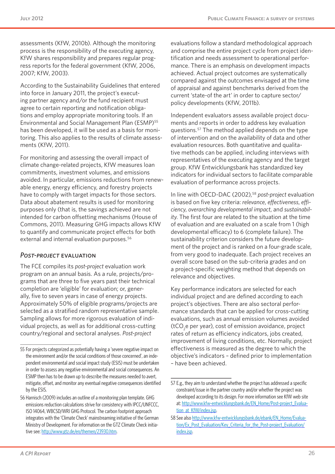assessments (KfW, 2010b). Although the monitoring process is the responsibility of the executing agency, KfW shares responsibility and prepares regular progress reports for the federal government (KfW, 2006, 2007; KfW, 2003).

According to the Sustainability Guidelines that entered into force in January 2011, the project's executing partner agency and/or the fund recipient must agree to certain reporting and notification obligations and employ appropriate monitoring tools. If an Environmental and Social Management Plan (ESMP)55 has been developed, it will be used as a basis for monitoring. This also applies to the results of climate assessments (KfW, 2011).

For monitoring and assessing the overall impact of climate change-related projects, KfW measures loan commitments, investment volumes, and emissions avoided. In particular, emissions reductions from renewable energy, energy efficiency, and forestry projects have to comply with target impacts for those sectors. Data about abatement results is used for monitoring purposes only (that is, the savings achieved are not intended for carbon offsetting mechanisms (House of Commons, 2011). Measuring GHG impacts allows KfW to quantify and communicate project effects for both external and internal evaluation purposes.<sup>56</sup>

#### *Post-project* evaluation

The FCE compiles its *post-project* evaluation work program on an annual basis. As a rule, projects/programs that are three to five years past their technical completion are 'eligible' for evaluation; or, generally, five to seven years in case of energy projects. Approximately 50% of eligible programs/projects are selected as a stratified random representative sample. Sampling allows for more rigorous evaluation of individual projects, as well as for additional cross-cutting country/regional and sectoral analyses. *Post-project*

evaluations follow a standard methodological approach and comprise the entire project cycle from project identification and needs assessment to operational performance. There is an emphasis on development impacts achieved. Actual project outcomes are systematically compared against the outcomes envisaged at the time of appraisal and against benchmarks derived from the current 'state-of the art' in order to capture sector/ policy developments (KfW, 2011b).

Independent evaluators assess available project documents and reports in order to address key evaluation questions.57 The method applied depends on the type of intervention and on the availability of data and other evaluation resources. Both quantitative and qualitative methods can be applied, including interviews with representatives of the executing agency and the target group. KfW Entwicklungsbank has standardized key indicators for individual sectors to facilitate comparable evaluation of performance across projects.

In line with OECD-DAC (2002),58 *post-project* evaluation is based on five key criteria: *relevance*, *effectiveness*, *efficiency*, *overarching developmental impact*, and *sustainability*. The first four are related to the situation at the time of evaluation and are evaluated on a scale from 1 (high developmental efficacy) to 6 (complete failure). The sustainability criterion considers the future development of the project and is ranked on a four-grade scale, from very good to inadequate. Each project receives an overall score based on the sub-criteria grades and on a project-specific weighting method that depends on relevance and objectives.

Key performance indicators are selected for each individual project and are defined according to each project's objectives. There are also sectoral performance standards that can be applied for cross-cutting evaluations, such as annual emission volumes avoided ( $tCO_2$ e per year), cost of emission avoidance, project rates of return as efficiency indicators, jobs created, improvement of living conditions, etc. Normally, project effectiveness is measured as the degree to which the objective's indicators – defined prior to implementation – have been achieved.

<sup>55</sup> For projects categorized as potentially having a 'severe negative impact on the environment and/or the social conditions of those concerned', an independent environmental and social impact study (ESIS) must be undertaken in order to assess any negative environmental and social consequences. An ESMP then has to be drawn up to describe the measures needed to avert, mitigate, offset, and monitor any eventual negative consequences identified by the ESIS.

<sup>56</sup> Harnisch (2009) includes an outline of a monitoring plan template. GHG emissions reduction calculations strive for consistency with IPCC/UNFCCC, ISO 14064, WBCSD/WRI GHG Protocol. The carbon footprint approach integrates with the 'Climate Check' mainstreaming initiative of the German Ministry of Development. For information on the GTZ Climate Check initiative see: <http://www.gtz.de/en/themen/23930.htm>.

<sup>57</sup> E.g., they aim to understand whether the project has addressed a specific constraint/issue in the partner country and/or whether the project was developed according to its design. For more information see KfW web site at: [http://www.kfw-entwicklungsbank.de/EN\\_Home/Post-project\\_Evalua](http://www.kfw-entwicklungsbank.de/EN_Home/Ex-post_Evaluation_at_KfW/index.jsp)[tion\\_at\\_KfW/index.jsp](http://www.kfw-entwicklungsbank.de/EN_Home/Ex-post_Evaluation_at_KfW/index.jsp).

<sup>58</sup> See also [http://www.kfw-entwicklungsbank.de/ebank/EN\\_Home/Evalua](http://www.kfw-entwicklungsbank.de/ebank/EN_Home/Evaluation/Ex_Post_Evaluation/Key_Criteria_for_the_Ex-Post_Evaluation/index.jsp)[tion/Ex\\_Post\\_Evaluation/Key\\_Criteria\\_for\\_the\\_Post-project\\_Evaluation/](http://www.kfw-entwicklungsbank.de/ebank/EN_Home/Evaluation/Ex_Post_Evaluation/Key_Criteria_for_the_Ex-Post_Evaluation/index.jsp) [index.jsp.](http://www.kfw-entwicklungsbank.de/ebank/EN_Home/Evaluation/Ex_Post_Evaluation/Key_Criteria_for_the_Ex-Post_Evaluation/index.jsp)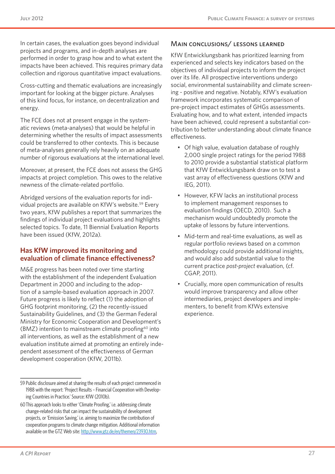In certain cases, the evaluation goes beyond individual projects and programs, and in-depth analyses are performed in order to grasp how and to what extent the impacts have been achieved. This requires primary data collection and rigorous quantitative impact evaluations.

Cross-cutting and thematic evaluations are increasingly important for looking at the bigger picture. Analyses of this kind focus, for instance, on decentralization and energy.

The FCE does not at present engage in the systematic reviews (meta-analyses) that would be helpful in determining whether the results of impact assessments could be transferred to other contexts. This is because of meta-analyses generally rely heavily on an adequate number of rigorous evaluations at the international level.

Moreover, at present, the FCE does not assess the GHG impacts at project completion. This owes to the relative newness of the climate-related portfolio.

Abridged versions of the evaluation reports for individual projects are available on KfW's website.<sup>59</sup> Every two years, KfW publishes a report that summarizes the findings of individual project evaluations and highlights selected topics. To date, 11 Biennial Evaluation Reports have been issued (KfW, 2012a).

#### **Has KfW improved its monitoring and evaluation of climate finance effectiveness?**

M&E progress has been noted over time starting with the establishment of the independent Evaluation Department in 2000 and including to the adoption of a sample-based evaluation approach in 2007. Future progress is likely to reflect (1) the adoption of GHG footprint monitoring, (2) the recently-issued Sustainability Guidelines, and (3) the German Federal Ministry for Economic Cooperation and Development's (BMZ) intention to mainstream climate proofing $60$  into all interventions, as well as the establishment of a new evaluation institute aimed at promoting an entirely independent assessment of the effectiveness of German development cooperation (KfW, 2011b).

#### Main conclusions/ lessons learned

KfW Entwicklungsbank has prioritized learning from experienced and selects key indicators based on the objectives of individual projects to inform the project over its life. All prospective interventions undergo social, environmental sustainability and climate screening - positive and negative. Notably, KfW's evaluation framework incorporates systematic comparison of pre-project impact estimates of GHGs assessments. Evaluating how, and to what extent, intended impacts have been achieved, could represent a substantial contribution to better understanding about climate finance effectiveness.

- Of high value, evaluation database of roughly 2,000 single project ratings for the period 1988 to 2010 provide a substantial statistical platform that KfW Entwicklungsbank draw on to test a vast array of effectiveness questions (KfW and IEG, 2011).
- • However, KFW lacks an institutional process to implement management responses to evaluation findings (OECD, 2010). Such a mechanism would undoubtedly promote the uptake of lessons by future interventions.
- Mid-term and real-time evaluations, as well as regular portfolio reviews based on a common methodology could provide additional insights, and would also add substantial value to the current practice *post-project* evaluation, (cf. CGAP, 2011).
- Crucially, more open communication of results would improve transparency and allow other intermediaries, project developers and implementers, to benefit from KfWs extensive experience.

<sup>59</sup> Public disclosure aimed at sharing the results of each project commenced in 1988 with the report: 'Project Results – Financial Cooperation with Developing Countries in Practice.' Source: KfW (2010b).

<sup>60</sup>This approach looks to either 'Climate Proofing,' i.e. addressing climate change-related risks that can impact the sustainability of development projects, or 'Emission Saving,' i.e. aiming to maximize the contribution of cooperation programs to climate change mitigation. Additional information available on the GTZ Web site: [http://www.gtz.de/en/themen/23930.htm,](http://www.gtz.de/en/themen/23930.htm)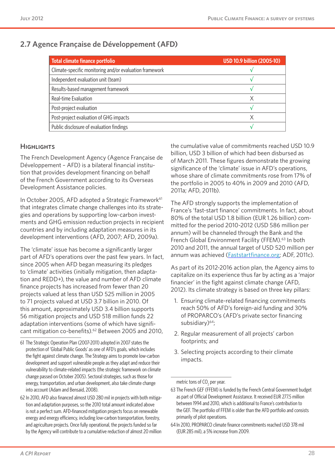## **2.7 Agence Française de Développement (AFD)**

| Total climate finance portfolio                         | <b>USD 10.9 billion (2005-10)</b> |
|---------------------------------------------------------|-----------------------------------|
| Climate-specific monitoring and/or evaluation framework |                                   |
| Independent evaluation unit (team)                      |                                   |
| Results-based management framework                      |                                   |
| Real-time Evaluation                                    | X                                 |
| Post-project evaluation                                 |                                   |
| Post-project evaluation of GHG impacts                  | Χ                                 |
| Public disclosure of evaluation findings                |                                   |

#### HIGHI IGHTS

The French Development Agency (Agence Française de Développement – AFD) is a bilateral financial institution that provides development financing on behalf of the French Government according to its Overseas Development Assistance policies.

In October 2005, AFD adopted a Strategic Framework<sup>61</sup> that integrates climate change challenges into its strategies and operations by supporting low-carbon investments and GHG emission reduction projects in recipient countries and by including adaptation measures in its development interventions (AFD, 2007; AFD, 2009a).

The 'climate' issue has become a significantly larger part of AFD's operations over the past few years. In fact, since 2005 when AFD began measuring its pledges to 'climate' activities (initially mitigation, then adaptation and REDD+), the value and number of AFD climate finance projects has increased from fewer than 20 projects valued at less than USD 525 million in 2005 to 71 projects valued at USD 3.7 billion in 2010. Of this amount, approximately USD 3.4 billion supports 56 mitigation projects and USD 518 million funds 22 adaptation interventions (some of which have significant mitigation co-benefits).62 Between 2005 and 2010,

the cumulative value of commitments reached USD 10.9 billion, USD 3 billion of which had been disbursed as of March 2011. These figures demonstrate the growing significance of the 'climate' issue in AFD's operations, whose share of climate commitments rose from 17% of the portfolio in 2005 to 40% in 2009 and 2010 (AFD, 2011a; AFD, 2011b).

The AFD strongly supports the implementation of France's 'fast-start finance' commitments. In fact, about 80% of the total USD 1.8 billion (EUR 1.26 billion) committed for the period 2010-2012 (USD 586 million per annum) will be channeled through the Bank and the French Global Environment Facility (FFEM).<sup>63</sup> In both 2010 and 2011, the annual target of USD 520 million per annum was achieved (**Faststartfinance.org**; ADF, 2011c).

As part of its 2012-2016 action plan, the Agency aims to capitalize on its experience thus far by acting as a 'major financier' in the fight against climate change (AFD, 2012). Its climate strategy is based on three key pillars:

- 1. Ensuring climate-related financing commitments reach 50% of AFD's foreign-aid funding and 30% of PROPARCO's (AFD's private sector financing subsidiary)<sup>64</sup>;
- 2. Regular measurement of all projects' carbon footprints; and
- 3. Selecting projects according to their climate impacts.

metric tons of  $CO<sub>2</sub>$  per year.

<sup>61</sup> The Strategic Operation Plan (2007-2011) adopted in 2007 states the protection of 'Global Public Goods' as one of AFD's goals, which includes the fight against climate change. The Strategy aims to promote low-carbon development and support vulnerable people as they adapt and reduce their vulnerability to climate-related impacts (the strategic framework on climate change passed on October 2005). Sectoral strategies, such as those for energy, transportation, and urban development, also take climate change into account (Adam and Bensaid, 2008).

<sup>62</sup>In 2010, AFD also financed almost USD 280 mil in projects with both mitigation and adaptation purposes, so the 2010 total amount indicated above is not a perfect sum. AFD-financed mitigation projects focus on renewable energy and energy efficiency, including low-carbon transportation, forestry, and agriculture projects. Once fully operational, the projects funded so far by the Agency will contribute to a cumulative reduction of almost 20 million

<sup>63</sup> The French GEF (FFEM) is funded by the French Central Government budget as part of Official Development Assistance. It received EUR 277.5 million between 1994 and 2010, which is additional to France's contribution to the GEF. The portfolio of FFEM is older than the AFD portfolio and consists primarily of pilot operations.

<sup>64</sup> In 2010, PROPARCO climate finance commitments reached USD 378 mil (EUR 285 mil), a 5% increase from 2009.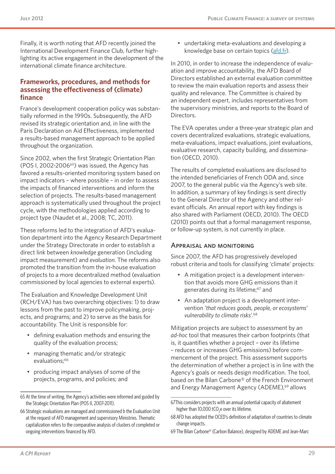Finally, it is worth noting that AFD recently joined the International Development Finance Club, further highlighting its active engagement in the development of the international climate finance architecture.

#### **Frameworks, procedures, and methods for assessing the effectiveness of (climate) finance**

France's development cooperation policy was substantially reformed in the 1990s. Subsequently, the AFD revised its strategic orientation and, in line with the Paris Declaration on Aid Effectiveness, implemented a results-based management approach to be applied throughout the organization.

Since 2002, when the first Strategic Orientation Plan (POS I, 2002-2006 $65$ ) was issued, the Agency has favored a results-oriented monitoring system based on impact indicators – where possible – in order to assess the impacts of financed interventions and inform the selection of projects. The results-based management approach is systematically used throughout the project cycle, with the methodologies applied according to project type (Naudet et al., 2008; TC, 2011).

These reforms led to the integration of AFD's evaluation department into the Agency Research Department under the Strategy Directorate in order to establish a direct link between *knowledge* generation (including impact measurement) and *evaluation*. The reforms also promoted the transition from the in-house evaluation of projects to a more decentralized method (evaluation commissioned by local agencies to external experts).

The Evaluation and Knowledge Development Unit (RCH/EVA) has two overarching objectives: 1) to draw lessons from the past to improve policymaking, projects, and programs; and 2) to serve as the basis for accountability. The Unit is responsible for:

- • defining evaluation methods and ensuring the quality of the evaluation process;
- managing thematic and/or strategic evaluations:<sup>66</sup>
- producing impact analyses of some of the projects, programs, and policies; and

• undertaking meta-evaluations and developing a knowledge base on certain topics [\(afd.fr\)](afd.fr).

In 2010, in order to increase the independence of evaluation and improve accountability, the AFD Board of Directors established an external evaluation committee to review the main evaluation reports and assess their quality and relevance. The Committee is chaired by an independent expert, includes representatives from the supervisory ministries, and reports to the Board of **Directors** 

The EVA operates under a three-year strategic plan and covers decentralized evaluations, strategic evaluations, meta-evaluations, impact evaluations, joint evaluations, evaluative research, capacity building, and dissemination (OECD, 2010).

The results of completed evaluations are disclosed to the intended beneficiaries of French ODA and, since 2007, to the general public via the Agency's web site. In addition, a summary of key findings is sent directly to the General Director of the Agency and other relevant officials. An annual report with key findings is also shared with Parliament (OECD, 2010). The OECD (2010) points out that a formal management response, or follow-up system, is not currently in place.

#### Appraisal and monitoring

Since 2007, the AFD has progressively developed robust criteria and tools for classifying 'climate' projects:

- A mitigation project is a development intervention that avoids more GHG emissions than it generates during its lifetime;<sup>67</sup> and
- An adaptation project is a development intervention '*that reduces goods, people, or ecosystems' vulnerability to climate risks*'.68

Mitigation projects are subject to assessment by an *ad-hoc* tool that measures their carbon footprints (that is, it quantifies whether a project – over its lifetime – reduces or increases GHG emissions) before commencement of the project. This assessment supports the determination of whether a project is in line with the Agency's goals or needs design modification. The tool, based on the Bilan Carbone® of the French Environment and Energy Management Agency (ADEME),<sup>69</sup> allows

<sup>65</sup> At the time of writing, the Agency's activities were informed and guided by the Strategic Orientation Plan (POS II, 2007-2011).

<sup>66</sup> Strategic evaluations are managed and commissioned b the Evaluation Unit at the request of AFD management and supervisory Ministries. Thematic capitalization refers to the comparative analysis of clusters of completed or ongoing interventions financed by AFD.

<sup>67</sup>This considers projects with an annual potential capacity of abatement higher than 10,000 tCO<sub>2</sub>e over its lifetime.

<sup>68</sup> AFD has adopted the OCED's definition of adaptation of countries to climate change impacts.

<sup>69</sup> The Bilan Carbone® (Carbon Balance), designed by ADEME and Jean-Marc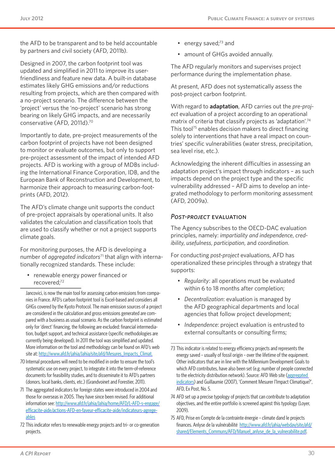the AFD to be transparent and to be held accountable by partners and civil society (AFD, 2011b).

Designed in 2007, the carbon footprint tool was updated and simplified in 2011 to improve its userfriendliness and feature new data. A built-in database estimates likely GHG emissions and/or reductions resulting from projects, which are then compared with a no-project scenario. The difference between the 'project' versus the 'no-project' scenario has strong bearing on likely GHG impacts, and are necessarily conservative (AFD, 2011d).70

Importantly to date, pre-project measurements of the carbon footprint of projects have not been designed to monitor or evaluate outcomes, but only to support pre-project assessment of the impact of intended AFD projects. AFD is working with a group of MDBs including the International Finance Corporation, IDB, and the European Bank of Reconstruction and Development, to harmonize their approach to measuring carbon-footprints (AFD, 2012).

The AFD's climate change unit supports the conduct of pre-project appraisals by operational units. It also validates the calculation and classification tools that are used to classify whether or not a project supports climate goals.

For monitoring purposes, the AFD is developing a number of *aggregated indicators*71 that align with internationally recognized standards. These include:

• renewable energy power financed or recovered;72

Jancovici, is now the main tool for assessing carbon emissions from companies in France. AFD's carbon footprint tool is Excel-based and considers all GHGs covered by the Kyoto Protocol. The main emission sources of a project are considered in the calculation and gross emissions generated are compared with a business as usual scenario. As the carbon footprint is estimated only for 'direct' financing, the following are excluded: financial intermediation, budget support, and technical assistance (specific methodologies are currently being developed). In 2011 the tool was simplified and updated. More information on the tool and methodology can be found on AFD's web site at: [http://www.afd.fr/jahia/Jahia/site/afd/Mesures\\_Impacts\\_Climat](http://www.afd.fr/jahia/Jahia/site/afd/Mesures_Impacts_Climat).

- 70 Internal procedures will need to be modified in order to ensure the tool's systematic use on every project, to integrate it into the term-of-reference documents for feasibility studies, and to disseminate it to AFD's partners (donors, local banks, clients, etc.) (Grandvoinet and Forestier, 2011).
- 71 The aggregated indicators for foreign states were introduced in 2004 and those for overseas in 2005. They have since been revised. For additional information see: [http://www.afd.fr/jahia/Jahia/home/AFD/L-AFD-s-engage/](http://www.afd.fr/jahia/Jahia/home/AFD/L-AFD-s-engage/efficacite-aide/actions-AFD-en-faveur-efficacite-aide/indicateurs-agregeables) [efficacite-aide/actions-AFD-en-faveur-efficacite-aide/indicateurs-agrege](http://www.afd.fr/jahia/Jahia/home/AFD/L-AFD-s-engage/efficacite-aide/actions-AFD-en-faveur-efficacite-aide/indicateurs-agregeables)[ables](http://www.afd.fr/jahia/Jahia/home/AFD/L-AFD-s-engage/efficacite-aide/actions-AFD-en-faveur-efficacite-aide/indicateurs-agregeables)
- 72 This indicator refers to renewable energy projects and tri- or co-generation projects.
- energy saved; $73$  and
- amount of GHGs avoided annually.

The AFD regularly monitors and supervises project performance during the implementation phase.

At present, AFD does not systematically assess the post-project carbon footprint.

With regard to **adaptation**, AFD carries out the *pre-project* evaluation of a project according to an operational matrix of criteria that classify projects as 'adaptation'.74 This tool<sup>75</sup> enables decision makers to direct financing solely to interventions that have a real impact on countries' specific vulnerabilities (water stress, precipitation, sea level rise, etc.).

Acknowledging the inherent difficulties in assessing an adaptation project's impact through indicators – as such impacts depend on the project type and the specific vulnerability addressed – AFD aims to develop an integrated methodology to perform monitoring assessment (AFD, 2009a).

#### *Post-project* evaluation

The Agency subscribes to the OECD-DAC evaluation principles, namely: *impartiality and independence*, *credibility*, *usefulness*, *participation*, and *coordination*.

For conducting *post-project* evaluations, AFD has operationalized these principles through a strategy that supports:

- • *Regularity*: all operations must be evaluated within 6 to 18 months after completion;
- • *Decentralization*: evaluation is managed by the AFD geographical departments and local agencies that follow project development;
- • *Independence*: project evaluation is entrusted to external consultants or consulting firms;

- 74 AFD set up a precise typology of projects that can contribute to adaptation objectives, and the entire portfolio is screened against this typology (Loyer, 2009).
- 75 AFD, Prise en Compte de la contrainte énergie climate dand le projects finances. Anlyse de la vulnérabilité [http://www.afd.fr/jahia/webdav/site/afd/](http://www.afd.fr/jahia/webdav/site/afd/shared/Elements_Communs/AFD/Manuel_anlyse_de_la_vulnerabilite.pdf) [shared/Elements\\_Communs/AFD/Manuel\\_anlyse\\_de\\_la\\_vulnerabilite.pdf](http://www.afd.fr/jahia/webdav/site/afd/shared/Elements_Communs/AFD/Manuel_anlyse_de_la_vulnerabilite.pdf).

<sup>73</sup> This indicator is related to energy efficiency projects and represents the energy saved – usually of fossil origin – over the lifetime of the equipment. Other indicators that are in line with the Millennium Development Goals to which AFD contributes, have also been set (e.g. number of people connected to the electricity distribution network). Source: AFD Web site (aggregated [indicators\)](http://www.afd.fr/jahia/Jahia/home/AFD/L-AFD-s-engage/efficacite-aide/actions-AFD-en-faveur-efficacite-aide/indicateurs-agregeables) and Guillaumie (2007), 'Comment Mesurer l'Impact Climatique?', AFD, Ex Post, No. 5.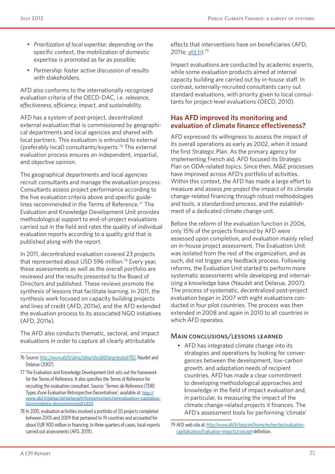- • *Prioritization of local expertise*: depending on the specific context, the mobilization of domestic expertise is promoted as far as possible;
- • *Partnership*: foster active discussion of results with stakeholders.

AFD also conforms to the internationally recognized evaluation criteria of the OECD-DAC, i.e. *relevance*, *effectiveness*, *efficiency*, *impact*, and *sustainability*.

AFD has a system of post-project, decentralized external evaluation that is commissioned by geographical departments and local agencies and shared with local partners. This evaluation is entrusted to external (preferably local) consultants/experts.76 The external evaluation process ensures an independent, impartial, and objective opinion.

The geographical departments and local agencies recruit consultants and manage the evaluation process. Consultants assess project performance according to the five evaluation criteria above and specific guidelines recommended in the Terms of Reference.<sup>77</sup> The Evaluation and Knowledge Development Unit provides methodological support to end-of-project evaluations carried out in the field and rates the quality of individual evaluation reports according to a quality grid that is published along with the report.

In 2011, decentralized evaluation covered 23 projects that represented about USD 596 million.<sup>78</sup> Every year, these assessments as well as the overall portfolio are reviewed and the results presented to the Board of Directors and published. These reviews promote the synthesis of lessons that facilitate learning. In 2011, the synthesis work focused on capacity building projects and lines of credit (AFD, 2011e), and the AFD extended the evaluation process to its associated NGO initiatives (AFD, 2011e).

The AFD also conducts thematic, sectoral, and impact evaluations in order to capture all clearly attributable

effects that interventions have on beneficiaries (AFD, 2011e; [afd.fr\)](afd.fr).<sup>79</sup>

Impact evaluations are conducted by academic experts, while some evaluation products aimed at internal capacity building are carried out by in-house staff. In contrast, externally-recruited consultants carry out standard evaluations, with priority given to local consultants for project-level evaluations (OECD, 2010).

#### **Has AFD improved its monitoring and evaluation of climate finance effectiveness?**

AFD expressed its willingness to assess the impact of its overall operations as early as 2002, when it issued the first Strategic Plan. As the primary agency for implementing French aid, AFD focused its Strategic Plan on ODA-related topics. Since then, M&E processes have improved across AFD's portfolio of activities. Within this context, the AFD has made a large effort to measure and assess *pre-project* the impact of its climate change-related financing through robust methodologies and tools, a standardized process, and the establishment of a dedicated climate change unit.

Before the reform of the evaluation function in 2006, only 15% of the projects financed by AFD were assessed upon completion, and evaluation mainly relied on in-house project assessment. The Evaluation Unit was isolated from the rest of the organization, and as such, did not trigger any feedback process. Following reforms, the Evaluation Unit started to perform more systematic assessments while developing and internalizing a knowledge base (Naudet and Delarue, 2007). The process of systematic, decentralized post-project evaluation began in 2007 with eight evaluations conducted in four pilot countries. The process was then extended in 2008 and again in 2010 to all countries in which AFD operates.

#### Main conclusions/lessons learned

• AFD has integrated climate change into its strategies and operations by looking for convergences between the development, low-carbon growth, and adaptation needs of recipient countries. AFD has made a clear commitment to developing methodological approaches and knowledge in the field of impact evaluation and, in particular, to measuring the impact of the climate change-related projects it finances. The AFD's assessment tools for performing 'climate'

<sup>76</sup> Source:<http://www.afd.fr/jahia/Jahia/site/afd/lang/en/pid/182>; Naudet and Delarue (2007).

<sup>77</sup> The Evaluation and Knowledge Development Unit sets out the framework for the Terms of Reference. It also specifies the Terms of Reference for recruiting the evaluation consultant. Source: 'Termes de Reference (TDR) Types d'une Evaluation Retrospective Decentralisee', available at: [http://](http://www.afd.fr/jahia/Jahia/lang/fr/home/recherche/evaluation-capitalisation/modeles-documents/pid/1820) [www.afd.fr/jahia/Jahia/lang/fr/home/recherche/evaluation-capitalisa](http://www.afd.fr/jahia/Jahia/lang/fr/home/recherche/evaluation-capitalisation/modeles-documents/pid/1820)[tion/modeles-documents/pid/1820](http://www.afd.fr/jahia/Jahia/lang/fr/home/recherche/evaluation-capitalisation/modeles-documents/pid/1820)

<sup>78</sup> In 2010, evaluation activities involved a portfolio of 50 projects completed between 2005 and 2009 that pertained to 19 countries and accounted for about EUR 900 million in financing. In three quarters of cases, local experts carried out assessments (AFD, 2011f).

<sup>79</sup> AFD web site at: [http://www.afd.fr/lang/en/home/recherche/evaluation](http://www.afd.fr/lang/en/home/recherche/evaluation-capitalisation/Evaluation-impacts/concept)[capitalisation/Evaluation-impacts/concept](http://www.afd.fr/lang/en/home/recherche/evaluation-capitalisation/Evaluation-impacts/concept)-definition.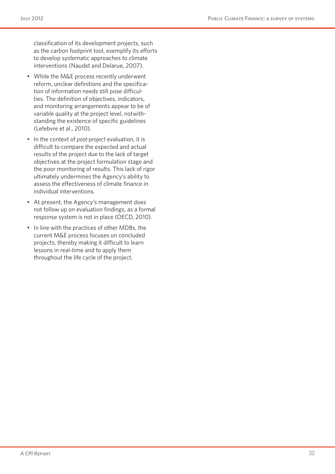classification of its development projects, such as the carbon footprint tool, exemplify its efforts to develop systematic approaches to climate interventions (Naudet and Delarue, 2007).

- While the M&E process recently underwent reform, unclear definitions and the specification of information needs still pose difficulties. The definition of objectives, indicators, and monitoring arrangements appear to be of variable quality at the project level, notwithstanding the existence of specific guidelines (Lefebvre et al., 2010).
- • In the context of *post-project* evaluation, it is difficult to compare the expected and actual results of the project due to the lack of target objectives at the project formulation stage and the poor monitoring of results. This lack of rigor ultimately undermines the Agency's ability to assess the effectiveness of climate finance in individual interventions.
- • At present, the Agency's management does not follow up on evaluation findings, as a formal response system is not in place (OECD, 2010).
- In line with the practices of other MDBs, the current M&E process focuses on concluded projects, thereby making it difficult to learn lessons in real-time and to apply them throughout the life cycle of the project.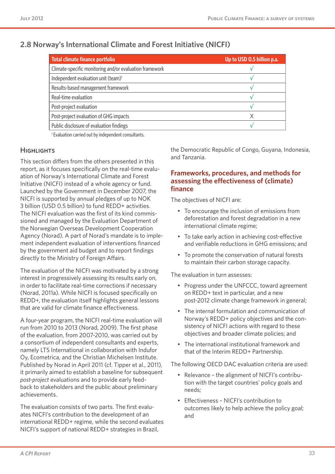| Total climate finance portfolio                         | Up to USD 0.5 billion p.a. |  |
|---------------------------------------------------------|----------------------------|--|
| Climate-specific monitoring and/or evaluation framework |                            |  |
| Independent evaluation unit (team) <sup>1</sup>         |                            |  |
| Results-based management framework                      |                            |  |
| Real-time evaluation                                    |                            |  |
| Post-project evaluation                                 |                            |  |
| Post-project evaluation of GHG impacts                  | Χ                          |  |
| Public disclosure of evaluation findings                |                            |  |

### **2.8 Norway's International Climate and Forest Initiative (NICFI)**

<sup>1</sup> Evaluation carried out by independent consultants.

#### **HIGHLIGHTS**

This section differs from the others presented in this report, as it focuses specifically on the real-time evaluation of Norway's International Climate and Forest Initiative (NICFI) instead of a whole agency or fund. Launched by the Government in December 2007, the NICFI is supported by annual pledges of up to NOK 3 billion (USD 0.5 billion) to fund REDD+ activities. The NICFI evaluation was the first of its kind commissioned and managed by the Evaluation Department of the Norwegian Overseas Development Cooperation Agency (Norad). A part of Norad's mandate is to implement independent evaluation of interventions financed by the government aid budget and to report findings directly to the Ministry of Foreign Affairs.

The evaluation of the NICFI was motivated by a strong interest in progressively assessing its results early on, in order to facilitate real-time corrections if necessary (Norad, 2011a). While NICFI is focused specifically on REDD+, the evaluation itself highlights general lessons that are valid for climate finance effectiveness.

A four-year program, the NICFI real-time evaluation will run from 2010 to 2013 (Norad, 2009). The first phase of the evaluation, from 2007-2010, was carried out by a consortium of independent consultants and experts, namely LTS International in collaboration with Indufor Oy, Ecometrica, and the Christian Michelsen Institute. Published by Norad in April 2011 (cf. Tipper et al., 2011), it primarily aimed to establish a baseline for subsequent *post-project* evaluations and to provide early feedback to stakeholders and the public about preliminary achievements.

The evaluation consists of two parts. The first evaluates NICFI's contribution to the development of an international REDD+ regime, while the second evaluates NICFI's support of national REDD+ strategies in Brazil,

the Democratic Republic of Congo, Guyana, Indonesia, and Tanzania.

#### **Frameworks, procedures, and methods for assessing the effectiveness of (climate) finance**

The objectives of NICFI are:

- • To encourage the inclusion of emissions from deforestation and forest degradation in a new international climate regime;
- To take early action in achieving cost-effective and verifiable reductions in GHG emissions; and
- • To promote the conservation of natural forests to maintain their carbon storage capacity.

The evaluation in turn assesses:

- • Progress under the UNFCCC, toward agreement on REDD+ text in particular, and a new post-2012 climate change framework in general;
- The internal formulation and communication of Norway's REDD+ policy objectives and the consistency of NICFI actions with regard to these objectives and broader climate policies; and
- The international institutional framework and that of the Interim REDD+ Partnership.

The following OECD DAC evaluation criteria are used:

- Relevance the alignment of NICFI's contribution with the target countries' policy goals and needs;
- • Effectiveness NICFI's contribution to outcomes likely to help achieve the policy goal; and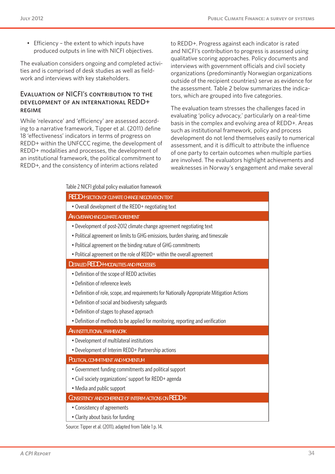• Efficiency – the extent to which inputs have produced outputs in line with NICFI objectives.

The evaluation considers ongoing and completed activities and is comprised of desk studies as well as fieldwork and interviews with key stakeholders.

#### Evaluation of NICFI's contribution to the development of an international REDD+ regime

While 'relevance' and 'efficiency' are assessed according to a narrative framework, Tipper et al. (2011) define 18 'effectiveness' indicators in terms of progress on REDD+ within the UNFCCC regime, the development of REDD+ modalities and processes, the development of an institutional framework, the political commitment to REDD+, and the consistency of interim actions related

to REDD+. Progress against each indicator is rated and NICFI's contribution to progress is assessed using qualitative scoring approaches. Policy documents and interviews with government officials and civil society organizations (predominantly Norwegian organizations outside of the recipient countries) serve as evidence for the assessment. Table 2 below summarizes the indicators, which are grouped into five categories.

The evaluation team stresses the challenges faced in evaluating 'policy advocacy,' particularly on a real-time basis in the complex and evolving area of REDD+. Areas such as institutional framework, policy and process development do not lend themselves easily to numerical assessment, and it is difficult to attribute the influence of one party to certain outcomes when multiple parties are involved. The evaluators highlight achievements and weaknesses in Norway's engagement and make several

| Table 2 NICFI global policy evaluation framework |  |  |  |
|--------------------------------------------------|--|--|--|
|--------------------------------------------------|--|--|--|

| <b>REDD+ SECTION OF CLIMATE CHANGE NEGOTIATION TEXT</b>                                     |
|---------------------------------------------------------------------------------------------|
| • Overall development of the REDD+ negotiating text                                         |
| AN OVERARCHING CLIMATE AGREEMENT                                                            |
| • Development of post-2012 climate change agreement negotiating text                        |
| • Political agreement on limits to GHG emissions, burden sharing, and timescale             |
| . Political agreement on the binding nature of GHG commitments                              |
| • Political agreement on the role of REDD+ within the overall agreement                     |
| <b>DETAILED REDD+ MODALITIES AND PROCESSES</b>                                              |
| • Definition of the scope of REDD activities                                                |
| • Definition of reference levels                                                            |
| • Definition of role, scope, and requirements for Nationally Appropriate Mitigation Actions |
| • Definition of social and biodiversity safeguards                                          |
| • Definition of stages to phased approach                                                   |
| • Definition of methods to be applied for monitoring, reporting and verification            |
| AN INSTITUTIONAL FRAMEWORK                                                                  |
| • Development of multilateral institutions                                                  |
| • Development of Interim REDD+ Partnership actions                                          |
| POLITICAL COMMITMENT AND MOMENTUM                                                           |
| • Government funding commitments and political support                                      |
| • Civil society organizations' support for REDD+ agenda                                     |
| • Media and public support                                                                  |
| CONSISTENCY AND COHERENCE OF INTERIM ACTIONS ON REDD+                                       |
| • Consistency of agreements                                                                 |
| • Clarity about basis for funding                                                           |

Source: Tipper et al. (2011), adapted from Table 1 p. 14.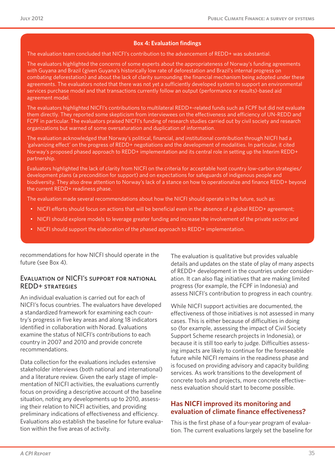#### **Box 4: Evaluation findings**

The evaluation team concluded that NICFI's contribution to the advancement of REDD+ was substantial.

The evaluators highlighted the concerns of some experts about the appropriateness of Norway's funding agreements with Guyana and Brazil (given Guyana's historically low rate of deforestation and Brazil's internal progress on combating deforestation) and about the lack of clarity surrounding the financial mechanism being adopted under these agreements. The evaluators noted that there was not yet a sufficiently developed system to support an environmental services purchase model and that transactions currently follow an output (performance or results)-based aid agreement model.

The evaluators highlighted NICFI's contributions to multilateral REDD+-related funds such as FCPF but did not evaluate them directly. They reported some skepticism from interviewees on the effectiveness and efficiency of UN-REDD and FCPF in particular. The evaluators praised NICFI's funding of research studies carried out by civil society and research organizations but warned of some oversaturation and duplication of information.

The evaluation acknowledged that Norway's political, financial, and institutional contribution through NICFI had a 'galvanizing effect' on the progress of REDD+ negotiations and the development of modalities. In particular, it cited Norway's proposed phased approach to REDD+ implementation and its central role in setting up the Interim REDD+ partnership.

Evaluators highlighted the lack of clarity from NICFI on the criteria for acceptable host country low-carbon strategies/ development plans (a precondition for support) and on expectations for safeguards of indigenous people and biodiversity. They also drew attention to Norway's lack of a stance on how to operationalize and finance REDD+ beyond the current REDD+ readiness phase.

The evaluation made several recommendations about how the NICFI should operate in the future, such as:

- NICFI efforts should focus on actions that will be beneficial even in the absence of a global REDD+ agreement;
- • NICFI should explore models to leverage greater funding and increase the involvement of the private sector; and
- NICFI should support the elaboration of the phased approach to REDD+ implementation.

recommendations for how NICFI should operate in the future (see Box 4).

#### Evaluation of NICFI's support for national REDD+ strategies

An individual evaluation is carried out for each of NICFI's focus countries. The evaluators have developed a standardized framework for examining each country's progress in five key areas and along 18 indicators identified in collaboration with Norad. Evaluations examine the status of NICFI's contributions to each country in 2007 and 2010 and provide concrete recommendations.

Data collection for the evaluations includes extensive stakeholder interviews (both national and international) and a literature review. Given the early stage of implementation of NICFI activities, the evaluations currently focus on providing a descriptive account of the baseline situation, noting any developments up to 2010, assessing their relation to NICFI activities, and providing preliminary indications of effectiveness and efficiency. Evaluations also establish the baseline for future evaluation within the five areas of activity.

The evaluation is qualitative but provides valuable details and updates on the state of play of many aspects of REDD+ development in the countries under consideration. It can also flag initiatives that are making limited progress (for example, the FCPF in Indonesia) and assess NICFI's contribution to progress in each country.

While NICFI support activities are documented, the effectiveness of those initiatives is not assessed in many cases. This is either because of difficulties in doing so (for example, assessing the impact of Civil Society Support Scheme research projects in Indonesia), or because it is still too early to judge. Difficulties assessing impacts are likely to continue for the foreseeable future while NICFI remains in the readiness phase and is focused on providing advisory and capacity building services. As work transitions to the development of concrete tools and projects, more concrete effectiveness evaluation should start to become possible.

#### **Has NICFI improved its monitoring and evaluation of climate finance effectiveness?**

This is the first phase of a four-year program of evaluation. The current evaluations largely set the baseline for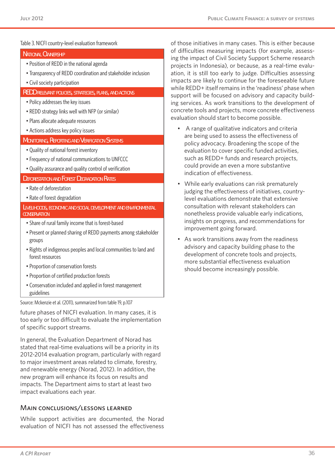#### Table 3. NICFI country-level evaluation framework

| <b>NATIONAL OWNERSHIP</b>                                                                    | οτ αιτ<br>ing th |
|----------------------------------------------------------------------------------------------|------------------|
| • Position of REDD in the national agenda                                                    | proje            |
| • Transparency of REDD coordination and stakeholder inclusion                                | ation,           |
| • Civil society participation                                                                | impad<br>while   |
| <b>REDD RELEVANT POLICIES, STRATEGIES, PLANS, AND ACTIONS</b>                                | suppo            |
| . Policy addresses the key issues                                                            | ing se           |
| • REDD strategy links well with NFP (or similar)                                             | concr            |
| · Plans allocate adequate resources                                                          | evalu            |
| • Actions address key policy issues                                                          |                  |
| <b>MONITORING, REPORTING AND VERIFICATION SYSTEMS</b>                                        |                  |
| . Quality of national forest inventory                                                       |                  |
| • Frequency of national communications to UNFCCC                                             |                  |
| . Quality assurance and quality control of verification                                      |                  |
| <b>DEFORESTATION AND FOREST DEGRADATION RATES</b>                                            |                  |
| • Rate of deforestation                                                                      |                  |
|                                                                                              |                  |
| • Rate of forest degradation                                                                 |                  |
| <b>LIVELIHOODS, ECONOMIC AND SOCIAL DEVELOPMENT AND ENVIRONMENTAL</b><br><b>CONSERVATION</b> |                  |
| • Share of rural family income that is forest-based                                          |                  |
| • Present or planned sharing of REDD payments among stakeholder<br>groups                    |                  |
| . Rights of indigenous peoples and local communities to land and<br>forest resources         |                  |
| • Proportion of conservation forests                                                         |                  |
| • Proportion of certified production forests                                                 |                  |

Source: Mckenzie et al. (2011), summarized from table 19, p.107

future phases of NICFI evaluation. In many cases, it is too early or too difficult to evaluate the implementation of specific support streams.

In general, the Evaluation Department of Norad has stated that real-time evaluations will be a priority in its 2012-2014 evaluation program, particularly with regard to major investment areas related to climate, forestry, and renewable energy (Norad, 2012). In addition, the new program will enhance its focus on results and impacts. The Department aims to start at least two impact evaluations each year.

#### Main conclusions/lessons learned

While support activities are documented, the Norad evaluation of NICFI has not assessed the effectiveness of those initiatives in many cases. This is either because difficulties measuring impacts (for example, assessie impact of Civil Society Support Scheme research cts in Indonesia), or because, as a real-time evaluit is still too early to judge. Difficulties assessing cts are likely to continue for the foreseeable future REDD+ itself remains in the 'readiness' phase when ort will be focused on advisory and capacity buildervices. As work transitions to the development of rete tools and projects, more concrete effectiveness ation should start to become possible.

- A range of qualitative indicators and criteria are being used to assess the effectiveness of policy advocacy. Broadening the scope of the evaluation to cover specific funded activities, such as REDD+ funds and research projects, could provide an even a more substantive indication of effectiveness.
- While early evaluations can risk prematurely judging the effectiveness of initiatives, countrylevel evaluations demonstrate that extensive consultation with relevant stakeholders can nonetheless provide valuable early indications, insights on progress, and recommendations for improvement going forward.
- As work transitions away from the readiness advisory and capacity building phase to the development of concrete tools and projects, more substantial effectiveness evaluation should become increasingly possible.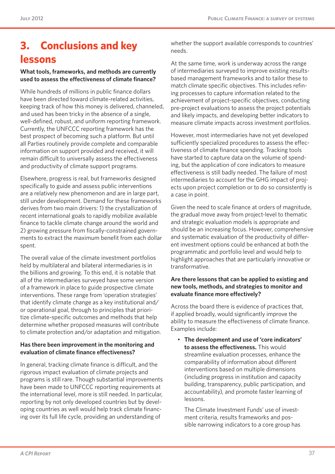# **3. Conclusions and key lessons**

#### **What tools, frameworks, and methods are currently used to assess the effectiveness of climate finance?**

While hundreds of millions in public finance dollars have been directed toward climate-related activities, keeping track of how this money is delivered, channeled, and used has been tricky in the absence of a single, well-defined, robust, and uniform reporting framework. Currently, the UNFCCC reporting framework has the best prospect of becoming such a platform. But until all Parties routinely provide complete and comparable information on support provided and received, it will remain difficult to universally assess the effectiveness and productivity of climate support programs.

Elsewhere, progress is real, but frameworks designed specifically to guide and assess public interventions are a relatively new phenomenon and are in large part, still under development. Demand for these frameworks derives from two main drivers: 1) the crystallization of recent international goals to rapidly mobilize available finance to tackle climate change around the world and 2) growing pressure from fiscally-constrained governments to extract the maximum benefit from each dollar spent.

The overall value of the climate investment portfolios held by multilateral and bilateral intermediaries is in the billions and growing. To this end, it is notable that all of the intermediaries surveyed have some version of a framework in place to guide prospective climate interventions. These range from 'operation strategies' that identify climate change as a key institutional and/ or operational goal, through to principles that prioritize climate-specific outcomes and methods that help determine whether proposed measures will contribute to climate protection and/or adaptation and mitigation.

#### **Has there been improvement in the monitoring and evaluation of climate finance effectiveness?**

In general, tracking climate finance is difficult, and the rigorous impact evaluation of climate projects and programs is still rare. Though substantial improvements have been made to UNFCCC reporting requirements at the international level, more is still needed. In particular, reporting by not only developed countries but by developing countries as well would help track climate financing over its full life cycle, providing an understanding of

whether the support available corresponds to countries' needs.

At the same time, work is underway across the range of intermediaries surveyed to improve existing resultsbased management frameworks and to tailor these to match climate specific objectives. This includes refining processes to capture information related to the achievement of project-specific objectives, conducting pre-project evaluations to assess the project potentials and likely impacts, and developing better indicators to measure climate impacts across investment portfolios.

However, most intermediaries have not yet developed sufficiently specialized procedures to assess the effectiveness of climate finance spending. Tracking tools have started to capture data on the volume of spending, but the application of core indicators to measure effectiveness is still badly needed. The failure of most intermediaries to account for the GHG impact of projects upon project completion or to do so consistently is a case in point.

Given the need to scale finance at orders of magnitude, the gradual move away from project-level to thematic and strategic evaluation models is appropriate and should be an increasing focus. However, comprehensive and systematic evaluation of the productivity of different investment options could be enhanced at both the programmatic and portfolio level and would help to highlight approaches that are particularly innovative or transformative.

#### **Are there lessons that can be applied to existing and new tools, methods, and strategies to monitor and evaluate finance more effectively?**

Across the board there is evidence of practices that, if applied broadly, would significantly improve the ability to measure the effectiveness of climate finance. Examples include:

• **The development and use of 'core indicators' to assess the effectiveness.** This would streamline evaluation processes, enhance the comparability of information about different interventions based on multiple dimensions (including progress in institution and capacity building, transparency, public participation, and accountability), and promote faster learning of lessons.

The Climate Investment Funds' use of investment criteria, results frameworks and possible narrowing indicators to a core group has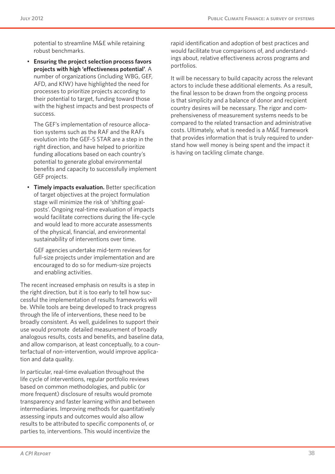potential to streamline M&E while retaining robust benchmarks.

**Ensuring the project selection process favors projects with high 'effectiveness potential'**. A number of organizations (including WBG, GEF, AFD, and KfW) have highlighted the need for processes to prioritize projects according to their potential to target, funding toward those with the highest impacts and best prospects of success.

The GEF's implementation of resource allocation systems such as the RAF and the RAFs evolution into the GEF-5 STAR are a step in the right direction, and have helped to prioritize funding allocations based on each country's potential to generate global environmental benefits and capacity to successfully implement GEF projects.

• **Timely impacts evaluation.** Better specification of target objectives at the project formulation stage will minimize the risk of 'shifting goalposts'. Ongoing real-time evaluation of impacts would facilitate corrections during the life-cycle and would lead to more accurate assessments of the physical, financial, and environmental sustainability of interventions over time.

GEF agencies undertake mid-term reviews for full-size projects under implementation and are encouraged to do so for medium-size projects and enabling activities.

The recent increased emphasis on results is a step in the right direction, but it is too early to tell how successful the implementation of results frameworks will be. While tools are being developed to track progress through the life of interventions, these need to be broadly consistent. As well, guidelines to support their use would promote detailed measurement of broadly analogous results, costs and benefits, and baseline data, and allow comparison, at least conceptually, to a counterfactual of non-intervention, would improve application and data quality.

In particular, real-time evaluation throughout the life cycle of interventions, regular portfolio reviews based on common methodologies, and public (or more frequent) disclosure of results would promote transparency and faster learning within and between intermediaries. Improving methods for quantitatively assessing inputs and outcomes would also allow results to be attributed to specific components of, or parties to, interventions. This would incentivize the

rapid identification and adoption of best practices and would facilitate true comparisons of, and understandings about, relative effectiveness across programs and portfolios.

It will be necessary to build capacity across the relevant actors to include these additional elements. As a result, the final lesson to be drawn from the ongoing process is that simplicity and a balance of donor and recipient country desires will be necessary. The rigor and comprehensiveness of measurement systems needs to be compared to the related transaction and administrative costs. Ultimately, what is needed is a M&E framework that provides information that is truly required to understand how well money is being spent and the impact it is having on tackling climate change.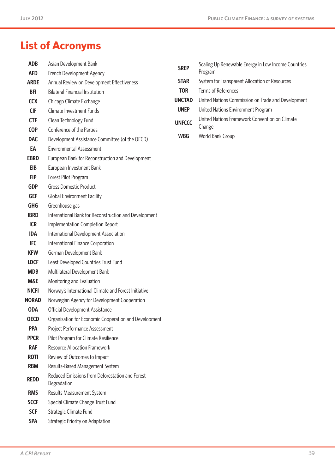# **List of Acronyms**

| <b>ADB</b>     | Asian Development Bank                                         | <b>SREP</b>   | Scaling Up Renewable Energy in Low Income Countries |  |
|----------------|----------------------------------------------------------------|---------------|-----------------------------------------------------|--|
| <b>AFD</b>     | French Development Agency                                      |               | Program                                             |  |
| <b>ARDE</b>    | Annual Review on Development Effectiveness                     | <b>STAR</b>   | System for Transparent Allocation of Resources      |  |
| <b>BFI</b>     | <b>Bilateral Financial Institution</b>                         | <b>TOR</b>    | Terms of References                                 |  |
| <b>CCX</b>     | Chicago Climate Exchange                                       | <b>UNCTAD</b> | United Nations Commission on Trade and Development  |  |
| <b>CIF</b>     | Climate Investment Funds                                       | <b>UNEP</b>   | United Nations Environment Program                  |  |
| <b>CTF</b>     | Clean Technology Fund                                          | <b>UNFCCC</b> | United Nations Framework Convention on Climate      |  |
| <b>COP</b>     | Conference of the Parties                                      |               | Change                                              |  |
| <b>DAC</b>     | Development Assistance Committee (of the OECD)                 | <b>WBG</b>    | World Bank Group                                    |  |
| EA             | <b>Environmental Assessment</b>                                |               |                                                     |  |
| <b>EBRD</b>    | European Bank for Reconstruction and Development               |               |                                                     |  |
| <b>EIB</b>     | European Investment Bank                                       |               |                                                     |  |
| <b>FIP</b>     | Forest Pilot Program                                           |               |                                                     |  |
| <b>GDP</b>     | <b>Gross Domestic Product</b>                                  |               |                                                     |  |
| <b>GEF</b>     | <b>Global Environment Facility</b>                             |               |                                                     |  |
| <b>GHG</b>     | Greenhouse gas                                                 |               |                                                     |  |
| <b>IBRD</b>    | International Bank for Reconstruction and Development          |               |                                                     |  |
| <b>ICR</b>     | Implementation Completion Report                               |               |                                                     |  |
| <b>IDA</b>     | International Development Association                          |               |                                                     |  |
| <b>IFC</b>     | International Finance Corporation                              |               |                                                     |  |
| <b>KFW</b>     | German Development Bank                                        |               |                                                     |  |
| <b>LDCF</b>    | Least Developed Countries Trust Fund                           |               |                                                     |  |
| <b>MDB</b>     | Multilateral Development Bank                                  |               |                                                     |  |
| <b>M&amp;E</b> | Monitoring and Evaluation                                      |               |                                                     |  |
| <b>NICFI</b>   | Norway's International Climate and Forest Initiative           |               |                                                     |  |
| <b>NORAD</b>   | Norwegian Agency for Development Cooperation                   |               |                                                     |  |
| <b>ODA</b>     | Official Development Assistance                                |               |                                                     |  |
| <b>OECD</b>    | Organisation for Economic Cooperation and Development          |               |                                                     |  |
| <b>PPA</b>     | Project Performance Assessment                                 |               |                                                     |  |
| <b>PPCR</b>    | Pilot Program for Climate Resilience                           |               |                                                     |  |
| <b>RAF</b>     | <b>Resource Allocation Framework</b>                           |               |                                                     |  |
| <b>ROTI</b>    | Review of Outcomes to Impact                                   |               |                                                     |  |
| <b>RBM</b>     | Results-Based Management System                                |               |                                                     |  |
| <b>REDD</b>    | Reduced Emissions from Deforestation and Forest<br>Degradation |               |                                                     |  |
| <b>RMS</b>     | Results Measurement System                                     |               |                                                     |  |
| <b>SCCF</b>    | Special Climate Change Trust Fund                              |               |                                                     |  |
| <b>SCF</b>     | Strategic Climate Fund                                         |               |                                                     |  |
| <b>SPA</b>     | Strategic Priority on Adaptation                               |               |                                                     |  |
|                |                                                                |               |                                                     |  |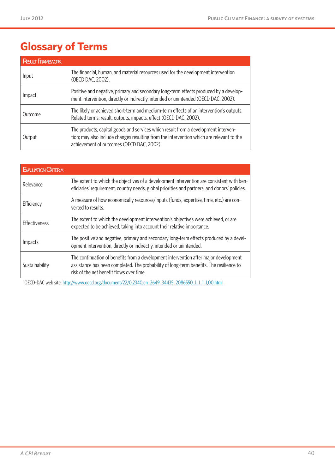# **Glossary of Terms**

| <b>RESULT FRAMEWORK</b> |                                                                                                                                                                                                                             |
|-------------------------|-----------------------------------------------------------------------------------------------------------------------------------------------------------------------------------------------------------------------------|
| Input                   | The financial, human, and material resources used for the development intervention<br>(OECD DAC, 2002).                                                                                                                     |
| Impact                  | Positive and negative, primary and secondary long-term effects produced by a develop-<br>ment intervention, directly or indirectly, intended or unintended (OECD DAC, 2002).                                                |
| Outcome                 | The likely or achieved short-term and medium-term effects of an intervention's outputs.<br>Related terms: result, outputs, impacts, effect (OECD DAC, 2002).                                                                |
| Output                  | The products, capital goods and services which result from a development interven-<br>tion; may also include changes resulting from the intervention which are relevant to the<br>achievement of outcomes (OECD DAC, 2002). |

| <b>EVALUATION CRITERIA</b> |                                                                                                                                                                                                                             |
|----------------------------|-----------------------------------------------------------------------------------------------------------------------------------------------------------------------------------------------------------------------------|
| Relevance                  | The extent to which the objectives of a development intervention are consistent with ben-<br>eficiaries' requirement, country needs, global priorities and partners' and donors' policies.                                  |
| Efficiency                 | A measure of how economically resources/inputs (funds, expertise, time, etc.) are con-<br>verted to results.                                                                                                                |
| Effectiveness              | The extent to which the development intervention's objectives were achieved, or are<br>expected to be achieved, taking into account their relative importance.                                                              |
| Impacts                    | The positive and negative, primary and secondary long-term effects produced by a devel-<br>opment intervention, directly or indirectly, intended or unintended.                                                             |
| Sustainability             | The continuation of benefits from a development intervention after major development<br>assistance has been completed. The probability of long-term benefits. The resilience to<br>risk of the net benefit flows over time. |

<sup>1</sup> OECD-DAC web site:<http://www.oecd.org/document/22>/0,2340,en\_2649\_34435\_2086550\_1\_1\_1\_1,<00.html>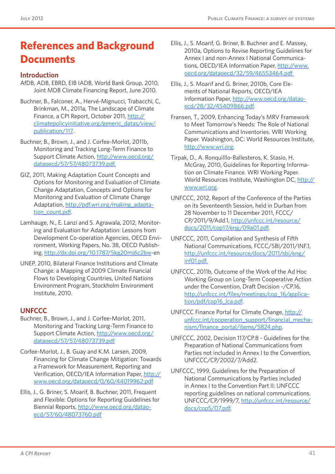# **References and Background Documents**

#### **Introduction**

- AfDB, ADB, EBRD, EIB IADB, World Bank Group, 2010, Joint MDB Climate Financing Report, June 2010.
- Buchner, B., Falconer, A., Hervé-Mignucci, Trabacchi, C, Brinkman, M., 2011a, The Landscape of Climate Finance, a CPI Report, October 2011, [http://](http://climatepolicyinitiative.org/generic_datas/view/publication/117) [climatepolicyinitiative.org/generic\\_datas/view/](http://climatepolicyinitiative.org/generic_datas/view/publication/117) [publication/117](http://climatepolicyinitiative.org/generic_datas/view/publication/117).
- Buchner, B., Brown, J., and J. Corfee-Morlot, 2011b, Monitoring and Tracking Long-Term Finance to Support Climate Action, [http://www.oecd.org/](http://www.oecd.org/dataoecd/57/57/48073739.pdf) [dataoecd/57/57/48073739.pdf.](http://www.oecd.org/dataoecd/57/57/48073739.pdf)
- GIZ, 2011, Making Adaptation Count Concepts and Options for Monitoring and Evaluation of Climate Change Adaptation, Concepts and Options for Monitoring and Evaluation of Climate Change Adaptation, [http://pdf.wri.org/making\\_adapta](http://pdf.wri.org/making_adaptation_count.pdf)[tion\\_count.pdf.](http://pdf.wri.org/making_adaptation_count.pdf)
- Lamhauge, N., E. Lanzi and S. Agrawala, 2012, Monitoring and Evaluation for Adaptation: Lessons from Development Co-operation Agencies, OECD Environment, Working Papers, No. 38, OECD Publishing, [http://dx.doi.org/10.1787/5kg20mj6c2bw-](http://dx.doi.org/10.1787/5kg20mj6c2bw)en
- UNEP, 2010, Bilateral Finance Institutions and Climate Change: a Mapping of 2009 Climate Financial Flows to Developing Countries, United Nations Environment Program, Stockholm Environment Institute, 2010.

### **UNFCCC**

- Buchner, B., Brown, J., and J. Corfee-Morlot, 2011, Monitoring and Tracking Long-Term Finance to Support Climate Action, [http://www.oecd.org/](http://www.oecd.org/dataoecd/57/57/48073739.pdf) [dataoecd/57/57/48073739.pdf](http://www.oecd.org/dataoecd/57/57/48073739.pdf)
- Corfee-Morlot, J., B. Guay and K.M. Larsen, 2009, Financing for Climate Change Mitigation: Towards a Framework for Measurement, Reporting and Verification, OECD/IEA Information Paper, [http://](http://www.oecd.org/dataoecd/0/60/44019962.pdf) [www.oecd.org/dataoecd/0/60/44019962.pdf](http://www.oecd.org/dataoecd/0/60/44019962.pdf)
- Ellis, J., G. Briner, S. Moarif, B. Buchner, 2011, Frequent and Flexible: Options for Reporting Guidelines for Biennial Reports, [http://www.oecd.org/datao](http://www.oecd.org/dataoecd/57/60/48073760.pdf)[ecd/57/60/48073760.pdf](http://www.oecd.org/dataoecd/57/60/48073760.pdf)
- Ellis, J., S. Moarif, G. Briner, B. Buchner and E. Massey, 2010a, Options to Revise Reporting Guidelines for Annex I and non-Annex I National Communications, OECD/IEA Information Paper, [http://www.](http://www.oecd.org/dataoecd/32/59/46553464.pdf%20) [oecd.org/dataoecd/32/59/46553464.pdf](http://www.oecd.org/dataoecd/32/59/46553464.pdf%20)
- Ellis, J., S. Moarif and G. Briner, 2010b, Core Elements of National Reports, OECD/IEA Information Paper, [http://www.oecd.org/datao](http://www.oecd.org/dataoecd/28/32/45409866.pdf)[ecd/28/32/45409866.pdf](http://www.oecd.org/dataoecd/28/32/45409866.pdf).
- Fransen, T., 2009, Enhancing Today's MRV Framework to Meet Tomorrow's Needs: The Role of National Communications and Inventories. WRI Working Paper. Washington, DC: World Resources Institute, [http://www.wri.org.](http://www.wri.org)
- Tirpak, D., A. Ronquilllo-Ballesteros, K. Stasio, H. McGray, 2010, Guidelines for Reporting Information on Climate Finance. WRI Working Paper. World Resources Institute, Washington DC, [http://](http://www.wri.org) [www.wri.org.](http://www.wri.org)
- UNFCCC, 2012, Report of the Conference of the Parties on its Seventeenth Session, held in Durban from 28 November to 11 December 2011, FCCC/ CP/2011/9/Add.1, [http://unfccc.int/resource/](http://unfccc.int/resource/docs/2011/cop17/eng/09a01.pdf) [docs/2011/cop17/eng/09a01.pdf](http://unfccc.int/resource/docs/2011/cop17/eng/09a01.pdf).
- UNFCCC, 2011, Compilation and Synthesis of Fifth National Communications, FCCC/SBI/2011/INF.1, [http://unfccc.int/resource/docs/2011/sbi/eng/](http://unfccc.int/resource/docs/2011/sbi/eng/inf01.pdf) [inf01.pdf.](http://unfccc.int/resource/docs/2011/sbi/eng/inf01.pdf)
- UNFCCC, 2011b, Outcome of the Work of the Ad Hoc Working Group on Long-Term Cooperative Action under the Convention, Draft Decision -/CP.16, [http://unfccc.int/files/meetings/cop\\_16/applica](http://unfccc.int/files/meetings/cop_16/application/pdf/cop16_lca.pdf)[tion/pdf/cop16\\_lca.pdf](http://unfccc.int/files/meetings/cop_16/application/pdf/cop16_lca.pdf).
- UNFCCC Finance Portal for Climate Change, [http://](http://unfccc.int/cooperation_support/financial_mechanism/finance_portal/items/5824.php) [unfccc.int/cooperation\\_support/financial\\_mecha](http://unfccc.int/cooperation_support/financial_mechanism/finance_portal/items/5824.php)[nism/finance\\_portal/items/5824.php](http://unfccc.int/cooperation_support/financial_mechanism/finance_portal/items/5824.php).
- UNFCCC, 2002, Decision 117/CP.8 Guidelines for the Preparation of National Communications from Parties not included in Annex I to the Convention, UNFCCC/CP/2002/7/Add2.
- UNFCCC, 1999, Guidelines for the Preparation of National Communications by Parties included in Annex I to the Convention Part II: UNFCCC reporting guidelines on national communications. UNFCCC/CP/1999/7, [http://unfccc.int/resource/](http://unfccc.int/resource/docs/cop5/07.pdf) [docs/cop5/07.pdf.](http://unfccc.int/resource/docs/cop5/07.pdf)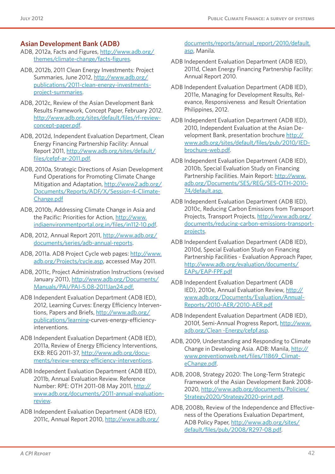#### **Asian Development Bank (ADB)**

- ADB, 2012a, Facts and Figures, [http://www.adb.org/](http://www.adb.org/themes/climate-change/facts-figures) [themes/climate-change/facts-figures](http://www.adb.org/themes/climate-change/facts-figures).
- ADB, 2012b, 2011 Clean Energy Investments: Project Summaries, June 2012, [http://www.adb.org/](http://www.adb.org/publications/2011-clean-energy-investments-project-summaries) [publications/2011-clean-energy-investments](http://www.adb.org/publications/2011-clean-energy-investments-project-summaries)[project-summaries](http://www.adb.org/publications/2011-clean-energy-investments-project-summaries).
- ADB, 2012c, Review of the Asian Development Bank Results Framework, Concept Paper, February 2012. [http://www.adb.org/sites/default/files/rf-review](http://www.adb.org/sites/default/files/rf-review-concept-paper.pdf)[concept-paper.pdf.](http://www.adb.org/sites/default/files/rf-review-concept-paper.pdf)
- ADB, 2012d, Independent Evaluation Department, Clean Energy Financing Partnership Facility: Annual Report 2011, [http://www.adb.org/sites/default/](http://www.adb.org/sites/default/files/cefpf-ar-2011.pdf) [files/cefpf-ar-2011.pdf.](http://www.adb.org/sites/default/files/cefpf-ar-2011.pdf)
- ADB, 2010a, Strategic Directions of Asian Development Fund Operations for Promoting Climate Change Mitigation and Adaptation, [http://www2.adb.org/](http://www2.adb.org/Documents/Reports/ADF/X/Session-4-Climate-Change.pdf) [Documents/Reports/ADF/X/Session-4-Climate-](http://www2.adb.org/Documents/Reports/ADF/X/Session-4-Climate-Change.pdf)[Change.pdf](http://www2.adb.org/Documents/Reports/ADF/X/Session-4-Climate-Change.pdf)
- ADB, 2010b, Addressing Climate Change in Asia and the Pacific: Priorities for Action, [http://www.](http://www.indiaenvironmentportal.org.in/files/in112-10.pdf) [indiaenvironmentportal.org.in/files/in112-10.pdf](http://www.indiaenvironmentportal.org.in/files/in112-10.pdf).
- ADB, 2012, Annual Report 2011, [http://www.adb.org/](http://www.adb.org/documents/series/adb-annual-reports) [documents/series/adb-annual-reports](http://www.adb.org/documents/series/adb-annual-reports).
- ADB, 2011a. ADB Project Cycle web pages: [http://www.](http://www.adb.org/Projects/cycle.asp) [adb.org/Projects/cycle.asp](http://www.adb.org/Projects/cycle.asp), accessed May 2011.
- ADB, 2011c, [Project Administration Instructions \(](http://www.adb.org/Documents/Manuals/PAI/PAI-5.08-2011Jan24.pdf)revised January 2011), [http://www.adb.org/Documents/](http://www.adb.org/Documents/Manuals/PAI/PAI-5.08-2011Jan24.pdf) [Manuals/PAI/PAI-5.08-2011Jan24.pdf.](http://www.adb.org/Documents/Manuals/PAI/PAI-5.08-2011Jan24.pdf)
- ADB Independent Evaluation Department (ADB IED), 2012, Learning Curves: Energy Efficiency Interventions, Papers and Briefs, [http://www.adb.org/](http://www.adb.org/publications/learning) [publications/learning-](http://www.adb.org/publications/learning)curves-energy-efficiencyinterventions.
- ADB Independent Evaluation Department (ADB IED), 2011a, Review of Energy Efficiency Interventions, EKB: REG 2011-37, [http://www.adb.org/docu](http://www.adb.org/documents/review-energy-efficiency-interventions)[ments/review-energy-efficiency-interventions](http://www.adb.org/documents/review-energy-efficiency-interventions).
- ADB Independent Evaluation Department (ADB IED), 2011b, Annual Evaluation Review. Reference Number: RPE: OTH 2011-08 May 2011, [http://](http://www.adb.org/documents/2011-annual-evaluation-review) [www.adb.org/documents/2011-annual-evaluation](http://www.adb.org/documents/2011-annual-evaluation-review)[review.](http://www.adb.org/documents/2011-annual-evaluation-review)
- ADB Independent Evaluation Department (ADB IED), 2011c, Annual Report 2010, [http://www.adb.org/](http://www.adb.org/documents/reports/annual_report/2010/default.asp)

[documents/reports/annual\\_report/2010/default.](http://www.adb.org/documents/reports/annual_report/2010/default.asp) [asp,](http://www.adb.org/documents/reports/annual_report/2010/default.asp) Manila.

- ADB Independent Evaluation Department (ADB IED), 2011d, Clean Energy Financing Partnership Facility: Annual Report 2010.
- ADB Independent Evaluation Department (ADB IED), 2011e, Managing for Development Results, Relevance, Responsiveness and Result Orientation Philippines, 2012.
- ADB Independent Evaluation Department (ADB IED), 2010, Independent Evaluation at the Asian Development Bank, presentation brochure [http://](http://www.adb.org/sites/default/files/pub/2010/IED-brochure-web.pdf) [www.adb.org/sites/default/files/pub/2010/IED](http://www.adb.org/sites/default/files/pub/2010/IED-brochure-web.pdf)[brochure-web.pdf](http://www.adb.org/sites/default/files/pub/2010/IED-brochure-web.pdf).
- ADB Independent Evaluation Department (ADB IED), 2010b, Special Evaluation Study on Financing Partnership Facilities. Main Report: [http://www.](http://www.adb.org/Documents/SES/REG/SES-OTH-2010-74/default.asp) [adb.org/Documents/SES/REG/SES-OTH-2010-](http://www.adb.org/Documents/SES/REG/SES-OTH-2010-74/default.asp) [74/default.asp.](http://www.adb.org/Documents/SES/REG/SES-OTH-2010-74/default.asp)
- ADB Independent Evaluation Department (ADB IED), 2010c, Reducing Carbon Emissions from Transport Projects, Transport Projects, [http://www.adb.org/](http://www.adb.org/documents/reducing-carbon-emissions-transport-projects) [documents/reducing-carbon-emissions-transport](http://www.adb.org/documents/reducing-carbon-emissions-transport-projects)[projects](http://www.adb.org/documents/reducing-carbon-emissions-transport-projects).
- ADB Independent Evaluation Department (ADB IED), 2010d, Special Evaluation Study on Financing Partnership Facilities - Evaluation Approach Paper, [http://www.adb.org/evaluation/documents/](http://www.adb.org/evaluation/documents/EAPs/EAP-FPF.pdf) [EAPs/EAP-FPF.pdf](http://www.adb.org/evaluation/documents/EAPs/EAP-FPF.pdf)
- ADB Independent Evaluation Department (ADB IED), 2010e, Annual Evaluation Review, [http://](http://www.adb.org/Documents/Evaluation/Annual-Reports/2010-AER/2010-AER.pdf) [www.adb.org/Documents/Evaluation/Annual-](http://www.adb.org/Documents/Evaluation/Annual-Reports/2010-AER/2010-AER.pdf)[Reports/2010-AER/2010-AER.pdf](http://www.adb.org/Documents/Evaluation/Annual-Reports/2010-AER/2010-AER.pdf)
- ADB Independent Evaluation Department (ADB IED), 2010f, Semi-Annual Progress Report, [http://www.](http://www.adb.org/Clean%20-Energy/cefpf.asp) [adb.org/Clean -Energy/cefpf.asp](http://www.adb.org/Clean%20-Energy/cefpf.asp).
- ADB, 2009, Understanding and Responding to Climate Change in Developing Asia. ADB: Manila, [http://](http://www.preventionweb.net/files/11869_ClimateChange.pdf) [www.preventionweb.net/files/11869\\_Climat](http://www.preventionweb.net/files/11869_ClimateChange.pdf)[eChange.pdf.](http://www.preventionweb.net/files/11869_ClimateChange.pdf)
- ADB, 2008, [Strategy 2020: The Long-Term Strategic](http://www.adb.org/documents/Policies/Strategy2020/default.asp?p=strtg)  [Framework of the Asian Development Bank 2008-](http://www.adb.org/documents/Policies/Strategy2020/default.asp?p=strtg) [2020,](http://www.adb.org/documents/Policies/Strategy2020/default.asp?p=strtg) [http://www.adb.org/documents/Policies/](http://www.adb.org/documents/Policies/Strategy2020/Strategy2020-print.pdf) [Strategy2020/Strategy2020-print.pdf](http://www.adb.org/documents/Policies/Strategy2020/Strategy2020-print.pdf).
- ADB, 2008b, Review of the Independence and Effectiveness of the Operations Evaluation Department, ADB Policy Paper, [http://www.adb.org/sites/](http://www.adb.org/sites/default/files/pub/2008/R297-08.pdf) [default/files/pub/2008/R297-08.pdf.](http://www.adb.org/sites/default/files/pub/2008/R297-08.pdf)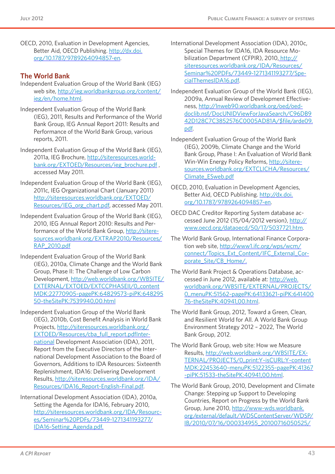OECD, 2010, Evaluation in Development Agencies, Better Aid, OECD Publishing. [http://dx.doi.](http://dx.doi.org/10.1787/9789264094857-en) [org/10.1787/9789264094857-en.](http://dx.doi.org/10.1787/9789264094857-en)

#### **The World Bank**

- Independent Evaluation Group of the World Bank (IEG) web site, [http://ieg.worldbankgroup.org/content/](http://ieg.worldbankgroup.org/content/ieg/en/home.html) [ieg/en/home.html.](http://ieg.worldbankgroup.org/content/ieg/en/home.html)
- Independent Evaluation Group of the World Bank (IEG), 2011, Results and Performance of the World Bank Group, IEG Annual Report 2011: Results and Performance of the World Bank Group, various reports, 2011.
- Independent Evaluation Group of the World Bank (IEG), 2011a, IEG Brochure, [http://siteresources.world](http://siteresources.worldbank.org/EXTOED/Resources/ieg_brochure.pdf)[bank.org/EXTOED/Resources/ieg\\_brochure.pdf](http://siteresources.worldbank.org/EXTOED/Resources/ieg_brochure.pdf) , accessed May 2011.
- Independent Evaluation Group of the World Bank (IEG), 2011c, IEG Organizational Chart (January 2011) [http://siteresources.worldbank.org/EXTOED/](http://siteresources.worldbank.org/EXTOED/Resources/IEG_org_chart.pdf) [Resources/IEG\\_org\\_chart.pdf](http://siteresources.worldbank.org/EXTOED/Resources/IEG_org_chart.pdf), accessed May 2011.
- Independent Evaluation Group of the World Bank (IEG), 2010, IEG Annual Report 2010: Results and Performance of the World Bank Group, [http://sitere](http://siteresources.worldbank.org/EXTRAP2010/Resources/RAP_2010.pdf)[sources.worldbank.org/EXTRAP2010/Resources/](http://siteresources.worldbank.org/EXTRAP2010/Resources/RAP_2010.pdf) [RAP\\_2010.pdf](http://siteresources.worldbank.org/EXTRAP2010/Resources/RAP_2010.pdf)
- Independent Evaluation Group of the World Bank (IEG), 2010a, Climate Change and the World Bank Group, Phase II: The Challenge of Low Carbon Development, [http://web.worldbank.org/WBSITE/](http://web.worldbank.org/WBSITE/EXTERNAL/EXTOED/EXTCCPHASEII/0,,contentMDK:22770905~pagePK:64829573~piPK:64829550~theSitePK:7539940,00.html) [EXTERNAL/EXTOED/EXTCCPHASEII/0,,content](http://web.worldbank.org/WBSITE/EXTERNAL/EXTOED/EXTCCPHASEII/0,,contentMDK:22770905~pagePK:64829573~piPK:64829550~theSitePK:7539940,00.html) [MDK:22770905~pagePK:64829573~piPK:648295](http://web.worldbank.org/WBSITE/EXTERNAL/EXTOED/EXTCCPHASEII/0,,contentMDK:22770905~pagePK:64829573~piPK:64829550~theSitePK:7539940,00.html) [50~theSitePK:7539940,00.html](http://web.worldbank.org/WBSITE/EXTERNAL/EXTOED/EXTCCPHASEII/0,,contentMDK:22770905~pagePK:64829573~piPK:64829550~theSitePK:7539940,00.html)
- Independent Evaluation Group of the World Bank (IEG), 2010b, Cost Benefit Analysis in World Bank Projects, [http://siteresources.worldbank.org/](http://siteresources.worldbank.org/EXTOED/Resources/cba_full_report.pdfInternational) [EXTOED/Resources/cba\\_full\\_report.pdfInter](http://siteresources.worldbank.org/EXTOED/Resources/cba_full_report.pdfInternational)[national](http://siteresources.worldbank.org/EXTOED/Resources/cba_full_report.pdfInternational) Development Association (IDA), 2011, Report from the Executive Directors of the International Development Association to the Board of Governors, Additions to IDA Resources: Sixteenth Replenishment, IDA16: Delivering Development Results, [http://siteresources.worldbank.org/IDA/](http://siteresources.worldbank.org/IDA/Resources/IDA16_Report-English-Final.pdf) [Resources/IDA16\\_Report-English-Final.pdf.](http://siteresources.worldbank.org/IDA/Resources/IDA16_Report-English-Final.pdf)
- International Development Association (IDA), 2010a, Setting the Agenda for IDA16, February 2010, [http://siteresources.worldbank.org/IDA/Resourc](http://siteresources.worldbank.org/IDA/Resources/Seminar%20PDFs/73449-1271341193277/IDA16-Setting_Agenda.pdf)[es/Seminar%20PDFs/73449-1271341193277/](http://siteresources.worldbank.org/IDA/Resources/Seminar%20PDFs/73449-1271341193277/IDA16-Setting_Agenda.pdf) [IDA16-Setting\\_Agenda.pdf.](http://siteresources.worldbank.org/IDA/Resources/Seminar%20PDFs/73449-1271341193277/IDA16-Setting_Agenda.pdf)
- [International Development Association \(IDA\), 2010c,](file://\\srvcpive01\share\CPI%20Finance\Landscaping\CFE\International%20Development%20Association%20(IDA),%202010c,%20Special%20Themes%20for%20IDA16,%20IDA%20Resource%20Mobilization%20Department%20(CFPIR),%202010,%20http:\siteresources.worldbank.org\IDA\Resources\Seminar%20PDFs\73449-1271341193277\SpecialThemesIDA16.pdf)  [Special Themes for IDA16, IDA Resource Mo](file://\\srvcpive01\share\CPI%20Finance\Landscaping\CFE\International%20Development%20Association%20(IDA),%202010c,%20Special%20Themes%20for%20IDA16,%20IDA%20Resource%20Mobilization%20Department%20(CFPIR),%202010,%20http:\siteresources.worldbank.org\IDA\Resources\Seminar%20PDFs\73449-1271341193277\SpecialThemesIDA16.pdf)[bilization Department \(CFPIR\), 2010, http://](file://\\srvcpive01\share\CPI%20Finance\Landscaping\CFE\International%20Development%20Association%20(IDA),%202010c,%20Special%20Themes%20for%20IDA16,%20IDA%20Resource%20Mobilization%20Department%20(CFPIR),%202010,%20http:\siteresources.worldbank.org\IDA\Resources\Seminar%20PDFs\73449-1271341193277\SpecialThemesIDA16.pdf) [siteresources.worldbank.org/IDA/Resources/](file://\\srvcpive01\share\CPI%20Finance\Landscaping\CFE\International%20Development%20Association%20(IDA),%202010c,%20Special%20Themes%20for%20IDA16,%20IDA%20Resource%20Mobilization%20Department%20(CFPIR),%202010,%20http:\siteresources.worldbank.org\IDA\Resources\Seminar%20PDFs\73449-1271341193277\SpecialThemesIDA16.pdf) [Seminar%20PDFs/73449-1271341193277/Spe](file://\\srvcpive01\share\CPI%20Finance\Landscaping\CFE\International%20Development%20Association%20(IDA),%202010c,%20Special%20Themes%20for%20IDA16,%20IDA%20Resource%20Mobilization%20Department%20(CFPIR),%202010,%20http:\siteresources.worldbank.org\IDA\Resources\Seminar%20PDFs\73449-1271341193277\SpecialThemesIDA16.pdf)[cialThemesIDA16.pdf.](file://\\srvcpive01\share\CPI%20Finance\Landscaping\CFE\International%20Development%20Association%20(IDA),%202010c,%20Special%20Themes%20for%20IDA16,%20IDA%20Resource%20Mobilization%20Department%20(CFPIR),%202010,%20http:\siteresources.worldbank.org\IDA\Resources\Seminar%20PDFs\73449-1271341193277\SpecialThemesIDA16.pdf)
- Independent Evaluation Group of the World Bank (IEG), 2009a, Annual Review of Development Effectiveness, [http://lnweb90.worldbank.org/oed/oed](http://lnweb90.worldbank.org/oed/oeddoclib.nsf/DocUNIDViewForJavaSearch/C96DB942D128C7C3852576C0005AD81A/$file/arde09.pdf)[doclib.nsf/DocUNIDViewForJavaSearch/C96DB9](http://lnweb90.worldbank.org/oed/oeddoclib.nsf/DocUNIDViewForJavaSearch/C96DB942D128C7C3852576C0005AD81A/$file/arde09.pdf) [42D128C7C3852576C0005AD81A/\\$file/arde09.](http://lnweb90.worldbank.org/oed/oeddoclib.nsf/DocUNIDViewForJavaSearch/C96DB942D128C7C3852576C0005AD81A/$file/arde09.pdf) [pdf](http://lnweb90.worldbank.org/oed/oeddoclib.nsf/DocUNIDViewForJavaSearch/C96DB942D128C7C3852576C0005AD81A/$file/arde09.pdf).
- Independent Evaluation Group of the World Bank (IEG), 2009b, Climate Change and the World Bank Group, Phase I: An Evaluation of World Bank Win-Win Energy Policy Reforms, [http://sitere](http://siteresources.worldbank.org/EXTCLICHA/Resources/Climate_ESweb.pdf)[sources.worldbank.org/EXTCLICHA/Resources/](http://siteresources.worldbank.org/EXTCLICHA/Resources/Climate_ESweb.pdf) [Climate\\_ESweb.pdf](http://siteresources.worldbank.org/EXTCLICHA/Resources/Climate_ESweb.pdf)
- OECD, 2010, Evaluation in Development Agencies, Better Aid, OECD Publishing. [http://dx.doi.](http://dx.doi.org/10.1787/9789264094857-en) [org/10.1787/9789264094857-en](http://dx.doi.org/10.1787/9789264094857-en).
- OECD DAC Creditor Reporting System database accessed June 2012 (15/04/2012 version), [http://](http://www.oecd.org/dataoecd/50/17/5037721.htm) [www.oecd.org/dataoecd/50/17/5037721.htm](http://www.oecd.org/dataoecd/50/17/5037721.htm).
- The World Bank Group, International Finance Corporation web site, [http://www1.ifc.org/wps/wcm/](http://www1.ifc.org/wps/wcm/connect/Topics_Ext_Content/IFC_External_Corporate_Site/CB_Home/) [connect/Topics\\_Ext\\_Content/IFC\\_External\\_Cor](http://www1.ifc.org/wps/wcm/connect/Topics_Ext_Content/IFC_External_Corporate_Site/CB_Home/)[porate\\_Site/CB\\_Home/](http://www1.ifc.org/wps/wcm/connect/Topics_Ext_Content/IFC_External_Corporate_Site/CB_Home/).
- The World Bank Project & Operations Database, accessed in June 2012, available at: [http://web.](http://web.worldbank.org/WBSITE/EXTERNAL/PROJECTS/0,,menuPK:51562~pagePK:64133621~piPK:64140076~theSitePK:40941,00.html) [worldbank.org/WBSITE/EXTERNAL/PROJECTS/](http://web.worldbank.org/WBSITE/EXTERNAL/PROJECTS/0,,menuPK:51562~pagePK:64133621~piPK:64140076~theSitePK:40941,00.html) [0,,menuPK:51562~pagePK:64133621~piPK:641400](http://web.worldbank.org/WBSITE/EXTERNAL/PROJECTS/0,,menuPK:51562~pagePK:64133621~piPK:64140076~theSitePK:40941,00.html) [76~theSitePK:40941,00.html](http://web.worldbank.org/WBSITE/EXTERNAL/PROJECTS/0,,menuPK:51562~pagePK:64133621~piPK:64140076~theSitePK:40941,00.html).
- The World Bank Group, 2012, Toward a Green, Clean, and Resilient World for All. A World Bank Group Environment Strategy 2012 – 2022, The World Bank Group, 2012.
- The World Bank Group, web site: How we Measure Results, [http://web.worldbank.org/WBSITE/EX-](http://web.worldbank.org/WBSITE/EXTERNAL/PROJECTS/0,,print:Y~isCURL:Y~contentMDK:22453640~menuPK:5122355~pagePK:41367~piPK:51533~theSitePK:40941,00.html)[TERNAL/PROJECTS/0,,print:Y~isCURL:Y~content](http://web.worldbank.org/WBSITE/EXTERNAL/PROJECTS/0,,print:Y~isCURL:Y~contentMDK:22453640~menuPK:5122355~pagePK:41367~piPK:51533~theSitePK:40941,00.html) [MDK:22453640~menuPK:5122355~pagePK:41367](http://web.worldbank.org/WBSITE/EXTERNAL/PROJECTS/0,,print:Y~isCURL:Y~contentMDK:22453640~menuPK:5122355~pagePK:41367~piPK:51533~theSitePK:40941,00.html) [~piPK:51533~theSitePK:40941,00.html.](http://web.worldbank.org/WBSITE/EXTERNAL/PROJECTS/0,,print:Y~isCURL:Y~contentMDK:22453640~menuPK:5122355~pagePK:41367~piPK:51533~theSitePK:40941,00.html)
- The World Bank Group, 2010, Development and Climate Change: Stepping up Support to Developing Countries, Report on Progress by the World Bank Group, June 2010, [http://www-wds.worldbank.](http://www-wds.worldbank.org/external/default/WDSContentServer/WDSP/IB/2010/07/16/000334955_20100716050525/Rendered/PDF/556890W10SFDCC1box0349464B01PUBLIC1.pdf) [org/external/default/WDSContentServer/WDSP/](http://www-wds.worldbank.org/external/default/WDSContentServer/WDSP/IB/2010/07/16/000334955_20100716050525/Rendered/PDF/556890W10SFDCC1box0349464B01PUBLIC1.pdf) [IB/2010/07/16/000334955\\_20100716050525/](http://www-wds.worldbank.org/external/default/WDSContentServer/WDSP/IB/2010/07/16/000334955_20100716050525/Rendered/PDF/556890W10SFDCC1box0349464B01PUBLIC1.pdf)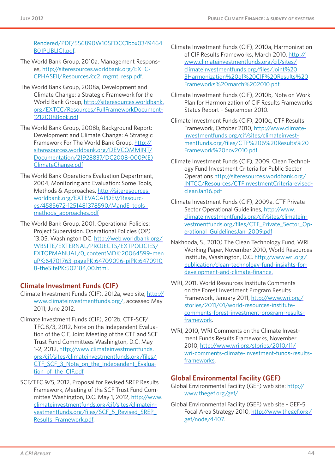[Rendered/PDF/556890W10SFDCC1box0349464](http://www-wds.worldbank.org/external/default/WDSContentServer/WDSP/IB/2010/07/16/000334955_20100716050525/Rendered/PDF/556890W10SFDCC1box0349464B01PUBLIC1.pdf) [B01PUBLIC1.pdf](http://www-wds.worldbank.org/external/default/WDSContentServer/WDSP/IB/2010/07/16/000334955_20100716050525/Rendered/PDF/556890W10SFDCC1box0349464B01PUBLIC1.pdf).

- The World Bank Group, 2010a, Management Responses, [http://siteresources.worldbank.org/EXTC-](http://siteresources.worldbank.org/EXTCCPHASEII/Resources/cc2_mgmt_resp.pdf)[CPHASEII/Resources/cc2\\_mgmt\\_resp.pdf](http://siteresources.worldbank.org/EXTCCPHASEII/Resources/cc2_mgmt_resp.pdf).
- The World Bank Group, 2008a, Development and Climate Change: a Strategic Framework for the World Bank Group, [http://siteresources.worldbank.](http://siteresources.worldbank.org/EXTCC/Resources/FullFrameworkDocument1212008Book.pdf) [org/EXTCC/Resources/FullFrameworkDocument-](http://siteresources.worldbank.org/EXTCC/Resources/FullFrameworkDocument1212008Book.pdf)[1212008Book.pdf](http://siteresources.worldbank.org/EXTCC/Resources/FullFrameworkDocument1212008Book.pdf)
- The World Bank Group, 2008b, Background Report: Development and Climate Change: A Strategic Framework For The World Bank Group, [http://](http://siteresources.worldbank.org/DEVCOMMINT/Documentation/21928837/DC2008-0009(E)ClimateChange.pdf) [siteresources.worldbank.org/DEVCOMMINT/](http://siteresources.worldbank.org/DEVCOMMINT/Documentation/21928837/DC2008-0009(E)ClimateChange.pdf) [Documentation/21928837/DC2008-0009\(E\)](http://siteresources.worldbank.org/DEVCOMMINT/Documentation/21928837/DC2008-0009(E)ClimateChange.pdf) [ClimateChange.pdf](http://siteresources.worldbank.org/DEVCOMMINT/Documentation/21928837/DC2008-0009(E)ClimateChange.pdf)
- The World Bank Operations Evaluation Department, 2004, Monitoring and Evaluation: Some Tools, Methods & Approaches, [http://siteresources.](http://siteresources.worldbank.org/EXTEVACAPDEV/Resources/4585672-1251481378590/MandE_tools_methods_approaches.pdf) [worldbank.org/EXTEVACAPDEV/Resourc](http://siteresources.worldbank.org/EXTEVACAPDEV/Resources/4585672-1251481378590/MandE_tools_methods_approaches.pdf)[es/4585672-1251481378590/MandE\\_tools\\_](http://siteresources.worldbank.org/EXTEVACAPDEV/Resources/4585672-1251481378590/MandE_tools_methods_approaches.pdf) [methods\\_approaches.pdf](http://siteresources.worldbank.org/EXTEVACAPDEV/Resources/4585672-1251481378590/MandE_tools_methods_approaches.pdf)
- The World Bank Group, 2001, Operational Policies: Project Supervision. Operational Policies (OP) 13.05. Washington DC. [http://web.worldbank.org/](http://web.worldbank.org/WBSITE/EXTERNAL/PROJECTS/EXTPOLICIES/EXTOPMANUAL/0,,contentMDK:20064599~menuPK:64701763~pagePK:64709096~piPK:64709108~theSitePK:502184,00.html) [WBSITE/EXTERNAL/PROJECTS/EXTPOLICIES/](http://web.worldbank.org/WBSITE/EXTERNAL/PROJECTS/EXTPOLICIES/EXTOPMANUAL/0,,contentMDK:20064599~menuPK:64701763~pagePK:64709096~piPK:64709108~theSitePK:502184,00.html) [EXTOPMANUAL/0,,contentMDK:20064599~men](http://web.worldbank.org/WBSITE/EXTERNAL/PROJECTS/EXTPOLICIES/EXTOPMANUAL/0,,contentMDK:20064599~menuPK:64701763~pagePK:64709096~piPK:64709108~theSitePK:502184,00.html) [uPK:64701763~pagePK:64709096~piPK:6470910](http://web.worldbank.org/WBSITE/EXTERNAL/PROJECTS/EXTPOLICIES/EXTOPMANUAL/0,,contentMDK:20064599~menuPK:64701763~pagePK:64709096~piPK:64709108~theSitePK:502184,00.html) [8~theSitePK:502184,00.html.](http://web.worldbank.org/WBSITE/EXTERNAL/PROJECTS/EXTPOLICIES/EXTOPMANUAL/0,,contentMDK:20064599~menuPK:64701763~pagePK:64709096~piPK:64709108~theSitePK:502184,00.html)

### **Climate Investment Funds (CIF)**

- Climate Investment Funds (CIF), 2012a, web site, [http://](http://www.climateinvestmentfunds.org/) [www.climateinvestmentfunds.org/](http://www.climateinvestmentfunds.org/), accessed May 2011; June 2012.
- Climate Investment Funds (CIF), 2012b, CTF-SCF/ TFC.8/3, 2012, Note on the Independent Evaluation of the CIF, Joint Meeting of the CTF and SCF Trust Fund Committees Washington, D.C. May 1-2, 2012, [http://www.climateinvestmentfunds.](http://www.climateinvestmentfunds.org/cif/sites/climateinvestmentfunds.org/files/CTF_SCF_3_Note_on_the_Independent_Evaluation_of_the_CIF.pdf) [org/cif/sites/climateinvestmentfunds.org/files/](http://www.climateinvestmentfunds.org/cif/sites/climateinvestmentfunds.org/files/CTF_SCF_3_Note_on_the_Independent_Evaluation_of_the_CIF.pdf) [CTF\\_SCF\\_3\\_Note\\_on\\_the\\_Independent\\_Evalua](http://www.climateinvestmentfunds.org/cif/sites/climateinvestmentfunds.org/files/CTF_SCF_3_Note_on_the_Independent_Evaluation_of_the_CIF.pdf)[tion\\_of\\_the\\_CIF.pdf](http://www.climateinvestmentfunds.org/cif/sites/climateinvestmentfunds.org/files/CTF_SCF_3_Note_on_the_Independent_Evaluation_of_the_CIF.pdf)
- SCF/TFC.9/5, 2012, Proposal for Revised SREP Results Framework, Meeting of the SCF Trust Fund Committee Washington, D.C. May 1, 2012, [http://www.](http://www.climateinvestmentfunds.org/cif/sites/climateinvestmentfunds.org/files/SCF_5_Revised_SREP_Results_Framework.pdf) [climateinvestmentfunds.org/cif/sites/climatein](http://www.climateinvestmentfunds.org/cif/sites/climateinvestmentfunds.org/files/SCF_5_Revised_SREP_Results_Framework.pdf)[vestmentfunds.org/files/SCF\\_5\\_Revised\\_SREP\\_](http://www.climateinvestmentfunds.org/cif/sites/climateinvestmentfunds.org/files/SCF_5_Revised_SREP_Results_Framework.pdf) [Results\\_Framework.pdf.](http://www.climateinvestmentfunds.org/cif/sites/climateinvestmentfunds.org/files/SCF_5_Revised_SREP_Results_Framework.pdf)
- Climate Investment Funds (CIF), 2010a, Harmonization of CIF Results Frameworks, March 2010, [http://](http://www.climateinvestmentfunds.org/cif/sites/climateinvestmentfunds.org/files/Joint%203Harmonization%20of%20CIF%20Results%20Frameworks%20march%202010.pdf) [www.climateinvestmentfunds.org/cif/sites/](http://www.climateinvestmentfunds.org/cif/sites/climateinvestmentfunds.org/files/Joint%203Harmonization%20of%20CIF%20Results%20Frameworks%20march%202010.pdf) [climateinvestmentfunds.org/files/Joint%20](http://www.climateinvestmentfunds.org/cif/sites/climateinvestmentfunds.org/files/Joint%203Harmonization%20of%20CIF%20Results%20Frameworks%20march%202010.pdf) [3Harmonization%20of%20CIF%20Results%20](http://www.climateinvestmentfunds.org/cif/sites/climateinvestmentfunds.org/files/Joint%203Harmonization%20of%20CIF%20Results%20Frameworks%20march%202010.pdf) [Frameworks%20march%202010.pdf.](http://www.climateinvestmentfunds.org/cif/sites/climateinvestmentfunds.org/files/Joint%203Harmonization%20of%20CIF%20Results%20Frameworks%20march%202010.pdf)
- Climate Investment Funds (CIF), 2010b, Note on Work Plan for Harmonization of CIF Results Frameworks Status Report – September 2010.
- Climate Investment Funds (CIF), 2010c, CTF Results Framework, October 2010, [http://www.climate](http://www.climateinvestmentfunds.org/cif/sites/climateinvestmentfunds.org/files/CTF%206%20Results%20Framework%20nov2010.pdf)[investmentfunds.org/cif/sites/climateinvest](http://www.climateinvestmentfunds.org/cif/sites/climateinvestmentfunds.org/files/CTF%206%20Results%20Framework%20nov2010.pdf)[mentfunds.org/files/CTF%206%20Results%20](http://www.climateinvestmentfunds.org/cif/sites/climateinvestmentfunds.org/files/CTF%206%20Results%20Framework%20nov2010.pdf) [Framework%20nov2010.pdf](http://www.climateinvestmentfunds.org/cif/sites/climateinvestmentfunds.org/files/CTF%206%20Results%20Framework%20nov2010.pdf)
- Climate Investment Funds (CIF), 2009, Clean Technology Fund Investment Criteria for Public Sector Operations [http://siteresources.worldbank.org/](http://siteresources.worldbank.org/INTCC/Resources/CTFInvestmentCriteriarevisedcleanJan16.pdf) [INTCC/Resources/CTFInvestmentCriteriarevised](http://siteresources.worldbank.org/INTCC/Resources/CTFInvestmentCriteriarevisedcleanJan16.pdf)[cleanJan16.pdf](http://siteresources.worldbank.org/INTCC/Resources/CTFInvestmentCriteriarevisedcleanJan16.pdf)
- Climate Investment Funds (CIF), 2009a, CTF Private Sector Operational Guidelines, [http://www.](http://www.climateinvestmentfunds.org/cif/sites/climateinvestmentfunds.org/files/CTF_Private_Sector_Operational_GuidelinesJan_2009.pdf) [climateinvestmentfunds.org/cif/sites/climatein](http://www.climateinvestmentfunds.org/cif/sites/climateinvestmentfunds.org/files/CTF_Private_Sector_Operational_GuidelinesJan_2009.pdf)[vestmentfunds.org/files/CTF\\_Private\\_Sector\\_Op](http://www.climateinvestmentfunds.org/cif/sites/climateinvestmentfunds.org/files/CTF_Private_Sector_Operational_GuidelinesJan_2009.pdf)[erational\\_GuidelinesJan\\_2009.pdf](http://www.climateinvestmentfunds.org/cif/sites/climateinvestmentfunds.org/files/CTF_Private_Sector_Operational_GuidelinesJan_2009.pdf)
- Nakhooda, S., 2010) The Clean Technology Fund, WRI Working Paper, November 2010, World Resources Institute, Washington, D.C. [http://www.wri.org/](http://www.wri.org/publication/clean-technology-fund-insights-for-development-and-climate-finance) [publication/clean-technology-fund-insights-for](http://www.wri.org/publication/clean-technology-fund-insights-for-development-and-climate-finance)[development-and-climate-finance.](http://www.wri.org/publication/clean-technology-fund-insights-for-development-and-climate-finance)
- WRI, 2011, World Resources Institute Comments on the Forest Investment Program Results Framework, January 2011, [http://www.wri.org/](http://www.wri.org/stories/2011/01/world-resources-institute-comments-forest-investment-program-results-framework) [stories/2011/01/world-resources-institute](http://www.wri.org/stories/2011/01/world-resources-institute-comments-forest-investment-program-results-framework)[comments-forest-investment-program-results](http://www.wri.org/stories/2011/01/world-resources-institute-comments-forest-investment-program-results-framework)[framework.](http://www.wri.org/stories/2011/01/world-resources-institute-comments-forest-investment-program-results-framework)
- WRI, 2010, WRI Comments on the Climate Investment Funds Results Frameworks, November 2010, [http://www.wri.org/stories/2010/11/](http://www.wri.org/stories/2010/11/wri-comments-climate-investment-funds-results-frameworks) [wri-comments-climate-investment-funds-results](http://www.wri.org/stories/2010/11/wri-comments-climate-investment-funds-results-frameworks)[frameworks](http://www.wri.org/stories/2010/11/wri-comments-climate-investment-funds-results-frameworks).

### **Global Environmental Facility (GEF)**

- Global Environmental Facility (GEF) web site: [http://](http://www.thegef.org/gef/) [www.thegef.org/gef/.](http://www.thegef.org/gef/)
- Global Environmental Facility (GEF) web site GEF-5 Focal Area Strategy 2010, [http://www.thegef.org/](http://www.thegef.org/gef/node/4407) [gef/node/4407.](http://www.thegef.org/gef/node/4407)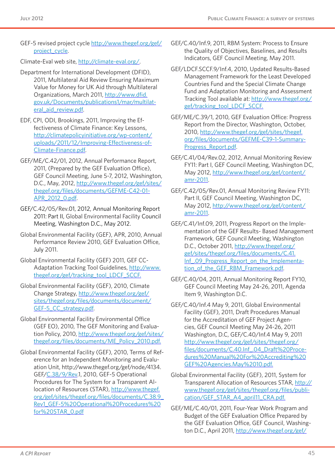GEF-5 revised project cycle [http://www.thegef.org/gef/](http://www.thegef.org/gef/project_cycle) [project\\_cycle](http://www.thegef.org/gef/project_cycle).

Climate-Eval web site, [http://climate-eval.org/.](http://climate-eval.org/)

- Department for International Development (DFID), 2011, Multilateral Aid Review Ensuring Maximum Value for Money for UK Aid through Multilateral Organizations, March 2011, [http://www.dfid.](http://www.dfid.gov.uk/Documents/publications1/mar/multilateral_aid_review.pdf) [gov.uk/Documents/publications1/mar/multilat](http://www.dfid.gov.uk/Documents/publications1/mar/multilateral_aid_review.pdf)[eral\\_aid\\_review.pdf.](http://www.dfid.gov.uk/Documents/publications1/mar/multilateral_aid_review.pdf)
- EDF, CPI, ODI, Brookings, 2011, Improving the Effectiveness of Climate Finance: Key Lessons, [http://climatepolicyinitiative.org/wp-content/](http://climatepolicyinitiative.org/wp-content/uploads/2011/12/Improving-Effectiveness-of-Climate-Finance.pdf) [uploads/2011/12/Improving-Effectiveness-of-](http://climatepolicyinitiative.org/wp-content/uploads/2011/12/Improving-Effectiveness-of-Climate-Finance.pdf)[Climate-Finance.pdf.](http://climatepolicyinitiative.org/wp-content/uploads/2011/12/Improving-Effectiveness-of-Climate-Finance.pdf)
- GEF/ME/C.42/01, 2012, Annual Performance Report, 2011, (Prepared by the GEF Evaluation Office), GEF Council Meeting, June 5-7, 2012, Washington, D.C., May, 2012, [http://www.thegef.org/gef/sites/](http://www.thegef.org/gef/sites/thegef.org/files/documents/GEFME-C42-01-APR_2012_0.pdf) [thegef.org/files/documents/GEFME-C42-01-](http://www.thegef.org/gef/sites/thegef.org/files/documents/GEFME-C42-01-APR_2012_0.pdf) [APR\\_2012\\_0.pdf.](http://www.thegef.org/gef/sites/thegef.org/files/documents/GEFME-C42-01-APR_2012_0.pdf)
- GEF[/C.42/05/Rev.](C.42/05/Rev)01, 2012, Annual Monitoring Report 2011: Part II, Global Environmental Facility Council Meeting, Washington D.C., May 2012.
- Global Environmental Facility (GEF), APR, 2010, Annual Performance Review 2010, GEF Evaluation Office, July 2011.
- Global Environmental Facility (GEF) 2011, GEF CC-Adaptation Tracking Tool Guidelines, [http://www.](http://www.thegef.org/gef/tracking_tool_LDCF_SCCF) [thegef.org/gef/tracking\\_tool\\_LDCF\\_SCCF.](http://www.thegef.org/gef/tracking_tool_LDCF_SCCF)
- Global Environmental Facility (GEF), 2010, Climate Change Strategy, [http://www.thegef.org/gef/](http://www.thegef.org/gef/sites/thegef.org/files/documents/document/GEF-5_CC_strategy.pdf) [sites/thegef.org/files/documents/document/](http://www.thegef.org/gef/sites/thegef.org/files/documents/document/GEF-5_CC_strategy.pdf) [GEF-5\\_CC\\_strategy.pdf](http://www.thegef.org/gef/sites/thegef.org/files/documents/document/GEF-5_CC_strategy.pdf).
- Global Environmental Facility Environmental Office (GEF EO), 2010, The GEF Monitoring and Evaluation Policy, 2010, [http://www.thegef.org/gef/sites/](http://www.thegef.org/gef/sites/thegef.org/files/documents/ME_Policy_2010.pd) [thegef.org/files/documents/ME\\_Policy\\_2010.pd](http://www.thegef.org/gef/sites/thegef.org/files/documents/ME_Policy_2010.pd)f.
- Global Environmental Facility (GEF), 2010, Terms of Reference for an Independent Monitoring and Evaluation Unit, <http://www.thegef.org/gef/node/4134>. GEF[/C.38/9/Rev](C.38/9/Rev).1, 2010, GEF-5 Operational Procedures for The System for a Transparent Allocation of Resources (STAR), [http://www.thegef.](http://www.thegef.org/gef/sites/thegef.org/files/documents/C.38.9_Rev1_GEF-5%20Operational%20Procedures%20for%20STAR_0.pdf) [org/gef/sites/thegef.org/files/documents/C.38.9\\_](http://www.thegef.org/gef/sites/thegef.org/files/documents/C.38.9_Rev1_GEF-5%20Operational%20Procedures%20for%20STAR_0.pdf) [Rev1\\_GEF-5%20Operational%20Procedures%20](http://www.thegef.org/gef/sites/thegef.org/files/documents/C.38.9_Rev1_GEF-5%20Operational%20Procedures%20for%20STAR_0.pdf) [for%20STAR\\_0.pdf](http://www.thegef.org/gef/sites/thegef.org/files/documents/C.38.9_Rev1_GEF-5%20Operational%20Procedures%20for%20STAR_0.pdf)
- GEF[/C.40/Inf.](C.40/Inf)9, 2011, RBM System: Process to Ensure the Quality of Objectives, Baselines, and Results Indicators, GEF Council Meeting, May 2011.
- GEF/[LDCF.SCCF.9/Inf.](LDCF.SCCF.9/Inf)4, 2010, Updated Results-Based Management Framework for the Least Developed Countries Fund and the Special Climate Change Fund and Adaptation Monitoring and Assessment Tracking Tool available at: [http://www.thegef.org/](http://www.thegef.org/gef/tracking_tool_LDCF_SCCF) [gef/tracking\\_tool\\_LDCF\\_SCCF](http://www.thegef.org/gef/tracking_tool_LDCF_SCCF).
- GEF/ME/C.39/1, 2010, GEF Evaluation Office: Progress Report from the Director, Washington, October, 2010, [http://www.thegef.org/gef/sites/thegef.](http://www.thegef.org/gef/sites/thegef.org/files/documents/GEFME-C39-1-Summary-Progress_Report.pdf) [org/files/documents/GEFME-C39-1-Summary-](http://www.thegef.org/gef/sites/thegef.org/files/documents/GEFME-C39-1-Summary-Progress_Report.pdf)[Progress\\_Report.pdf.](http://www.thegef.org/gef/sites/thegef.org/files/documents/GEFME-C39-1-Summary-Progress_Report.pdf)
- GEF[/C.41/04/Rev.](C.41/04/Rev)02, 2012, Annual Monitoring Review FY11: Part I, GEF Council Meeting, Washington DC, May 2012, [http://www.thegef.org/gef/content/](http://www.thegef.org/gef/content/amr-2011) [amr-2011.](http://www.thegef.org/gef/content/amr-2011)
- GEF[/C.42/05/Rev.](C.42/05/Rev)01, Annual Monitoring Review FY11: Part II, GEF Council Meeting, Washington DC, May 2012, [http://www.thegef.org/gef/content/](http://www.thegef.org/gef/content/amr-2011) [amr-2011.](http://www.thegef.org/gef/content/amr-2011)
- GEF[/C.41/Inf](C.41/Inf).09, 2011, Progress Report on the Implementation of the GEF Results- Based Management Framework, GEF Council Meeting, Washington D.C., October 2011, [http://www.thegef.org/](http://www.thegef.org/gef/sites/thegef.org/files/documents/C.41.Inf_.09_Progress_Report_on_the_Implementation_of_the_GEF_RBM_Framework.pdf) [gef/sites/thegef.org/files/documents/C.41.](http://www.thegef.org/gef/sites/thegef.org/files/documents/C.41.Inf_.09_Progress_Report_on_the_Implementation_of_the_GEF_RBM_Framework.pdf) [Inf\\_.09\\_Progress\\_Report\\_on\\_the\\_Implementa](http://www.thegef.org/gef/sites/thegef.org/files/documents/C.41.Inf_.09_Progress_Report_on_the_Implementation_of_the_GEF_RBM_Framework.pdf)tion of the GEF RBM Framework.pdf.
- GEF/C.40/04, 2011, Annual Monitoring Report FY10, GEF Council Meeting May 24-26, 2011, Agenda Item 9, Washington D.C.
- GEF[/C.40/Inf.](C.40/Inf)4 May 9, 2011, Global Environmental Facility (GEF), 2011, Draft Procedures Manual for the Accreditation of GEF Project Agencies, GEF Council Meeting May 24-26, 2011 Washington, D.C, GEF[/C.40/Inf.](C.40/Inf)4 May 9, 2011 [http://www.thegef.org/gef/sites/thegef.org/](http://www.thegef.org/gef/sites/thegef.org/files/documents/C.40.Inf_.04_Draft%20Procedures%20Manual%20For%20Accrediting%20GEF%20Agencies.May%2010.pdf) [files/documents/C.40.Inf\\_.04\\_Draft%20Proce](http://www.thegef.org/gef/sites/thegef.org/files/documents/C.40.Inf_.04_Draft%20Procedures%20Manual%20For%20Accrediting%20GEF%20Agencies.May%2010.pdf)[dures%20Manual%20For%20Accrediting%20](http://www.thegef.org/gef/sites/thegef.org/files/documents/C.40.Inf_.04_Draft%20Procedures%20Manual%20For%20Accrediting%20GEF%20Agencies.May%2010.pdf) [GEF%20Agencies.May%2010.pdf](http://www.thegef.org/gef/sites/thegef.org/files/documents/C.40.Inf_.04_Draft%20Procedures%20Manual%20For%20Accrediting%20GEF%20Agencies.May%2010.pdf).
- Global Environmental Facility (GEF), 2011, System for Transparent Allocation of Resources STAR, [http://](http://www.thegef.org/gef/sites/thegef.org/files/publication/GEF_STAR_A4_april11_CRA.pdf) [www.thegef.org/gef/sites/thegef.org/files/publi](http://www.thegef.org/gef/sites/thegef.org/files/publication/GEF_STAR_A4_april11_CRA.pdf)[cation/GEF\\_STAR\\_A4\\_april11\\_CRA.pdf.](http://www.thegef.org/gef/sites/thegef.org/files/publication/GEF_STAR_A4_april11_CRA.pdf)
- GEF/ME/C.40/01, 2011, Four-Year Work Program and Budget of the GEF Evaluation Office Prepared by the GEF Evaluation Office, GEF Council, Washington D.C., April 2011, [http://www.thegef.org/gef/](http://www.thegef.org/gef/sites/thegef.org/files/documents/GEFME-C40-01%20Four%20Year%20Work%20Program%20and%20Budget%20EO.pdf)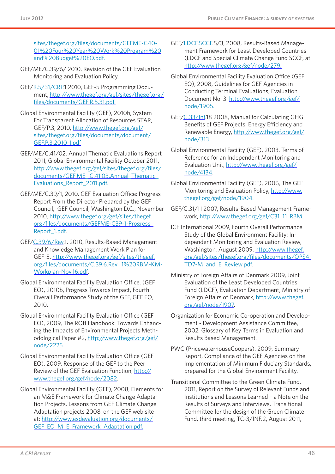[sites/thegef.org/files/documents/GEFME-C40-](http://www.thegef.org/gef/sites/thegef.org/files/documents/GEFME-C40-01%20Four%20Year%20Work%20Program%20and%20Budget%20EO.pdf) [01%20Four%20Year%20Work%20Program%20](http://www.thegef.org/gef/sites/thegef.org/files/documents/GEFME-C40-01%20Four%20Year%20Work%20Program%20and%20Budget%20EO.pdf) [and%20Budget%20EO.pdf](http://www.thegef.org/gef/sites/thegef.org/files/documents/GEFME-C40-01%20Four%20Year%20Work%20Program%20and%20Budget%20EO.pdf).

- GEF/ME/C.39/6/ 2010, Revision of the GEF Evaluation Monitoring and Evaluation Policy.
- GEF[/R.5/31/CRP](R.5/31/CRP).1 2010, GEF-5 Programming Document, [http://www.thegef.org/gef/sites/thegef.org/](http://www.thegef.org/gef/sites/thegef.org/files/documents/GEF.R.5.31.pdf) [files/documents/GEF.R.5.31.pdf](http://www.thegef.org/gef/sites/thegef.org/files/documents/GEF.R.5.31.pdf).
- Global Environmental Facility (GEF), 2010b, System For Transparent Allocation of Resources STAR, GEF/P.3, 2010, [http://www.thegef.org/gef/](http://www.thegef.org/gef/sites/thegef.org/files/documents/document/GEF.P.3.2010-1.pdf) [sites/thegef.org/files/documents/document/](http://www.thegef.org/gef/sites/thegef.org/files/documents/document/GEF.P.3.2010-1.pdf) [GEF.P.3.2010-1.pdf](http://www.thegef.org/gef/sites/thegef.org/files/documents/document/GEF.P.3.2010-1.pdf)
- GEF/ME/C.41/02, Annual Thematic Evaluations Report 2011, Global Environmental Facility October 2011, [http://www.thegef.org/gef/sites/thegef.org/files/](http://www.thegef.org/gef/sites/thegef.org/files/documents/GEF.ME_.C.41.03.Annual_Thematic_Evaluations_Report_2011.pdf) [documents/GEF.ME\\_.C.41.03.Annual\\_Thematic\\_](http://www.thegef.org/gef/sites/thegef.org/files/documents/GEF.ME_.C.41.03.Annual_Thematic_Evaluations_Report_2011.pdf) [Evaluations\\_Report\\_2011.pdf](http://www.thegef.org/gef/sites/thegef.org/files/documents/GEF.ME_.C.41.03.Annual_Thematic_Evaluations_Report_2011.pdf).
- GEF/ME/C.39/1, 2010, GEF Evaluation Office: Progress Report From the Director Prepared by the GEF Council, GEF Council, Washington D.C., November 2010, [http://www.thegef.org/gef/sites/thegef.](http://www.thegef.org/gef/sites/thegef.org/files/documents/GEFME-C39-1-Progress_Report_1.pdf) [org/files/documents/GEFME-C39-1-Progress\\_](http://www.thegef.org/gef/sites/thegef.org/files/documents/GEFME-C39-1-Progress_Report_1.pdf) [Report\\_1.pdf.](http://www.thegef.org/gef/sites/thegef.org/files/documents/GEFME-C39-1-Progress_Report_1.pdf)
- GEF[/C.39/6/Rev.](C.39/6/Rev)1, 2010, Results-Based Management and Knowledge Management Work Plan for GEF-5, [http://www.thegef.org/gef/sites/thegef.](http://www.thegef.org/gef/sites/thegef.org/files/documents/C.39.6.Rev_.1%20RBM-KM-Workplan-Nov.16.pdf) [org/files/documents/C.39.6.Rev\\_.1%20RBM-KM-](http://www.thegef.org/gef/sites/thegef.org/files/documents/C.39.6.Rev_.1%20RBM-KM-Workplan-Nov.16.pdf)[Workplan-Nov.16.pdf.](http://www.thegef.org/gef/sites/thegef.org/files/documents/C.39.6.Rev_.1%20RBM-KM-Workplan-Nov.16.pdf)
- Global Environmental Facility Evaluation Office, (GEF EO), 2010b, Progress Towards Impact, Fourth Overall Performance Study of the GEF, GEF EO, 2010.
- Global Environmental Facility Evaluation Office (GEF EO), 2009, The ROtI Handbook: Towards Enhancing the Impacts of Environmental Projects Methodological Paper #2, [http://www.thegef.org/gef/](http://www.thegef.org/gef/node/2225) [node/2225.](http://www.thegef.org/gef/node/2225)
- Global Environmental Facility Evaluation Office (GEF EO), 2009, Response of the GEF to the Peer Review of the GEF Evaluation Function, [http://](http://www.thegef.org/gef/node/2082) [www.thegef.org/gef/node/2082](http://www.thegef.org/gef/node/2082).
- Global Environmental Facility (GEF), 2008, Elements for an M&E Framework for Climate Change Adaptation Projects, Lessons from GEF Climate Change Adaptation projects 2008, on the GEF web site at: [http://www.esdevaluation.org/documents/](http://www.esdevaluation.org/documents/GEF_EO_M_E_Framework_Adaptation.pdf) [GEF\\_EO\\_M\\_E\\_Framework\\_Adaptation.pdf](http://www.esdevaluation.org/documents/GEF_EO_M_E_Framework_Adaptation.pdf).
- GEF/<LDCF.SCCF>.5/3, 2008, Results-Based Management Framework for Least Developed Countries (LDCF and Special Climate Change Fund SCCF, at: <http://www.thegef.org/gef/node/279>.
- Global Environmental Facility Evaluation Office (GEF EO), 2008, Guidelines for GEF Agencies in Conducting Terminal Evaluations, Evaluation Document No. 3: [http://www.thegef.org/gef/](http://www.thegef.org/gef/node/1905) [node/1905.](http://www.thegef.org/gef/node/1905)
- GEF[/C.33/Inf.](C.33/Inf)18 2008, Manual for Calculating GHG Benefits of GEF Projects: Energy Efficiency and Renewable Energy, [http://www.thegef.org/gef/](http://www.thegef.org/gef/node/313) [node/313](http://www.thegef.org/gef/node/313)
- Global Environmental Facility (GEF), 2003, Terms of Reference for an Independent Monitoring and Evaluation Unit, [http://www.thegef.org/gef/](http://www.thegef.org/gef/node/4134) [node/4134](http://www.thegef.org/gef/node/4134).
- Global Environmental Facility (GEF), 2006, The GEF Monitoring and Evaluation Policy, [http://www.](http://www.thegef.org/gef/node/1904) [thegef.org/gef/node/1904.](http://www.thegef.org/gef/node/1904)
- GEF/C.31/11 2007, Results-Based Management Framework, [http://www.thegef.org/gef/C31\\_11\\_RBM](http://www.thegef.org/gef/C31_11_RBM).
- ICF International 2009, Fourth Overall Performance Study of the Global Environment Facility: Independent Monitoring and Evaluation Review, Washington, August 2009. [http://www.thegef.](http://www.thegef.org/gef/sites/thegef.org/files/documents/OPS4-TD7-M_and_E_Review.pdf) [org/gef/sites/thegef.org/files/documents/OPS4-](http://www.thegef.org/gef/sites/thegef.org/files/documents/OPS4-TD7-M_and_E_Review.pdf) [TD7-M\\_and\\_E\\_Review.pdf.](http://www.thegef.org/gef/sites/thegef.org/files/documents/OPS4-TD7-M_and_E_Review.pdf)
- Ministry of Foreign Affairs of Denmark 2009, Joint Evaluation of the Least Developed Countries Fund (LDCF), Evaluation Department, Ministry of Foreign Affairs of Denmark, [http://www.thegef.](http://www.thegef.org/gef/node/1907) [org/gef/node/1907.](http://www.thegef.org/gef/node/1907)
- Organization for Economic Co-operation and Development - Development Assistance Committee, 2002, Glossary of Key Terms in Evaluation and Results Based Management.
- PWC (PricewaterhouseCoopers), 2009, Summary Report, Compliance of the GEF Agencies on the Implementation of Minimum Fiduciary Standards, prepared for the Global Environment Facility.
- Transitional Committee to the Green Climate Fund, 2011, Report on the Survey of Relevant Funds and Institutions and Lessons Learned – a Note on the Results of Surveys and Interviews, Transitional Committee for the design of the Green Climate Fund, third meeting, TC-3/INF.2, August 2011,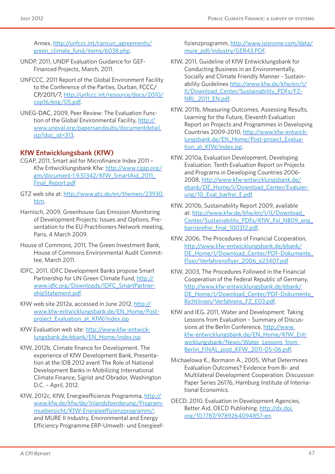Annex, [http://unfccc.int/cancun\\_agreements/](http://unfccc.int/cancun_agreements/green_climate_fund/items/6038.php) [green\\_climate\\_fund/items/6038.php.](http://unfccc.int/cancun_agreements/green_climate_fund/items/6038.php)

- UNDP, 2011, UNDP Evaluation Guidance for GEF-Financed Projects, March, 2011.
- UNFCCC, 2011 Report of the Global Environment Facility to the Conference of the Parties, Durban, FCCC/ CP/2011/7, [http://unfccc.int/resource/docs/2010/](http://unfccc.int/resource/docs/2010/cop16/eng/05.pdf) [cop16/eng/05.pdf](http://unfccc.int/resource/docs/2010/cop16/eng/05.pdf).
- UNEG-DAC, 2009, Peer Review: The Evaluation Function of the Global Environmental Facility, [http://](http://www.uneval.org/papersandpubs/documentdetail.jsp?doc_id=313) [www.uneval.org/papersandpubs/documentdetail.](http://www.uneval.org/papersandpubs/documentdetail.jsp?doc_id=313) [jsp?doc\\_id=313.](http://www.uneval.org/papersandpubs/documentdetail.jsp?doc_id=313)

#### **KfW Entwicklungsbank (KfW)**

- CGAP, 2011, Smart aid for Microfinance Index 2011 Kfw Entwicklungsbank Kfw: [http://www.cgap.org/](http://www.cgap.org/gm/document-1.9.51342/KfW_SmartAid_2011_Final_Report.pdf) [gm/document-1.9.51342/KfW\\_SmartAid\\_2011\\_](http://www.cgap.org/gm/document-1.9.51342/KfW_SmartAid_2011_Final_Report.pdf) [Final\\_Report.pdf](http://www.cgap.org/gm/document-1.9.51342/KfW_SmartAid_2011_Final_Report.pdf)
- GTZ web site at: [http://www.gtz.de/en/themen/23930.](http://www.gtz.de/en/themen/23930.htm) [htm](http://www.gtz.de/en/themen/23930.htm).
- Harnisch, 2009, Greenhouse Gas Emission Monitoring of Development Projects: Issues and Options, Presentation to the EU Practitioners Network meeting, Paris, 4 March 2009.
- House of Commons, 2011, The Green Investment Bank, House of Commons Environmental Audit Committee, March 2011.
- IDFC, 2011, IDFC Development Banks propose Smart Partnership for UN Green Climate Fund, [http://](http://www.idfc.org/Downloads/IDFC_SmartPartnershipStatement.pdf) [www.idfc.org/Downloads/IDFC\\_SmartPartner](http://www.idfc.org/Downloads/IDFC_SmartPartnershipStatement.pdf)[shipStatement.pdf](http://www.idfc.org/Downloads/IDFC_SmartPartnershipStatement.pdf).
- KfW web site 2012a, accessed in June 2012, [http://](http://www.kfw-entwicklungsbank.de/EN_Home/Ex-post_Evaluation_at_KfW/index.jsp) [www.kfw-entwicklungsbank.de/EN\\_Home/Post](http://www.kfw-entwicklungsbank.de/EN_Home/Ex-post_Evaluation_at_KfW/index.jsp)[project\\_Evaluation\\_at\\_KfW/index.jsp](http://www.kfw-entwicklungsbank.de/EN_Home/Ex-post_Evaluation_at_KfW/index.jsp)
- KfW Evaluation web site: [http://www.kfw-entwick](http://www.kfw-entwicklungsbank.de/ebank/EN_Home/index.jsp)[lungsbank.de/ebank/EN\\_Home/index.jsp.](http://www.kfw-entwicklungsbank.de/ebank/EN_Home/index.jsp)
- KfW, 2012b, Climate finance for Development. The experience of KfW Development Bank, Presentation at the IDB 2012 event The Role of National Development Banks in Mobilizing International Climate Finance, Sigrist and Obrador, Washington D.C. – April, 2012.
- KfW, 2012c, KfW, Energieefficienze Programma, [http://](http://www.kfw.de/kfw/de/Inlandsfoerderung/Programmuebersicht/KfW-Energieeffizienzprogramm/) [www.kfw.de/kfw/de/Inlandsfoerderung/Program](http://www.kfw.de/kfw/de/Inlandsfoerderung/Programmuebersicht/KfW-Energieeffizienzprogramm/)[muebersicht/KfW-Energieeffizienzprogramm/](http://www.kfw.de/kfw/de/Inlandsfoerderung/Programmuebersicht/KfW-Energieeffizienzprogramm/); and MURE II Industry, Environmental and Energy Efficiency Programme ERP-Umwelt- und Energieef-

fizienzprogramm, [http://www.isisrome.com/data/](http://www.isisrome.com/data/mure_pdf/industry/GER43.PDF) [mure\\_pdf/industry/GER43.PDF.](http://www.isisrome.com/data/mure_pdf/industry/GER43.PDF)

- KfW, 2011, Guideline of KfW Entwicklungsbank for Conducting Business in an Environmentally, Socially and Climate Friendly Manner - Sustainability Guidelines [http://www.kfw.de/kfw/en/I/](http://www.kfw.de/kfw/en/I/II/Download_Center/Sustainability_PDFs/FZ-NRL_2011_EN.pdf) [II/Download\\_Center/Sustainability\\_PDFs/FZ-](http://www.kfw.de/kfw/en/I/II/Download_Center/Sustainability_PDFs/FZ-NRL_2011_EN.pdf)[NRL\\_2011\\_EN.pdf.](http://www.kfw.de/kfw/en/I/II/Download_Center/Sustainability_PDFs/FZ-NRL_2011_EN.pdf)
- KfW, 2011b, Measuring Outcomes, Assessing Results, Learning for the Future, Eleventh Evaluation Report on Projects and Programmes in Developing Countries 2009-2010, [http://www.kfw-entwick](http://www.kfw-entwicklungsbank.de/EN_Home/Post-project_Evaluation_at_KfW/index.jsp)[lungsbank.de/EN\\_Home/Post-project\\_Evalua](http://www.kfw-entwicklungsbank.de/EN_Home/Post-project_Evaluation_at_KfW/index.jsp)[tion\\_at\\_KfW/index.jsp](http://www.kfw-entwicklungsbank.de/EN_Home/Post-project_Evaluation_at_KfW/index.jsp).
- KfW, 2010a, Evaluation Development, Developing Evaluation. Tenth Evaluation Report on Projects and Programs in Developing Countries 2006- 2008, [http://www.kfw-entwicklungsbank.de/](http://www.kfw-entwicklungsbank.de/ebank/DE_Home/I/Download_Center/Evaluierung/10_Eval_barfrei_E.pdf) [ebank/DE\\_Home/I/Download\\_Center/Evaluier](http://www.kfw-entwicklungsbank.de/ebank/DE_Home/I/Download_Center/Evaluierung/10_Eval_barfrei_E.pdf)[ung/10\\_Eval\\_barfrei\\_E.pdf.](http://www.kfw-entwicklungsbank.de/ebank/DE_Home/I/Download_Center/Evaluierung/10_Eval_barfrei_E.pdf)
- KfW, 2010b, Sustainability Report 2009, available at: [http://www.kfw.de/kfw/en/I/II/Download\\_](http://www.kfw.de/kfw/en/I/II/Download_Center/Sustainability_PDFs/KfW_Fol_NB09_eng_barrierefrei_final_100312.pdf) [Center/Sustainability\\_PDFs/KfW\\_Fol\\_NB09\\_eng\\_](http://www.kfw.de/kfw/en/I/II/Download_Center/Sustainability_PDFs/KfW_Fol_NB09_eng_barrierefrei_final_100312.pdf) barrierefrei final 100312.pdf.
- KfW, 2006, The Procedures of Financial Cooperation, [http://www.kfw-entwicklungsbank.de/ebank/](http://www.kfw-entwicklungsbank.de/ebank/DE_Home/I/Download_Center/PDF-Dokumente_Flyer/Verfahrensflyer_2006_e23407.pdf) [DE\\_Home/I/Download\\_Center/PDF-Dokumente\\_](http://www.kfw-entwicklungsbank.de/ebank/DE_Home/I/Download_Center/PDF-Dokumente_Flyer/Verfahrensflyer_2006_e23407.pdf) [Flyer/Verfahrensflyer\\_2006\\_e23407.pdf](http://www.kfw-entwicklungsbank.de/ebank/DE_Home/I/Download_Center/PDF-Dokumente_Flyer/Verfahrensflyer_2006_e23407.pdf)
- KfW, 2003, The Procedures Followed in the Financial Cooperation of the Federal Republic of Germany, [http://www.kfw-entwicklungsbank.de/ebank/](http://www.kfw-entwicklungsbank.de/ebank/DE_Home/I/Download_Center/PDF-Dokumente_Richtlinien/Verfahrens_FZ_E03.pdf) DE\_Home/I/Download\_Center/PDF-Dokumente [Richtlinien/Verfahrens\\_FZ\\_E03.pdf](http://www.kfw-entwicklungsbank.de/ebank/DE_Home/I/Download_Center/PDF-Dokumente_Richtlinien/Verfahrens_FZ_E03.pdf).
- KfW and IEG, 2011, Water and Development: Taking Lessons from Evaluation – Summary of Discussions at the Berlin Conference, [http://www.](http://www.kfw-entwicklungsbank.de/EN_Home/KfW_Entwicklungsbank/News/Water_Lessons_from_Berlin_FINAL_post_KFW_2011-05-06.pdf) [kfw-entwicklungsbank.de/EN\\_Home/KfW\\_Ent](http://www.kfw-entwicklungsbank.de/EN_Home/KfW_Entwicklungsbank/News/Water_Lessons_from_Berlin_FINAL_post_KFW_2011-05-06.pdf)wicklungsbank/News/Water\_Lessons\_from [Berlin\\_FINAL\\_post\\_KFW\\_2011-05-06.pdf](http://www.kfw-entwicklungsbank.de/EN_Home/KfW_Entwicklungsbank/News/Water_Lessons_from_Berlin_FINAL_post_KFW_2011-05-06.pdf).
- Michaelowa K., Bormann A., 2005, What Determines Evaluation Outcomes? Evidence from Bi- and Multilateral Development Cooperation. Discussion Paper Series 26176, Hamburg Institute of International Economics.
- OECD, 2010, Evaluation in Development Agencies, Better Aid, OECD Publishing. [http://dx.doi.](http://dx.doi.org/10.1787/9789264094857-en) [org/10.1787/9789264094857-en](http://dx.doi.org/10.1787/9789264094857-en).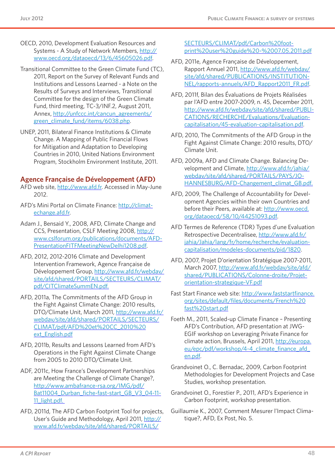- OECD, 2010, Development Evaluation Resources and Systems - A Study of Network Members, [http://](http://www.oecd.org/dataoecd/13/6/45605026.pdf) [www.oecd.org/dataoecd/13/6/45605026.pdf.](http://www.oecd.org/dataoecd/13/6/45605026.pdf)
- Transitional Committee to the Green Climate Fund (TC), 2011, Report on the Survey of Relevant Funds and Institutions and Lessons Learned - a Note on the Results of Surveys and Interviews, Transitional Committee for the design of the Green Climate Fund, third meeting, TC-3/INF.2, August 2011, Annex, [http://unfccc.int/cancun\\_agreements/](http://unfccc.int/cancun_agreements/green_climate_fund/items/6038.php) [green\\_climate\\_fund/items/6038.php.](http://unfccc.int/cancun_agreements/green_climate_fund/items/6038.php)
- UNEP, 2011, Bilateral Finance Institutions & Climate Change. A Mapping of Public Financial Flows for Mitigation and Adaptation to Developing Countries in 2010, United Nations Environment Program, Stockholm Environment Institute, 2011.

#### **Agence Française de Développement (AFD)**

- AFD web site, <http://www.afd.fr>. Accessed in May-June 2012.
- AFD's Mini Portal on Climate Finance: [http://climat](http://climatechange.afd.fr)[echange.afd.fr.](http://climatechange.afd.fr)
- Adam J., Bensaid Y., 2008, AFD, Climate Change and CCS, Presentation, CSLF Meeting 2008, [http://](http://www.cslforum.org/publications/documents/AFDPresentationFITFMeetingNewDelhi1208.pdf) [www.cslforum.org/publications/documents/AFD-](http://www.cslforum.org/publications/documents/AFDPresentationFITFMeetingNewDelhi1208.pdf)[PresentationFITFMeetingNewDelhi1208.pdf](http://www.cslforum.org/publications/documents/AFDPresentationFITFMeetingNewDelhi1208.pdf).
- AFD, 2012, 2012-2016 Climate and Development Intervention Framework, Agence Française de Développement Group, [http://www.afd.fr/webdav/](http://www.afd.fr/webdav/site/afd/shared/PORTAILS/SECTEURS/CLIMAT/pdf/CITClimateSummEN.pdf) [site/afd/shared/PORTAILS/SECTEURS/CLIMAT/](http://www.afd.fr/webdav/site/afd/shared/PORTAILS/SECTEURS/CLIMAT/pdf/CITClimateSummEN.pdf) [pdf/CITClimateSummEN.pdf](http://www.afd.fr/webdav/site/afd/shared/PORTAILS/SECTEURS/CLIMAT/pdf/CITClimateSummEN.pdf).
- AFD, 2011a, The Commitments of the AFD Group in the Fight Against Climate Change: 2010 results, DTO/Climate Unit, March 2011, [http://www.afd.fr/](http://www.afd.fr/webdav/site/afd/shared/PORTAILS/SECTEURS/CLIMAT/pdf/AFD%20et%20CC_2010%20ext_English.pdf) [webdav/site/afd/shared/PORTAILS/SECTEURS/](http://www.afd.fr/webdav/site/afd/shared/PORTAILS/SECTEURS/CLIMAT/pdf/AFD%20et%20CC_2010%20ext_English.pdf) [CLIMAT/pdf/AFD%20et%20CC\\_2010%20](http://www.afd.fr/webdav/site/afd/shared/PORTAILS/SECTEURS/CLIMAT/pdf/AFD%20et%20CC_2010%20ext_English.pdf) [ext\\_English.pdf](http://www.afd.fr/webdav/site/afd/shared/PORTAILS/SECTEURS/CLIMAT/pdf/AFD%20et%20CC_2010%20ext_English.pdf)
- AFD, 2011b, Results and Lessons Learned from AFD's Operations in the Fight Against Climate Change from 2005 to 2010 DTO/Climate Unit.
- ADF, 2011c, How France's Development Partnerships are Meeting the Challenge of Climate Change?, [http://www.ambafrance-rsa.org/IMG/pdf/](http://www.ambafrance-rsa.org/IMG/pdf/Bat11004_Durban_fiche-fast-start_GB_V3_04-11-11_light.pdf) Bat11004 Durban fiche-fast-start GB V3 04-11-11 light.pdf.
- AFD, 2011d, The AFD Carbon Footprint Tool for projects, User's Guide and Methodology, April 2011, [http://](http://www.afd.fr/webdav/site/afd/shared/PORTAILS/SECTEURS/CLIMAT/pdf/Carbon%20footprint%20user%20guide%20-%2007.05.2011.pdf) [www.afd.fr/webdav/site/afd/shared/PORTAILS/](http://www.afd.fr/webdav/site/afd/shared/PORTAILS/SECTEURS/CLIMAT/pdf/Carbon%20footprint%20user%20guide%20-%2007.05.2011.pdf)

[SECTEURS/CLIMAT/pdf/Carbon%20foot](http://www.afd.fr/webdav/site/afd/shared/PORTAILS/SECTEURS/CLIMAT/pdf/Carbon%20footprint%20user%20guide%20-%2007.05.2011.pdf)[print%20user%20guide%20-%2007.05.2011.pdf](http://www.afd.fr/webdav/site/afd/shared/PORTAILS/SECTEURS/CLIMAT/pdf/Carbon%20footprint%20user%20guide%20-%2007.05.2011.pdf)

- AFD, 2011e, Agence Française de Développement, Rapport Annuel 2011, [http://www.afd.fr/webdav/](http://www.afd.fr/webdav/site/afd/shared/PUBLICATIONS/INSTITUTIONNEL/rapports-annuels/AFD_Rapport2011_FR.pdf) [site/afd/shared/PUBLICATIONS/INSTITUTION-](http://www.afd.fr/webdav/site/afd/shared/PUBLICATIONS/INSTITUTIONNEL/rapports-annuels/AFD_Rapport2011_FR.pdf)[NEL/rapports-annuels/AFD\\_Rapport2011\\_FR.pdf.](http://www.afd.fr/webdav/site/afd/shared/PUBLICATIONS/INSTITUTIONNEL/rapports-annuels/AFD_Rapport2011_FR.pdf)
- AFD, 2011f, Bilan des Évaluations de Projets Réalisées par l'AFD entre 2007-2009, n. 45, December 2011, [http://www.afd.fr/webdav/site/afd/shared/PUBLI-](http://www.afd.fr/webdav/site/afd/shared/PUBLICATIONS/RECHERCHE/Evaluations/Evaluation-capitalisation/45-evaluation-capitalisation.pdf)[CATIONS/RECHERCHE/Evaluations/Evaluation](http://www.afd.fr/webdav/site/afd/shared/PUBLICATIONS/RECHERCHE/Evaluations/Evaluation-capitalisation/45-evaluation-capitalisation.pdf)[capitalisation/45-evaluation-capitalisation.pdf.](http://www.afd.fr/webdav/site/afd/shared/PUBLICATIONS/RECHERCHE/Evaluations/Evaluation-capitalisation/45-evaluation-capitalisation.pdf)
- AFD, 2010, The Commitments of the AFD Group in the Fight Against Climate Change: 2010 results, DTO/ Climate Unit.
- AFD, 2009a, AFD and Climate Change. Balancing Development and Climate, [http://www.afd.fr/jahia/](http://www.afd.fr/jahia/webdav/site/afd/shared/PORTAILS/PAYS/JOHANNESBURG/AFD-Changement_climat_GB.pdf) [webdav/site/afd/shared/PORTAILS/PAYS/JO-](http://www.afd.fr/jahia/webdav/site/afd/shared/PORTAILS/PAYS/JOHANNESBURG/AFD-Changement_climat_GB.pdf)[HANNESBURG/AFD-Changement\\_climat\\_GB.pdf.](http://www.afd.fr/jahia/webdav/site/afd/shared/PORTAILS/PAYS/JOHANNESBURG/AFD-Changement_climat_GB.pdf)
- AFD, 2009, The Challenge of Accountability for Development Agencies within their own Countries and before their Peers, available at: [http://www.oecd.](http://www.oecd.org/dataoecd/58/10/44251093.pdf) [org/dataoecd/58/10/44251093.pdf.](http://www.oecd.org/dataoecd/58/10/44251093.pdf)
- AFD Termes de Reference (TDR) Types d'une Evaluation Retrospective Decentralisee, [http://www.afd.fr/](http://www.afd.fr/jahia/Jahia/lang/fr/home/recherche/evaluation-capitalisation/modeles-documents/pid/1820) [jahia/Jahia/lang/fr/home/recherche/evaluation](http://www.afd.fr/jahia/Jahia/lang/fr/home/recherche/evaluation-capitalisation/modeles-documents/pid/1820)[capitalisation/modeles-documents/pid/1820.](http://www.afd.fr/jahia/Jahia/lang/fr/home/recherche/evaluation-capitalisation/modeles-documents/pid/1820)
- AFD, 2007, Projet D'orientation Stratégique 2007-2011, March 2007, [http://www.afd.fr/webdav/site/afd/](http://www.afd.fr/webdav/site/afd/shared/PUBLICATIONS/Colonne-droite/Projet-orientation-strategique-VF.pdf) [shared/PUBLICATIONS/Colonne-droite/Projet](http://www.afd.fr/webdav/site/afd/shared/PUBLICATIONS/Colonne-droite/Projet-orientation-strategique-VF.pdf)[orientation-strategique-VF.pdf](http://www.afd.fr/webdav/site/afd/shared/PUBLICATIONS/Colonne-droite/Projet-orientation-strategique-VF.pdf)
- Fast Start Finance web site: [http://www.faststartfinance.](http://www.faststartfinance.org/sites/default/files/documents/French%20fast%20start.pdf) [org/sites/default/files/documents/French%20](http://www.faststartfinance.org/sites/default/files/documents/French%20fast%20start.pdf) [fast%20start.pdf](http://www.faststartfinance.org/sites/default/files/documents/French%20fast%20start.pdf)
- Foeth M., 2011, Scaled-up Climate Finance Presenting AFD's Contribution, AFD presentation at JWG-EGIF workshop on Leveraging Private Finance for climate action, Brussels, April 2011, [http://europa.](http://europa.eu/epc/pdf/workshop/4-4_climate_finance_afd_en.pdf) eu/epc/pdf/workshop/4-4\_climate\_finance\_afd [en.pdf.](http://europa.eu/epc/pdf/workshop/4-4_climate_finance_afd_en.pdf)
- Grandvoinet O., C. Bernadac, 2009, Carbon Footprint Methodologies for Development Projects and Case Studies, workshop presentation.
- Grandvoinet O., Forestier P., 2011, AFD's Experience in Carbon Footprint, workshop presentation.
- Guillaumie K., 2007, Comment Mesurer l'Impact Climatique?, AFD, Ex Post, No. 5.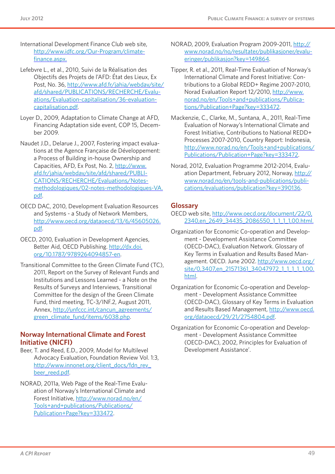- International Development Finance Club web site, [http://www.idfc.org/Our-Program/climate](http://www.idfc.org/Our-Program/climate-finance.aspx)[finance.aspx.](http://www.idfc.org/Our-Program/climate-finance.aspx)
- Lefebvre L., et al., 2010, Suivi de la Réalisation des Objectifs des Projets de l'AFD: État des Lieux, Ex Post, No. 36, [http://www.afd.fr/jahia/webdav/site/](http://www.afd.fr/jahia/webdav/site/afd/shared/PUBLICATIONS/RECHERCHE/Evaluations/Evaluation-capitalisation/36-evaluation-capitalisation.pdf) [afd/shared/PUBLICATIONS/RECHERCHE/Evalu](http://www.afd.fr/jahia/webdav/site/afd/shared/PUBLICATIONS/RECHERCHE/Evaluations/Evaluation-capitalisation/36-evaluation-capitalisation.pdf)[ations/Evaluation-capitalisation/36-evaluation](http://www.afd.fr/jahia/webdav/site/afd/shared/PUBLICATIONS/RECHERCHE/Evaluations/Evaluation-capitalisation/36-evaluation-capitalisation.pdf)[capitalisation.pdf](http://www.afd.fr/jahia/webdav/site/afd/shared/PUBLICATIONS/RECHERCHE/Evaluations/Evaluation-capitalisation/36-evaluation-capitalisation.pdf).
- Loyer D., 2009, Adaptation to Climate Change at AFD, Financing Adaptation side event, COP 15, December 2009.
- Naudet J.D., Delarue J., 2007, Fostering impact evaluations at the Agence Française de Développement: a Process of Building in-house Ownership and Capacities, AFD, Ex Post, No. 2, [http://www.](http://www.afd.fr/jahia/webdav/site/afd/shared/PUBLICATIONS/RECHERCHE/Evaluations/Notes-methodologiques/02-notes-methodologiques-VA.pdf) [afd.fr/jahia/webdav/site/afd/shared/PUBLI-](http://www.afd.fr/jahia/webdav/site/afd/shared/PUBLICATIONS/RECHERCHE/Evaluations/Notes-methodologiques/02-notes-methodologiques-VA.pdf)[CATIONS/RECHERCHE/Evaluations/Notes](http://www.afd.fr/jahia/webdav/site/afd/shared/PUBLICATIONS/RECHERCHE/Evaluations/Notes-methodologiques/02-notes-methodologiques-VA.pdf)[methodologiques/02-notes-methodologiques-VA.](http://www.afd.fr/jahia/webdav/site/afd/shared/PUBLICATIONS/RECHERCHE/Evaluations/Notes-methodologiques/02-notes-methodologiques-VA.pdf) [pdf.](http://www.afd.fr/jahia/webdav/site/afd/shared/PUBLICATIONS/RECHERCHE/Evaluations/Notes-methodologiques/02-notes-methodologiques-VA.pdf)
- OECD DAC, 2010, Development Evaluation Resources and Systems - a Study of Network Members, [http://www.oecd.org/dataoecd/13/6/45605026.](http://www.oecd.org/dataoecd/13/6/45605026.pdf) [pdf.](http://www.oecd.org/dataoecd/13/6/45605026.pdf)
- OECD, 2010, Evaluation in Development Agencies, Better Aid, OECD Publishing. [http://dx.doi.](http://dx.doi.org/10.1787/9789264094857-en) [org/10.1787/9789264094857-en.](http://dx.doi.org/10.1787/9789264094857-en)
- Transitional Committee to the Green Climate Fund (TC), 2011, Report on the Survey of Relevant Funds and Institutions and Lessons Learned - a Note on the Results of Surveys and Interviews, Transitional Committee for the design of the Green Climate Fund, third meeting, TC-3/INF.2, August 2011, Annex, [http://unfccc.int/cancun\\_agreements/](http://unfccc.int/cancun_agreements/green_climate_fund/items/6038.php) [green\\_climate\\_fund/items/6038.php.](http://unfccc.int/cancun_agreements/green_climate_fund/items/6038.php)

#### **Norway International Climate and Forest Initiative (NICFI)**

- Beer, T. and Reed, E.D., 2009, Model for Multilevel Advocacy Evaluation, Foundation Review Vol. 1:3, [http://www.innonet.org/client\\_docs/fdn\\_rev\\_](http://www.innonet.org/client_docs/fdn_rev_beer_reed.pdf) [beer\\_reed.pdf.](http://www.innonet.org/client_docs/fdn_rev_beer_reed.pdf)
- NORAD, 2011a, Web Page of the Real-Time Evaluation of Norway's International Climate and Forest Initiative, [http://www.norad.no/en/](http://www.norad.no/en/Tools+and+publications/Publications/Publication+Page?key=333472) [Tools+and+publications/Publications/](http://www.norad.no/en/Tools+and+publications/Publications/Publication+Page?key=333472) [Publication+Page?key=333472](http://www.norad.no/en/Tools+and+publications/Publications/Publication+Page?key=333472).
- NORAD, 2009, Evaluation Program 2009-2011, [http://](http://www.norad.no/no/resultater/publikasjoner/evalueringer/publikasjon?key=149864) [www.norad.no/no/resultater/publikasjoner/evalu](http://www.norad.no/no/resultater/publikasjoner/evalueringer/publikasjon?key=149864)[eringer/publikasjon?key=149864](http://www.norad.no/no/resultater/publikasjoner/evalueringer/publikasjon?key=149864).
- Tipper, R. et al., 2011, Real-Time Evaluation of Norway's International Climate and Forest Initiative: Contributions to a Global REDD+ Regime 2007-2010, Norad Evaluation Report 12/2010, [http://www.](http://www.norad.no/en/Tools+and+publications/Publications/Publication+Page?key=333472) [norad.no/en/Tools+and+publications/Publica](http://www.norad.no/en/Tools+and+publications/Publications/Publication+Page?key=333472)[tions/Publication+Page?key=333472.](http://www.norad.no/en/Tools+and+publications/Publications/Publication+Page?key=333472)
- Mackenzie, C., Clarke, M., Suntana, A., 2011, Real-Time Evaluation of Norway's International Climate and Forest Initiative, Contributions to National REDD+ Processes 2007-2010, Country Report: Indonesia, [http://www.norad.no/en/Tools+and+publications/](http://www.norad.no/en/Tools+and+publications/Publications/Publication+Page?key=333472) [Publications/Publication+Page?key=333472.](http://www.norad.no/en/Tools+and+publications/Publications/Publication+Page?key=333472)
- Norad, 2012, Evaluation Programme 2012-2014, Evaluation Department, February 2012, Norway, [http://](http://www.norad.no/en/tools-and-publications/publications/evaluations/publication?key=390136) [www.norad.no/en/tools-and-publications/publi](http://www.norad.no/en/tools-and-publications/publications/evaluations/publication?key=390136)[cations/evaluations/publication?key=390136](http://www.norad.no/en/tools-and-publications/publications/evaluations/publication?key=390136).

#### **Glossary**

- OECD web site, [http://www.oecd.org/document/22/0,](http://www.oecd.org/document/22/0,2340,en_2649_34435_2086550_1_1_1_1,00.html) 2340,en\_2649\_34435\_2086550\_1\_1\_1,00.html.
- Organization for Economic Co-operation and Development - Development Assistance Committee (OECD-DAC), Evaluation Network. Glossary of Key Terms in Evaluation and Results Based Management. OECD. June 2002. [http://www.oecd.org/](http://www.oecd.org/site/0,3407,en_21571361_34047972_1_1_1_1_1,00.html) site/0,3407,en\_21571361\_34047972\_1\_1\_1\_1,00. [html.](http://www.oecd.org/site/0,3407,en_21571361_34047972_1_1_1_1_1,00.html)
- Organization for Economic Co-operation and Development - Development Assistance Committee (OECD-DAC), Glossary of Key Terms in Evaluation and Results Based Management, [http://www.oecd.](http://www.oecd.org/dataoecd/29/21/2754804.pdf) [org/dataoecd/29/21/2754804.pdf](http://www.oecd.org/dataoecd/29/21/2754804.pdf).
- Organization for Economic Co-operation and Development - Development Assistance Committee (OECD-DAC), 2002, Principles for Evaluation of Development Assistance'.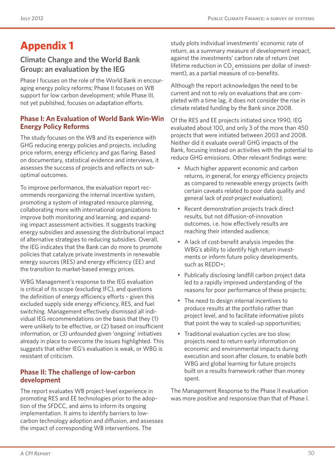# **Appendix 1**

## **Climate Change and the World Bank Group: an evaluation by the IEG**

Phase I focuses on the role of the World Bank in encouraging energy policy reforms; Phase II focuses on WB support for low carbon development; while Phase III, not yet published, focuses on adaptation efforts.

#### **Phase I: An Evaluation of World Bank Win-Win Energy Policy Reforms**

The study focuses on the WB and its experience with GHG reducing energy policies and projects, including price reform, energy efficiency and gas flaring. Based on documentary, statistical evidence and interviews, it assesses the success of projects and reflects on suboptimal outcomes.

To improve performance, the evaluation report recommends reorganizing the internal incentive system, promoting a system of integrated resource planning, collaborating more with international organizations to improve both monitoring and learning, and expanding impact assessment activities. It suggests tracking energy subsidies and assessing the distributional impact of alternative strategies to reducing subsidies. Overall, the IEG indicates that the Bank can do more to promote policies that catalyze private investments in renewable energy sources (RES) and energy efficiency (EE) and the transition to market-based energy prices.

WBG Management's response to the IEG evaluation is critical of its scope (excluding IFC), and questions the definition of energy efficiency efforts – given this excluded supply side energy efficiency, RES, and fuel switching. Management effectively dismissed all individual IEG recommendations on the basis that they (1) were unlikely to be effective, or (2) based on insufficient information, or (3) unfounded given 'ongoing' initiatives already in place to overcome the issues highlighted. This suggests that either IEG's evaluation is weak, or WBG is resistant of criticism.

#### **Phase II: The challenge of low-carbon development**

The report evaluates WB project-level experience in promoting RES and EE technologies prior to the adoption of the SFDCC, and aims to inform its ongoing implementation. It aims to identify barriers to lowcarbon technology adoption and diffusion, and assesses the impact of corresponding WB interventions. The

study plots individual investments' economic rate of return, as a summary measure of development impact, against the investments' carbon rate of return (net lifetime reduction in CO $_{\textrm{\tiny{2}}}$  emissions per dollar of investment), as a partial measure of co-benefits.

Although the report acknowledges the need to be current and not to rely on evaluations that are completed with a time lag, it does not consider the rise in climate related funding by the Bank since 2008.

Of the RES and EE projects initiated since 1990, IEG evaluated about 100, and only 3 of the more than 450 projects that were initiated between 2003 and 2008. Neither did it evaluate overall GHG impacts of the Bank, focusing instead on activities with the potential to reduce GHG emissions. Other relevant findings were:

- Much higher apparent economic and carbon returns, in general, for energy efficiency projects as compared to renewable energy projects (with certain caveats related to poor data quality and general lack of *post-project* evaluation);
- Recent demonstration projects track direct results, but not diffusion-of-innovation outcomes, i.e. how effectively results are reaching their intended audience;
- • A lack of cost-benefit analysis impedes the WBG's ability to identify high return investments or inform future policy developments, such as REDD+;
- Publically disclosing landfill carbon project data led to a rapidly improved understanding of the reasons for poor performance of these projects;
- • The need to design internal incentives to produce results at the portfolio rather than project level, and to facilitate informative pilots that point the way to scaled-up opportunities;
- Traditional evaluation cycles are too slow; projects need to return early information on economic and environmental impacts during execution and soon after closure, to enable both WBG and global learning for future projects built on a results framework rather than money spent.

The Management Response to the Phase II evaluation was more positive and responsive than that of Phase I.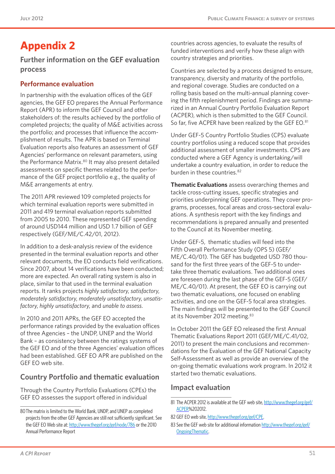# **Appendix 2**

**Further information on the GEF evaluation process**

#### **Performance evaluation**

In partnership with the evaluation offices of the GEF agencies, the GEF EO prepares the Annual Performance Report (APR) to inform the GEF Council and other stakeholders of: the results achieved by the portfolio of completed projects; the quality of M&E activities across the portfolio; and processes that influence the accomplishment of results. The APR is based on Terminal Evaluation reports also features an assessment of GEF Agencies' performance on relevant parameters, using the Performance Matrix.<sup>80</sup> It may also present detailed assessments on specific themes related to the performance of the GEF project portfolio e.g., the quality of M&E arrangements at entry.

The 2011 APR reviewed 109 completed projects for which terminal evaluation reports were submitted in 2011 and 419 terminal evaluation reports submitted from 2005 to 2010. These represented GEF spending of around USD144 million and USD 1.7 billion of GEF respectively (GEF/ME/C.42/01, 2012).

In addition to a desk-analysis review of the evidence presented in the terminal evaluation reports and other relevant documents, the EO conducts field verifications. Since 2007, about 14 verifications have been conducted; more are expected. An overall rating system is also in place, similar to that used in the terminal evaluation reports. It ranks projects *highly satisfactory*, *satisfactory*, *moderately satisfactory*, *moderately unsatisfactory*, *unsatisfactory*, *highly unsatisfactory*, and *unable to assess*.

In 2010 and 2011 APRs, the GEF EO accepted the performance ratings provided by the evaluation offices of three Agencies – the UNDP, UNEP and the World Bank – as consistency between the ratings systems of the GEF EO and of the three Agencies' evaluation offices had been established. GEF EO APR are published on the GEF EO web site.

## **Country Portfolio and thematic evaluation**

Through the Country Portfolio Evaluations (CPEs) the GEF EO assesses the support offered in individual

countries across agencies, to evaluate the results of funded interventions and verify how these align with country strategies and priorities.

Countries are selected by a process designed to ensure, transparency, diversity and maturity of the portfolio, and regional coverage. Studies are conducted on a rolling basis based on the multi-annual planning covering the fifth replenishment period. Findings are summarized in an Annual Country Portfolio Evaluation Report (ACPER), which is then submitted to the GEF Council. So far, five ACPER have been realized by the GEF EO.81

Under GEF-5 Country Portfolio Studies (CPS) evaluate country portfolios using a reduced scope that provides additional assessment of smaller investments. CPS are conducted where a GEF Agency is undertaking/will undertake a country evaluation, in order to reduce the burden in these countries.<sup>82</sup>

**Thematic Evaluations** assess overarching themes and tackle cross-cutting issues, specific strategies and priorities underpinning GEF operations. They cover programs, processes, focal areas and cross-sectoral evaluations. A synthesis report with the key findings and recommendations is prepared annually and presented to the Council at its November meeting.

Under GEF-5, thematic studies will feed into the Fifth Overall Performance Study (OPS 5) (GEF/ ME/C.40/01). The GEF has budgeted USD 780 thousand for the first three years of the GEF-5 to undertake three thematic evaluations. Two additional ones are foreseen during the last phase of the GEF-5 (GEF/ ME/C.40/01). At present, the GEF EO is carrying out two thematic evaluations, one focused on enabling activities, and one on the GEF-5 focal area strategies. The main findings will be presented to the GEF Council at its November 2012 meeting.<sup>83</sup>

In October 2011 the GEF EO released the first Annual Thematic Evaluations Report 2011 (GEF/ME/C.41/02, 2011) to present the main conclusions and recommendations for the Evaluation of the GEF National Capacity Self-Assessment as well as provide an overview of the on-going thematic evaluations work program. In 2012 it started two thematic evaluations.

#### **Impact evaluation**

<sup>80</sup>The matrix is limited to the World Bank, UNDP, and UNEP as completed projects from the other GEF Agencies are still not sufficiently significant. See the GEF EO Web site at:<http://www.thegef.org/gef/node/786> or the 2010 Annual Performance Report

<sup>81</sup> The ACPER 2012 is available at the GEF web site, [http://www.thegef.org/gef/](http://www.thegef.org/gef/ACPER) [ACPER](http://www.thegef.org/gef/ACPER)%202012.

<sup>82</sup> GEF EO web site,<http://www.thegef.org/gef/CPE>.

<sup>83</sup> See the GEF web site for additional information [http://www.thegef.org/gef/](http://www.thegef.org/gef/OngoingThematic) [OngoingThematic](http://www.thegef.org/gef/OngoingThematic).